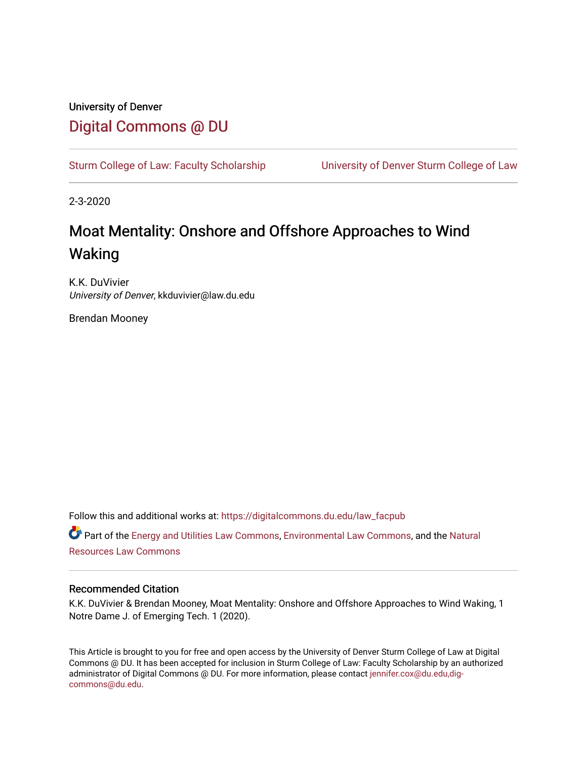## University of Denver [Digital Commons @ DU](https://digitalcommons.du.edu/)

[Sturm College of Law: Faculty Scholarship](https://digitalcommons.du.edu/law_facpub) [University of Denver Sturm College of Law](https://digitalcommons.du.edu/denver_law) 

2-3-2020

# Moat Mentality: Onshore and Offshore Approaches to Wind Waking

K.K. DuVivier University of Denver, kkduvivier@law.du.edu

Brendan Mooney

Follow this and additional works at: [https://digitalcommons.du.edu/law\\_facpub](https://digitalcommons.du.edu/law_facpub?utm_source=digitalcommons.du.edu%2Flaw_facpub%2F304&utm_medium=PDF&utm_campaign=PDFCoverPages) 

Part of the [Energy and Utilities Law Commons,](http://network.bepress.com/hgg/discipline/891?utm_source=digitalcommons.du.edu%2Flaw_facpub%2F304&utm_medium=PDF&utm_campaign=PDFCoverPages) [Environmental Law Commons](http://network.bepress.com/hgg/discipline/599?utm_source=digitalcommons.du.edu%2Flaw_facpub%2F304&utm_medium=PDF&utm_campaign=PDFCoverPages), and the [Natural](http://network.bepress.com/hgg/discipline/863?utm_source=digitalcommons.du.edu%2Flaw_facpub%2F304&utm_medium=PDF&utm_campaign=PDFCoverPages) [Resources Law Commons](http://network.bepress.com/hgg/discipline/863?utm_source=digitalcommons.du.edu%2Flaw_facpub%2F304&utm_medium=PDF&utm_campaign=PDFCoverPages)

#### Recommended Citation

K.K. DuVivier & Brendan Mooney, Moat Mentality: Onshore and Offshore Approaches to Wind Waking, 1 Notre Dame J. of Emerging Tech. 1 (2020).

This Article is brought to you for free and open access by the University of Denver Sturm College of Law at Digital Commons @ DU. It has been accepted for inclusion in Sturm College of Law: Faculty Scholarship by an authorized administrator of Digital Commons @ DU. For more information, please contact [jennifer.cox@du.edu,dig](mailto:jennifer.cox@du.edu,dig-commons@du.edu)[commons@du.edu.](mailto:jennifer.cox@du.edu,dig-commons@du.edu)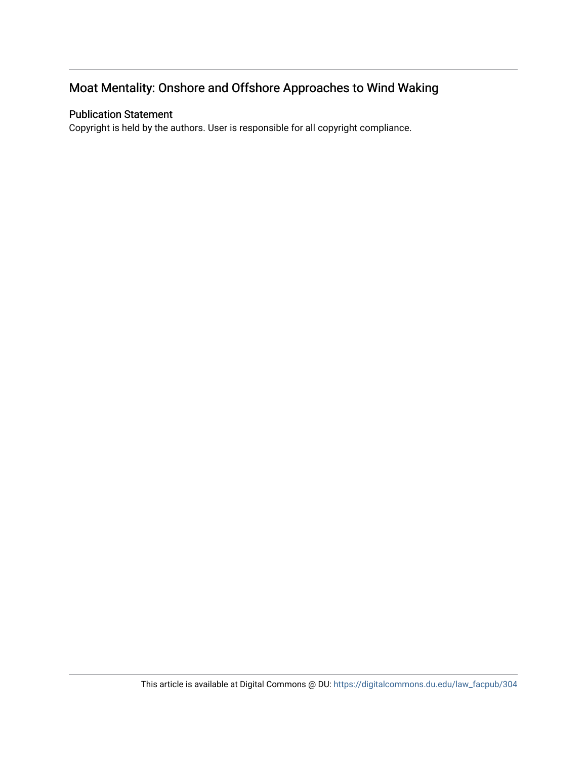## Moat Mentality: Onshore and Offshore Approaches to Wind Waking

### Publication Statement

Copyright is held by the authors. User is responsible for all copyright compliance.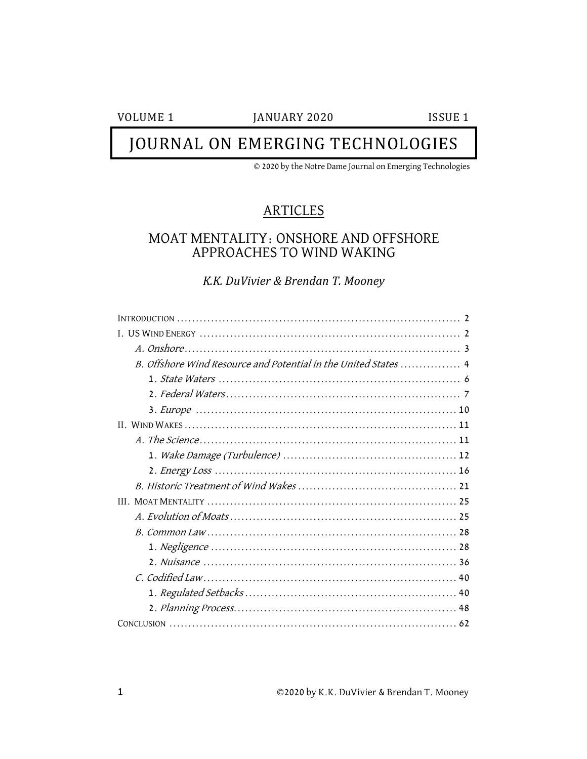**VOLUME 1** 

JANUARY 2020

**ISSUE 1** 

## JOURNAL ON EMERGING TECHNOLOGIES

© 2020 by the Notre Dame Journal on Emerging Technologies

## **ARTICLES**

## MOAT MENTALITY: ONSHORE AND OFFSHORE APPROACHES TO WIND WAKING

### K.K. DuVivier & Brendan T. Mooney

| B. Offshore Wind Resource and Potential in the United States  4 |
|-----------------------------------------------------------------|
|                                                                 |
|                                                                 |
|                                                                 |
|                                                                 |
|                                                                 |
|                                                                 |
|                                                                 |
|                                                                 |
|                                                                 |
|                                                                 |
|                                                                 |
|                                                                 |
|                                                                 |
|                                                                 |
|                                                                 |
|                                                                 |
|                                                                 |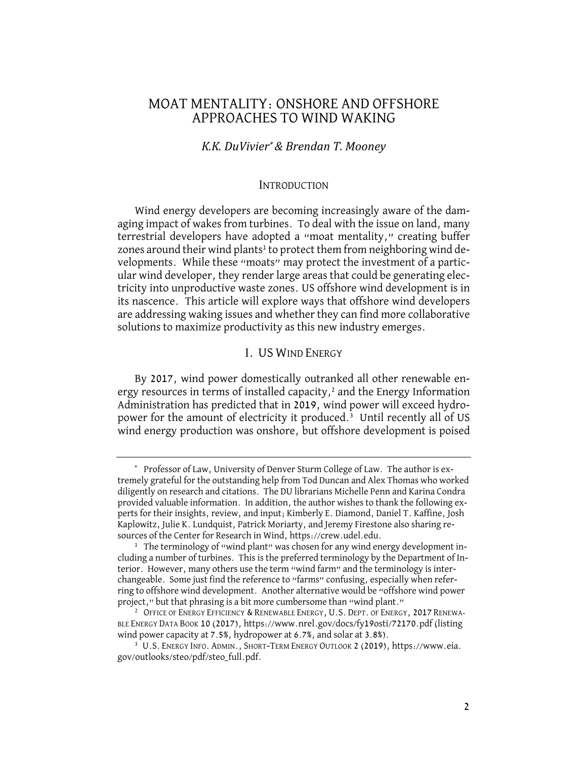### MOAT MENTALITY: ONSHORE AND OFFSHORE APPROACHES TO WIND WAKING

#### *K.K. DuVivier\*& Brendan T. Mooney*

#### **INTRODUCTION**

Wind energy developers are becoming increasingly aware of the damaging impact of wakes from turbines. To deal with the issue on land, many terrestrial developers have adopted a "moat mentality," creating buffer zones around their wind plants<sup>1</sup> to protect them from neighboring wind developments. While these "moats" may protect the investment of a particular wind developer, they render large areas that could be generating electricity into unproductive waste zones. US offshore wind development is in its nascence. This article will explore ways that offshore wind developers are addressing waking issues and whether they can find more collaborative solutions to maximize productivity as this new industry emerges.

#### I. US WIND ENERGY

By 2017, wind power domestically outranked all other renewable energy resources in terms of installed capacity,<sup>2</sup> and the Energy Information Administration has predicted that in 2019, wind power will exceed hydropower for the amount of electricity it produced.<sup>3</sup> Until recently all of US wind energy production was onshore, but offshore development is poised

<sup>\*</sup> Professor of Law, University of Denver Sturm College of Law. The author is extremely grateful for the outstanding help from Tod Duncan and Alex Thomas who worked diligently on research and citations. The DU librarians Michelle Penn and Karina Condra provided valuable information. In addition, the author wishes to thank the following experts for their insights, review, and input; Kimberly E. Diamond, Daniel T. Kaffine, Josh Kaplowitz, Julie K. Lundquist, Patrick Moriarty, and Jeremy Firestone also sharing resources of the Center for Research in Wind, https://crew.udel.edu.

<sup>&</sup>lt;sup>1</sup> The terminology of "wind plant" was chosen for any wind energy development including a number of turbines. This is the preferred terminology by the Department of Interior. However, many others use the term "wind farm" and the terminology is interchangeable. Some just find the reference to "farms" confusing, especially when referring to offshore wind development. Another alternative would be "offshore wind power project," but that phrasing is a bit more cumbersome than "wind plant."

<sup>&</sup>lt;sup>2</sup> OFFICE OF ENERGY EFFICIENCY & RENEWABLE ENERGY, U.S. DEPT. OF ENERGY, 2017 RENEWA-BLE ENERGY DATA BOOK 10 (2017), https://www.nrel.gov/docs/fy19osti/72170.pdf (listing wind power capacity at 7.5%, hydropower at 6.7%, and solar at 3.8%).

<sup>3</sup> U.S. ENERGY INFO. ADMIN., SHORT-TERM ENERGY OUTLOOK 2 (2019), https://www.eia. gov/outlooks/steo/pdf/steo\_full.pdf.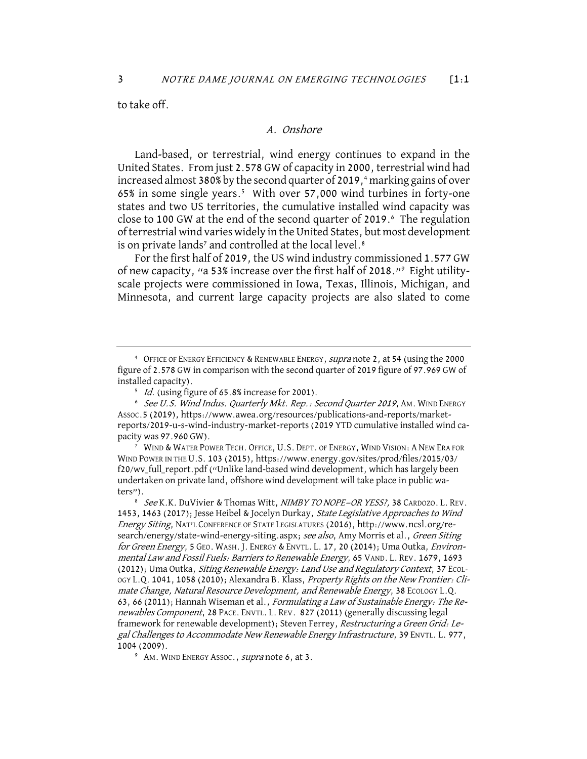to take off.

#### A. Onshore

Land-based, or terrestrial, wind energy continues to expand in the United States. From just 2.578 GW of capacity in 2000, terrestrial wind had increased almost 380% by the second quarter of 2019,<sup>4</sup> marking gains of over 65% in some single years.5 With over 57,000 wind turbines in forty-one states and two US territories, the cumulative installed wind capacity was close to 100 GW at the end of the second quarter of 2019.<sup>6</sup> The regulation of terrestrial wind varies widely in the United States, but most development is on private lands<sup>7</sup> and controlled at the local level.<sup>8</sup>

For the first half of 2019, the US wind industry commissioned 1.577 GW of new capacity, "a 53% increase over the first half of 2018."9 Eight utilityscale projects were commissioned in Iowa, Texas, Illinois, Michigan, and Minnesota, and current large capacity projects are also slated to come

<sup>7</sup> WIND & WATER POWER TECH. OFFICE, U.S. DEPT. OF ENERGY, WIND VISION: A NEW ERA FOR WIND POWER IN THE U.S. 103 (2015), https://www.energy.gov/sites/prod/files/2015/03/ f20/wv\_full\_report.pdf ("Unlike land-based wind development, which has largely been undertaken on private land, offshore wind development will take place in public waters").

<sup>8</sup> See K.K. DuVivier & Thomas Witt, NIMBY TO NOPE-OR YESS?, 38 CARDOZO. L. REV. 1453, 1463 (2017); Jesse Heibel & Jocelyn Durkay, State Legislative Approaches to Wind Energy Siting, NAT'L CONFERENCE OF STATE LEGISLATURES (2016), http://www.ncsl.org/research/energy/state-wind-energy-siting.aspx; see also, Amy Morris et al., Green Siting for Green Energy, 5 GEO. WASH. J. ENERGY & ENVTL. L. 17, 20 (2014); Uma Outka, Environmental Law and Fossil Fuels: Barriers to Renewable Energy, 65 VAND. L. REV. 1679, 1693 (2012); Uma Outka, Siting Renewable Energy: Land Use and Regulatory Context, 37 EcoloGY L.Q. 1041, 1058 (2010); Alexandra B. Klass, Property Rights on the New Frontier: Climate Change, Natural Resource Development, and Renewable Energy, 38 ECOLOGY L.Q. 63, 66 (2011); Hannah Wiseman et al., Formulating a Law of Sustainable Energy: The Renewables Component, 28 PACE. ENVTL. L. REV. 827 (2011) (generally discussing legal framework for renewable development); Steven Ferrey, Restructuring a Green Grid: Legal Challenges to Accommodate New Renewable Energy Infrastructure, 39 ENVTL. L. 977, 1004 (2009).

<sup>9</sup> AM. WIND ENERGY Assoc., *supra* note 6, at 3.

<sup>&</sup>lt;sup>4</sup> OFFICE OF ENERGY EFFICIENCY & RENEWABLE ENERGY, *supra* note 2, at 54 (using the 2000 figure of 2.578 GW in comparison with the second quarter of 2019 figure of 97.969 GW of installed capacity).

<sup>&</sup>lt;sup>5</sup> Id. (using figure of 65.8% increase for 2001).<br><sup>6</sup> See U.S. Wind Indus. Quarterly Mkt. Rep.: Second Quarter 2019, AM. WIND ENERGY ASSOC.5 (2019), https://www.awea.org/resources/publications-and-reports/marketreports/2019-u-s-wind-industry-market-reports (2019 YTD cumulative installed wind capacity was 97.960 GW).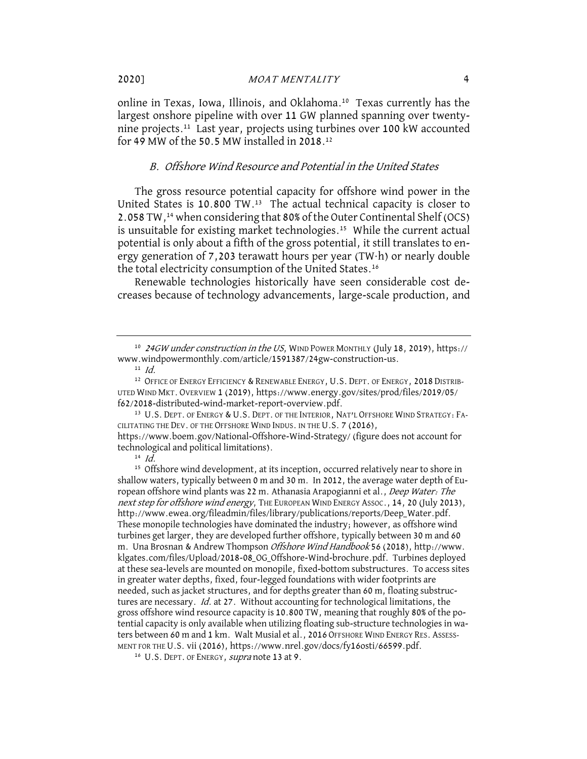online in Texas, Iowa, Illinois, and Oklahoma.10 Texas currently has the largest onshore pipeline with over 11 GW planned spanning over twentynine projects.11 Last year, projects using turbines over 100 kW accounted for 49 MW of the 50.5 MW installed in 2018.12

#### B. Offshore Wind Resource and Potential in the United States

The gross resource potential capacity for offshore wind power in the United States is 10.800 TW.13 The actual technical capacity is closer to 2.058 TW,14 when considering that 80% of the Outer Continental Shelf (OCS) is unsuitable for existing market technologies.<sup>15</sup> While the current actual potential is only about a fifth of the gross potential, it still translates to energy generation of 7,203 terawatt hours per year (TW⋅h) or nearly double the total electricity consumption of the United States.16

Renewable technologies historically have seen considerable cost decreases because of technology advancements, large-scale production, and

<sup>13</sup> U.S. DEPT. OF ENERGY & U.S. DEPT. OF THE INTERIOR, NAT'L OFFSHORE WIND STRATEGY: FA-CILITATING THE DEV. OF THE OFFSHORE WIND INDUS. IN THE U.S. 7 (2016),

https://www.boem.gov/National-Offshore-Wind-Strategy/ (figure does not account for technological and political limitations).

 $14$  Id.

<sup>15</sup> Offshore wind development, at its inception, occurred relatively near to shore in shallow waters, typically between 0 m and 30 m. In 2012, the average water depth of European offshore wind plants was 22 m. Athanasia Arapogianni et al., Deep Water: The next step for offshore wind energy, THE EUROPEAN WIND ENERGY ASSOC., 14, 20 (July 2013), http://www.ewea.org/fileadmin/files/library/publications/reports/Deep\_Water.pdf. These monopile technologies have dominated the industry; however, as offshore wind turbines get larger, they are developed further offshore, typically between 30 m and 60 m. Una Brosnan & Andrew Thompson Offshore Wind Handbook 56 (2018), http://www. klgates.com/files/Upload/2018-08\_OG\_Offshore-Wind-brochure.pdf. Turbines deployed at these sea-levels are mounted on monopile, fixed-bottom substructures. To access sites in greater water depths, fixed, four-legged foundations with wider footprints are needed, such as jacket structures, and for depths greater than 60 m, floating substructures are necessary. Id. at 27. Without accounting for technological limitations, the gross offshore wind resource capacity is 10.800 TW, meaning that roughly 80% of the potential capacity is only available when utilizing floating sub-structure technologies in waters between 60 m and 1 km. Walt Musial et al., 2016 OFFSHORE WIND ENERGY RES. ASSESS-MENT FOR THE U.S. vii (2016), https://www.nrel.gov/docs/fy16osti/66599.pdf.

<sup>&</sup>lt;sup>10</sup> 24GW under construction in the US, WIND POWER MONTHLY (July 18, 2019), https:// www.windpowermonthly.com/article/1591387/24gw-construction-us.

 $11$  *Id.* 

<sup>&</sup>lt;sup>12</sup> OFFICE OF ENERGY EFFICIENCY & RENEWABLE ENERGY, U.S. DEPT. OF ENERGY, 2018 DISTRIB-UTED WIND MKT. OVERVIEW 1 (2019), https://www.energy.gov/sites/prod/files/2019/05/ f62/2018-distributed-wind-market-report-overview.pdf.

<sup>&</sup>lt;sup>16</sup> U.S. DEPT. OF ENERGY, *supra* note 13 at 9.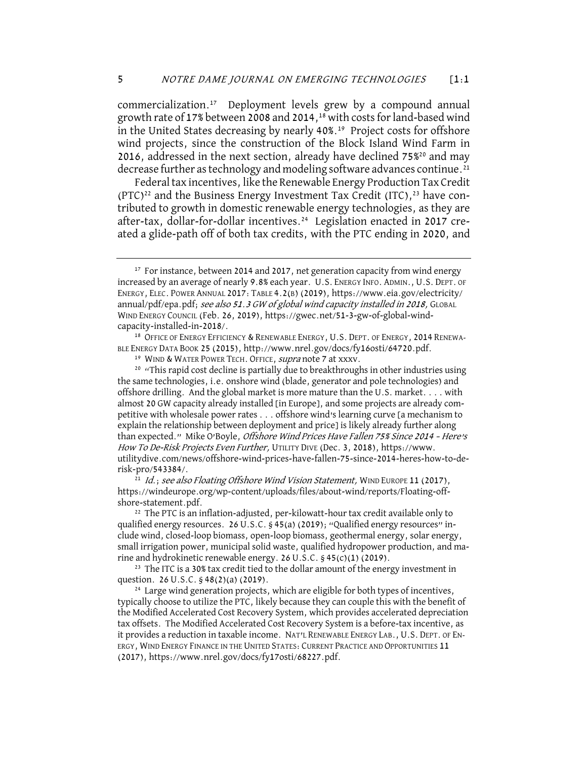commercialization.17 Deployment levels grew by a compound annual growth rate of 17% between 2008 and 2014,18 with costs for land-based wind in the United States decreasing by nearly 40%.19 Project costs for offshore wind projects, since the construction of the Block Island Wind Farm in 2016, addressed in the next section, already have declined 75%20 and may decrease further as technology and modeling software advances continue.<sup>21</sup>

Federal tax incentives, like the Renewable Energy Production Tax Credit  $(PTC)^{22}$  and the Business Energy Investment Tax Credit  $(ITC)$ ,  $^{23}$  have contributed to growth in domestic renewable energy technologies, as they are after-tax, dollar-for-dollar incentives.<sup>24</sup> Legislation enacted in 2017 created a glide-path off of both tax credits, with the PTC ending in 2020, and

 $^{21}$  Id.; see also Floating Offshore Wind Vision Statement, WIND EUROPE 11 (2017), https://windeurope.org/wp-content/uploads/files/about-wind/reports/Floating-offshore-statement.pdf.

<sup>22</sup> The PTC is an inflation-adjusted, per-kilowatt-hour tax credit available only to qualified energy resources. 26 U.S.C. § 45(a) (2019); "Qualified energy resources" include wind, closed-loop biomass, open-loop biomass, geothermal energy, solar energy, small irrigation power, municipal solid waste, qualified hydropower production, and marine and hydrokinetic renewable energy. 26 U.S.C. § 45(c)(1) (2019).

<sup>23</sup> The ITC is a 30% tax credit tied to the dollar amount of the energy investment in question. 26 U.S.C. § 48(2)(a) (2019).

<sup>24</sup> Large wind generation projects, which are eligible for both types of incentives, typically choose to utilize the PTC, likely because they can couple this with the benefit of the Modified Accelerated Cost Recovery System, which provides accelerated depreciation tax offsets. The Modified Accelerated Cost Recovery System is a before-tax incentive, as it provides a reduction in taxable income. NAT'L RENEWABLE ENERGY LAB., U.S. DEPT. OF EN-ERGY, WIND ENERGY FINANCE IN THE UNITED STATES: CURRENT PRACTICE AND OPPORTUNITIES 11 (2017), https://www.nrel.gov/docs/fy17osti/68227.pdf.

<sup>&</sup>lt;sup>17</sup> For instance, between 2014 and 2017, net generation capacity from wind energy increased by an average of nearly 9.8% each year. U.S. ENERGY INFO. ADMIN.,U.S. DEPT. OF ENERGY, ELEC. POWER ANNUAL 2017: TABLE 4.2(B) (2019), https://www.eia.gov/electricity/ annual/pdf/epa.pdf; see also 51.3 GW of global wind capacity installed in 2018, GLOBAL WIND ENERGY COUNCIL (Feb. 26, 2019), https://gwec.net/51-3-gw-of-global-windcapacity-installed-in-2018/.

<sup>&</sup>lt;sup>18</sup> OFFICE OF ENERGY EFFICIENCY & RENEWABLE ENERGY, U.S. DEPT. OF ENERGY, 2014 RENEWA-BLE ENERGY DATA BOOK 25 (2015), http://www.nrel.gov/docs/fy16osti/64720.pdf.

<sup>&</sup>lt;sup>19</sup> WIND & WATER POWER TECH. OFFICE, supra note 7 at xxxv.

<sup>&</sup>lt;sup>20</sup> "This rapid cost decline is partially due to breakthroughs in other industries using the same technologies, i.e. onshore wind (blade, generator and pole technologies) and offshore drilling. And the global market is more mature than the U.S. market. . . . with almost 20 GW capacity already installed [in Europe], and some projects are already competitive with wholesale power rates . . . offshore wind's learning curve [a mechanism to explain the relationship between deployment and price] is likely already further along than expected." Mike O'Boyle, Offshore Wind Prices Have Fallen 75% Since 2014 - Here's How To De-Risk Projects Even Further, UTILITY DIVE (Dec. 3, 2018), https://www. utilitydive.com/news/offshore-wind-prices-have-fallen-75-since-2014-heres-how-to-derisk-pro/543384/.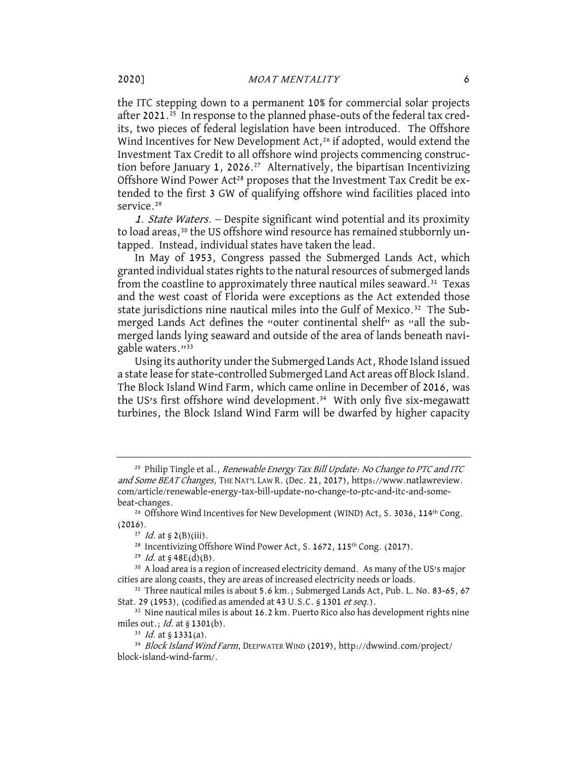the ITC stepping down to a permanent 10% for commercial solar projects after 2021.<sup>25</sup> In response to the planned phase-outs of the federal tax credits, two pieces of federal legislation have been introduced. The Offshore Wind Incentives for New Development Act,<sup>26</sup> if adopted, would extend the Investment Tax Credit to all offshore wind projects commencing construction before January 1, 2026.<sup>27</sup> Alternatively, the bipartisan Incentivizing Offshore Wind Power Act<sup>28</sup> proposes that the Investment Tax Credit be extended to the first 3 GW of qualifying offshore wind facilities placed into service.<sup>29</sup>

1. *State Waters.* – Despite significant wind potential and its proximity to load areas,<sup>30</sup> the US offshore wind resource has remained stubbornly untapped. Instead, individual states have taken the lead.

In May of 1953, Congress passed the Submerged Lands Act, which granted individual states rights to the natural resources of submerged lands from the coastline to approximately three nautical miles seaward.<sup>31</sup> Texas and the west coast of Florida were exceptions as the Act extended those state jurisdictions nine nautical miles into the Gulf of Mexico.<sup>32</sup> The Submerged Lands Act defines the "outer continental shelf" as "all the submerged lands lying seaward and outside of the area of lands beneath navigable waters."<sup>33</sup>

Using its authority under the Submerged Lands Act, Rhode Island issued a state lease for state-controlled Submerged Land Act areas off Block Island. The Block Island Wind Farm, which came online in December of 2016, was the US's first offshore wind development.<sup>34</sup> With only five six-megawatt turbines, the Block Island Wind Farm will be dwarfed by higher capacity

<sup>&</sup>lt;sup>25</sup> Philip Tingle et al., *Renewable Energy Tax Bill Update: No Change to PTC and ITC* and Some BEAT Changes, THE NAT'L LAW R. (Dec. 21, 2017), https://www.natlawreview. com/article/renewable-energy-tax-bill-update-no-change-to-ptc-and-itc-and-somebeat-changes.

<sup>&</sup>lt;sup>26</sup> Offshore Wind Incentives for New Development (WIND) Act, S. 3036, 114<sup>th</sup> Cong. (2016).

<sup>&</sup>lt;sup>27</sup> *Id.* at §  $2(B)(iii)$ .

<sup>&</sup>lt;sup>28</sup> Incentivizing Offshore Wind Power Act, S. 1672, 115<sup>th</sup> Cong. (2017).

<sup>&</sup>lt;sup>29</sup> *Id.* at  $\S$  48E(d)(B).

<sup>30</sup> A load area is a region of increased electricity demand. As many of the US's major cities are along coasts, they are areas of increased electricity needs or loads.

<sup>&</sup>lt;sup>31</sup> Three nautical miles is about 5.6 km.; Submerged Lands Act, Pub. L. No. 83-65, 67 Stat. 29 (1953), (codified as amended at 43 U.S.C. § 1301 et seq.).

<sup>&</sup>lt;sup>32</sup> Nine nautical miles is about 16.2 km. Puerto Rico also has development rights nine miles out.; *Id.* at  $$1301(b)$ .<br><sup>33</sup> *Id.* at  $$1331(a)$ .

<sup>&</sup>lt;sup>34</sup> Block Island Wind Farm, DEEPWATER WIND (2019), http://dwwind.com/project/ block-island-wind-farm/.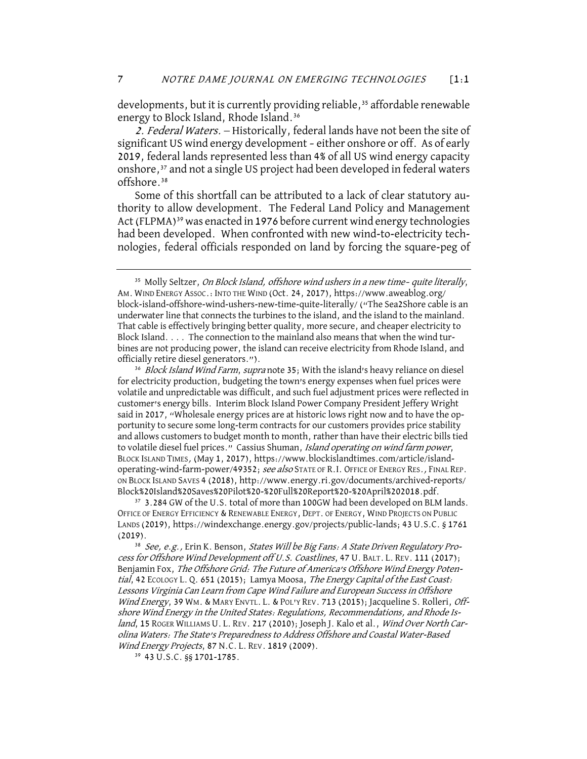developments, but it is currently providing reliable,<sup>35</sup> affordable renewable energy to Block Island, Rhode Island.<sup>36</sup>

2. Federal Waters. - Historically, federal lands have not been the site of significant US wind energy development – either onshore or off. As of early 2019, federal lands represented less than 4% of all US wind energy capacity onshore,<sup>37</sup> and not a single US project had been developed in federal waters offshore.38

Some of this shortfall can be attributed to a lack of clear statutory authority to allow development. The Federal Land Policy and Management Act (FLPMA)<sup>39</sup> was enacted in 1976 before current wind energy technologies had been developed. When confronted with new wind-to-electricity technologies, federal officials responded on land by forcing the square-peg of

<sup>36</sup> Block Island Wind Farm, supra note 35; With the island's heavy reliance on diesel for electricity production, budgeting the town's energy expenses when fuel prices were volatile and unpredictable was difficult, and such fuel adjustment prices were reflected in customer's energy bills. Interim Block Island Power Company President Jeffery Wright said in 2017, "Wholesale energy prices are at historic lows right now and to have the opportunity to secure some long-term contracts for our customers provides price stability and allows customers to budget month to month, rather than have their electric bills tied to volatile diesel fuel prices." Cassius Shuman, Island operating on wind farm power, BLOCK ISLAND TIMES, (May 1, 2017), https://www.blockislandtimes.com/article/islandoperating-wind-farm-power/49352; see also STATE OF R.I. OFFICE OF ENERGY RES., FINAL REP. ON BLOCK ISLAND SAVES 4 (2018), http://www.energy.ri.gov/documents/archived-reports/ Block%20Island%20Saves%20Pilot%20-%20Full%20Report%20-%20April%202018.pdf.

<sup>37</sup> 3.284 GW of the U.S. total of more than 100GW had been developed on BLM lands. OFFICE OF ENERGY EFFICIENCY & RENEWABLE ENERGY, DEPT. OF ENERGY, WIND PROJECTS ON PUBLIC LANDS (2019), https://windexchange.energy.gov/projects/public-lands; 43 U.S.C. § 1761 (2019).

<sup>38</sup> See, e.g., Erin K. Benson, States Will be Big Fans: A State Driven Regulatory Process for Offshore Wind Development off U.S. Coastlines, 47 U. BALT. L. REV. 111 (2017); Benjamin Fox, The Offshore Grid: The Future of America's Offshore Wind Energy Potential, 42 ECOLOGY L. Q. 651 (2015); Lamya Moosa, The Energy Capital of the East Coast: Lessons Virginia Can Learn from Cape Wind Failure and European Success in Offshore Wind Energy, 39 WM. & MARY ENVTL. L. & POL'Y REV. 713 (2015); Jacqueline S. Rolleri, Offshore Wind Energy in the United States: Regulations, Recommendations, and Rhode Island, 15 ROGER WILLIAMS U. L. REV. 217 (2010); Joseph J. Kalo et al., Wind Over North Carolina Waters: The State's Preparedness to Address Offshore and Coastal Water-Based Wind Energy Projects, 87 N.C. L. REV. 1819 (2009).

<sup>39</sup> 43 U.S.C. §§ 1701-1785.

<sup>&</sup>lt;sup>35</sup> Molly Seltzer, *On Block Island, offshore wind ushers in a new time- quite literally*, AM. WIND ENERGY ASSOC.:INTO THE WIND (Oct. 24, 2017), https://www.aweablog.org/ block-island-offshore-wind-ushers-new-time-quite-literally/ ("The Sea2Shore cable is an underwater line that connects the turbines to the island, and the island to the mainland. That cable is effectively bringing better quality, more secure, and cheaper electricity to Block Island. . . . The connection to the mainland also means that when the wind turbines are not producing power, the island can receive electricity from Rhode Island, and officially retire diesel generators.").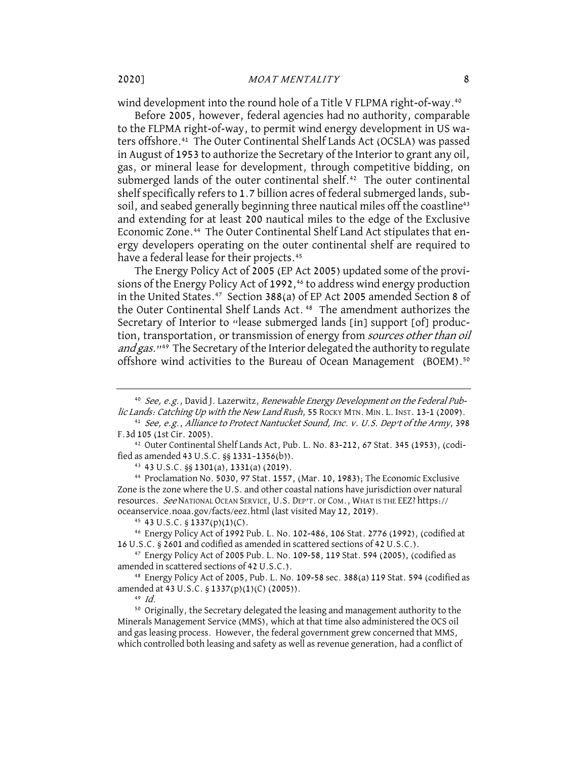wind development into the round hole of a Title V FLPMA right-of-way.<sup>40</sup>

Before 2005, however, federal agencies had no authority, comparable to the FLPMA right-of-way, to permit wind energy development in US waters offshore.<sup>41</sup> The Outer Continental Shelf Lands Act (OCSLA) was passed in August of 1953 to authorize the Secretary of the Interior to grant any oil, gas, or mineral lease for development, through competitive bidding, on submerged lands of the outer continental shelf.<sup>42</sup> The outer continental shelf specifically refers to 1.7 billion acres of federal submerged lands, subsoil, and seabed generally beginning three nautical miles off the coastline<sup>43</sup> and extending for at least 200 nautical miles to the edge of the Exclusive Economic Zone.<sup>44</sup> The Outer Continental Shelf Land Act stipulates that energy developers operating on the outer continental shelf are required to have a federal lease for their projects.<sup>45</sup>

The Energy Policy Act of 2005 (EP Act 2005) updated some of the provisions of the Energy Policy Act of 1992,<sup>46</sup> to address wind energy production in the United States.<sup>47</sup> Section 388(a) of EP Act 2005 amended Section 8 of the Outer Continental Shelf Lands Act.<sup>48</sup> The amendment authorizes the Secretary of Interior to "lease submerged lands [in] support [of] production, transportation, or transmission of energy from *sources other than oil* and gas."<sup>49</sup> The Secretary of the Interior delegated the authority to regulate offshore wind activities to the Bureau of Ocean Management (BOEM).<sup>50</sup>

<sup>42</sup> Outer Continental Shelf Lands Act, Pub. L. No. 83-212, 67 Stat. 345 (1953), (codified as amended 43 U.S.C. §§ 1331–1356(b)).

<sup>43</sup> 43 U.S.C. §§ 1301(a), 1331(a) (2019).

<sup>44</sup> Proclamation No. 5030, 97 Stat. 1557, (Mar. 10, 1983); The Economic Exclusive Zone is the zone where the U.S. and other coastal nations have jurisdiction over natural resources. See NATIONAL OCEAN SERVICE, U.S. DEP'T. OF COM., WHAT IS THE EEZ? https:// oceanservice.noaa.gov/facts/eez.html (last visited May 12, 2019).

<sup>46</sup> Energy Policy Act of 1992 Pub. L. No. 102-486, 106 Stat. 2776 (1992), (codified at 16 U.S.C. § 2601 and codified as amended in scattered sections of 42 U.S.C.).

<sup>47</sup> Energy Policy Act of 2005 Pub. L. No. 109-58, 119 Stat. 594 (2005), (codified as amended in scattered sections of 42 U.S.C.).

<sup>48</sup> Energy Policy Act of 2005, Pub. L. No. 109-58 sec. 388(a) 119 Stat. 594 (codified as amended at 43 U.S.C. § 1337(p)(1)(C) (2005)).

 $49$  Id.

<sup>50</sup> Originally, the Secretary delegated the leasing and management authority to the Minerals Management Service (MMS), which at that time also administered the OCS oil and gas leasing process. However, the federal government grew concerned that MMS, which controlled both leasing and safety as well as revenue generation, had a conflict of

<sup>&</sup>lt;sup>40</sup> See, e.g., David J. Lazerwitz, Renewable Energy Development on the Federal Public Lands: Catching Up with the New Land Rush, 55 ROCKY MTN. MIN. L. INST. 13-1 (2009).

<sup>&</sup>lt;sup>41</sup> See, e.g., Alliance to Protect Nantucket Sound, Inc. v. U.S. Dep't of the Army, 398 F.3d 105 (1st Cir. 2005).

<sup>45</sup> 43 U.S.C. § 1337(p)(1)(C).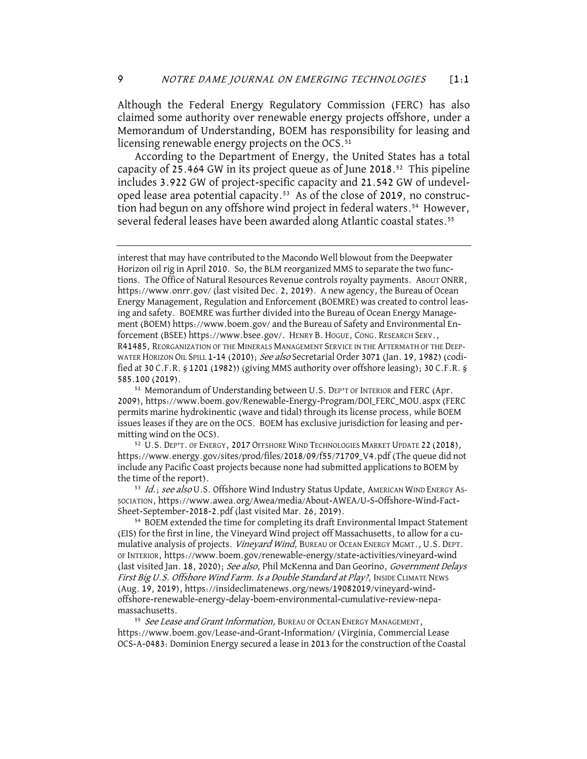Although the Federal Energy Regulatory Commission (FERC) has also claimed some authority over renewable energy projects offshore, under a Memorandum of Understanding, BOEM has responsibility for leasing and licensing renewable energy projects on the OCS.<sup>51</sup>

According to the Department of Energy, the United States has a total capacity of 25.464 GW in its project queue as of June 2018.52 This pipeline includes 3.922 GW of project-specific capacity and 21.542 GW of undeveloped lease area potential capacity.53 As of the close of 2019, no construction had begun on any offshore wind project in federal waters.<sup>54</sup> However, several federal leases have been awarded along Atlantic coastal states.<sup>55</sup>

interest that may have contributed to the Macondo Well blowout from the Deepwater Horizon oil rig in April 2010. So, the BLM reorganized MMS to separate the two functions. The Office of Natural Resources Revenue controls royalty payments. ABOUT ONRR, https://www.onrr.gov/ (last visited Dec. 2, 2019). A new agency, the Bureau of Ocean Energy Management, Regulation and Enforcement (BOEMRE) was created to control leasing and safety. BOEMRE was further divided into the Bureau of Ocean Energy Management (BOEM) https://www.boem.gov/ and the Bureau of Safety and Environmental Enforcement (BSEE) https://www.bsee.gov/. HENRY B.HOGUE, CONG. RESEARCH SERV., R41485, REORGANIZATION OF THE MINERALS MANAGEMENT SERVICE IN THE AFTERMATH OF THE DEEP-WATER HORIZON OIL SPILL 1-14 (2010); See also Secretarial Order 3071 (Jan. 19, 1982) (codified at 30 C.F.R. § 1201 (1982)) (giving MMS authority over offshore leasing); 30 C.F.R. § 585.100 (2019).

<sup>52</sup> U.S. DEP'T. OF ENERGY, 2017 OFFSHORE WIND TECHNOLOGIES MARKET UPDATE 22 (2018), https://www.energy.gov/sites/prod/files/2018/09/f55/71709\_V4.pdf (The queue did not include any Pacific Coast projects because none had submitted applications to BOEM by the time of the report).

53 Id.; see also U.S. Offshore Wind Industry Status Update, AMERICAN WIND ENERGY As-SOCIATION, https://www.awea.org/Awea/media/About-AWEA/U-S-Offshore-Wind-Fact-Sheet-September-2018-2.pdf (last visited Mar. 26, 2019).

<sup>54</sup> BOEM extended the time for completing its draft Environmental Impact Statement (EIS) for the first in line, the Vineyard Wind project off Massachusetts, to allow for a cumulative analysis of projects. Vineyard Wind, BUREAU OF OCEAN ENERGY MGMT., U.S. DEPT. OF INTERIOR, https://www.boem.gov/renewable-energy/state-activities/vineyard-wind (last visited Jan. 18, 2020); See also, Phil McKenna and Dan Georino, Government Delays First Big U.S. Offshore Wind Farm. Is a Double Standard at Play?, INSIDE CLIMATE NEWS (Aug. 19, 2019), https://insideclimatenews.org/news/19082019/vineyard-windoffshore-renewable-energy-delay-boem-environmental-cumulative-review-nepamassachusetts.

55 See Lease and Grant Information, BUREAU OF OCEAN ENERGY MANAGEMENT, https://www.boem.gov/Lease-and-Grant-Information/ (Virginia, Commercial Lease OCS-A-0483: Dominion Energy secured a lease in 2013 for the construction of the Coastal

<sup>&</sup>lt;sup>51</sup> Memorandum of Understanding between U.S. DEP'T OF INTERIOR and FERC (Apr. 2009), https://www.boem.gov/Renewable-Energy-Program/DOI\_FERC\_MOU.aspx (FERC permits marine hydrokinentic (wave and tidal) through its license process, while BOEM issues leases if they are on the OCS. BOEM has exclusive jurisdiction for leasing and permitting wind on the OCS).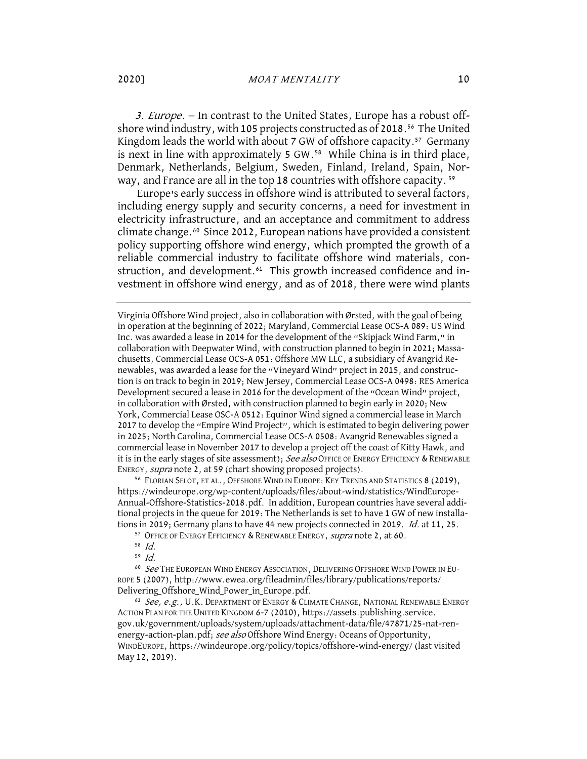3. *Europe.* – In contrast to the United States, Europe has a robust offshore wind industry, with 105 projects constructed as of 2018.<sup>56</sup> The United Kingdom leads the world with about 7 GW of offshore capacity.<sup>57</sup> Germany is next in line with approximately 5 GW.<sup>58</sup> While China is in third place, Denmark, Netherlands, Belgium, Sweden, Finland, Ireland, Spain, Norway, and France are all in the top 18 countries with offshore capacity.<sup>59</sup>

Europe's early success in offshore wind is attributed to several factors, including energy supply and security concerns, a need for investment in electricity infrastructure, and an acceptance and commitment to address climate change.<sup>60</sup> Since 2012, European nations have provided a consistent policy supporting offshore wind energy, which prompted the growth of a reliable commercial industry to facilitate offshore wind materials, construction, and development.<sup>61</sup> This growth increased confidence and investment in offshore wind energy, and as of 2018, there were wind plants

Virginia Offshore Wind project, also in collaboration with Ørsted, with the goal of being in operation at the beginning of 2022; Maryland, Commercial Lease OCS-A 089: US Wind Inc. was awarded a lease in 2014 for the development of the "Skipjack Wind Farm," in collaboration with Deepwater Wind, with construction planned to begin in 2021; Massachusetts, Commercial Lease OCS-A 051: Offshore MW LLC, a subsidiary of Avangrid Renewables, was awarded a lease for the "Vineyard Wind" project in 2015, and construction is on track to begin in 2019; New Jersey, Commercial Lease OCS-A 0498: RES America Development secured a lease in 2016 for the development of the "Ocean Wind" project, in collaboration with Ørsted, with construction planned to begin early in 2020; New York, Commercial Lease OSC-A 0512: Equinor Wind signed a commercial lease in March 2017 to develop the "Empire Wind Project", which is estimated to begin delivering power in 2025; North Carolina, Commercial Lease OCS-A 0508: Avangrid Renewables signed a commercial lease in November 2017 to develop a project off the coast of Kitty Hawk, and it is in the early stages of site assessment); See also OFFICE OF ENERGY EFFICIENCY & RENEWABLE<br>ENERGY, supra note 2, at 59 (chart showing proposed projects).

<sup>56</sup> FLORIAN SELOT, ET AL., OFFSHORE WIND IN EUROPE: KEY TRENDS AND STATISTICS 8 (2019), https://windeurope.org/wp-content/uploads/files/about-wind/statistics/WindEurope-Annual-Offshore-Statistics-2018.pdf. In addition, European countries have several additional projects in the queue for 2019: The Netherlands is set to have 1 GW of new installations in 2019; Germany plans to have 44 new projects connected in 2019. Id. at 11, 25.

<sup>57</sup> OFFICE OF ENERGY EFFICIENCY & RENEWABLE ENERGY, *supra* note 2, at 60.

 $59$  Id.

<sup>60</sup> See The EUROPEAN WIND ENERGY ASSOCIATION, DELIVERING OFFSHORE WIND POWER IN EU-ROPE 5 (2007), http://www.ewea.org/fileadmin/files/library/publications/reports/ Delivering\_Offshore\_Wind\_Power\_in\_Europe.pdf.<br><sup>61</sup> See, e.g., U.K. DEPARTMENT OF ENERGY & CLIMATE CHANGE, NATIONAL RENEWABLE ENERGY

ACTION PLAN FOR THE UNITED KINGDOM 6-7 (2010), https://assets.publishing.service. gov.uk/government/uploads/system/uploads/attachment-data/file/47871/25-nat-renenergy-action-plan.pdf; see also Offshore Wind Energy: Oceans of Opportunity, WINDEUROPE, https://windeurope.org/policy/topics/offshore-wind-energy/ (last visited May 12, 2019).

<sup>58</sup> Id.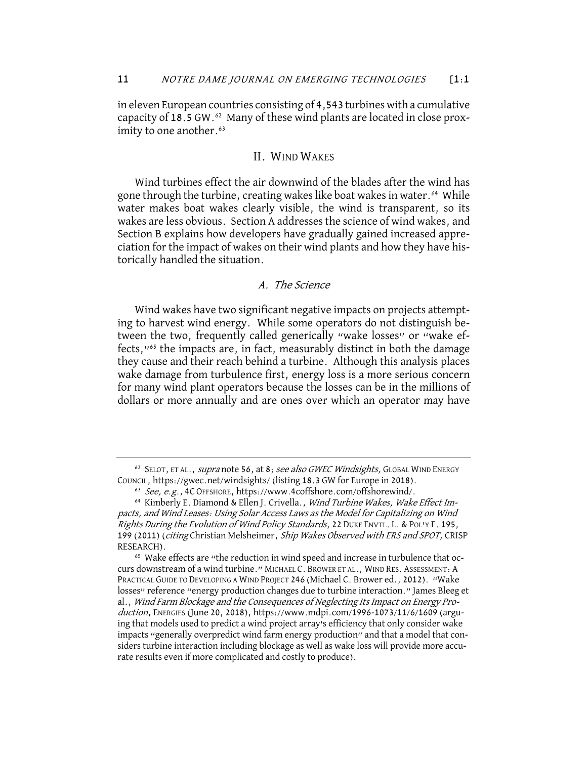in eleven European countries consisting of 4,543 turbines with a cumulative capacity of 18.5 GW.<sup>62</sup> Many of these wind plants are located in close proximity to one another.<sup>63</sup>

#### II. WIND WAKES

Wind turbines effect the air downwind of the blades after the wind has gone through the turbine, creating wakes like boat wakes in water.<sup>64</sup> While water makes boat wakes clearly visible, the wind is transparent, so its wakes are less obvious. Section A addressesthe science of wind wakes, and Section B explains how developers have gradually gained increased appreciation for the impact of wakes on their wind plants and how they have historically handled the situation.

#### A. The Science

Wind wakes have two significant negative impacts on projects attempting to harvest wind energy. While some operators do not distinguish between the two, frequently called generically "wake losses" or "wake effects,"65 the impacts are, in fact, measurably distinct in both the damage they cause and their reach behind a turbine. Although this analysis places wake damage from turbulence first, energy loss is a more serious concern for many wind plant operators because the losses can be in the millions of dollars or more annually and are ones over which an operator may have

<sup>&</sup>lt;sup>62</sup> SELOT, ET AL., *supra* note 56, at 8; see also GWEC Windsights, GLOBAL WIND ENERGY COUNCIL, https://gwec.net/windsights/ (listing 18.3 GW for Europe in 2018).

<sup>63</sup> See, e.g., 4C OFFSHORE, https://www.4coffshore.com/offshorewind/.

<sup>&</sup>lt;sup>64</sup> Kimberly E. Diamond & Ellen J. Crivella., Wind Turbine Wakes, Wake Effect Impacts, and Wind Leases: Using Solar Access Laws as the Model for Capitalizing on Wind Rights During the Evolution of Wind Policy Standards, 22 DUKE ENVTL. L. & POL'Y F. 195, 199 (2011) (citing Christian Melsheimer, Ship Wakes Observed with ERS and SPOT, CRISP RESEARCH).<br><sup>65</sup> Wake effects are "the reduction in wind speed and increase in turbulence that oc-

curs downstream of a wind turbine." MICHAEL C. BROWER ET AL., WIND RES. ASSESSMENT: A PRACTICAL GUIDE TO DEVELOPING A WIND PROJECT 246 (Michael C. Brower ed., 2012). "Wake losses" reference "energy production changes due to turbine interaction." James Bleeg et al., Wind Farm Blockage and the Consequences of Neglecting Its Impact on Energy Production, ENERGIES (June 20, 2018), https://www.mdpi.com/1996-1073/11/6/1609 (arguing that models used to predict a wind project array's efficiency that only consider wake impacts "generally overpredict wind farm energy production" and that a model that considers turbine interaction including blockage as well as wake loss will provide more accurate results even if more complicated and costly to produce).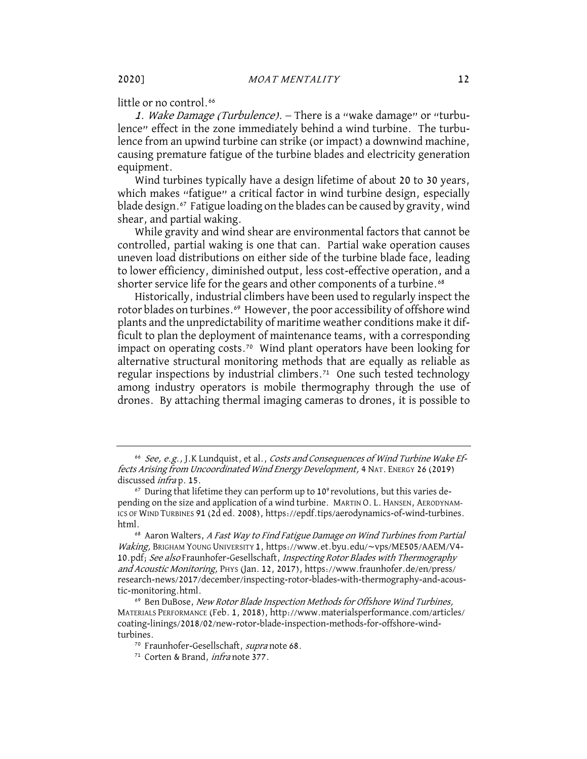little or no control.<sup>66</sup>

1. Wake Damage (Turbulence). – There is a "wake damage" or "turbulence" effect in the zone immediately behind a wind turbine. The turbulence from an upwind turbine can strike (or impact) a downwind machine, causing premature fatigue of the turbine blades and electricity generation equipment.

Wind turbines typically have a design lifetime of about 20 to 30 years, which makes "fatigue" a critical factor in wind turbine design, especially blade design.67 Fatigue loading on the blades can be caused by gravity, wind shear, and partial waking.

While gravity and wind shear are environmental factors that cannot be controlled, partial waking is one that can. Partial wake operation causes uneven load distributions on either side of the turbine blade face, leading to lower efficiency, diminished output, less cost-effective operation, and a shorter service life for the gears and other components of a turbine.<sup>68</sup>

Historically, industrial climbers have been used to regularly inspect the rotor blades on turbines.<sup>69</sup> However, the poor accessibility of offshore wind plants and the unpredictability of maritime weather conditions make it difficult to plan the deployment of maintenance teams, with a corresponding impact on operating costs.<sup>70</sup> Wind plant operators have been looking for alternative structural monitoring methods that are equally as reliable as regular inspections by industrial climbers.<sup>71</sup> One such tested technology among industry operators is mobile thermography through the use of drones. By attaching thermal imaging cameras to drones, it is possible to

<sup>&</sup>lt;sup>66</sup> See, e.g., J.K Lundquist, et al., Costs and Consequences of Wind Turbine Wake Effects Arising from Uncoordinated Wind Energy Development, 4 NAT. ENERGY 26 (2019) discussed *infra* p. 15.<br><sup>67</sup> During that lifetime they can perform up to 10° revolutions, but this varies de-

pending on the size and application of a wind turbine. MARTIN O. L.HANSEN, AERODYNAM-ICS OF WIND TURBINES 91 (2d ed. 2008), https://epdf.tips/aerodynamics-of-wind-turbines. html.

<sup>&</sup>lt;sup>68</sup> Aaron Walters, A Fast Way to Find Fatigue Damage on Wind Turbines from Partial Waking, BRIGHAM YOUNG UNIVERSITY 1, https://www.et.byu.edu/~vps/ME505/AAEM/V4- 10.pdf; See also Fraunhofer-Gesellschaft, Inspecting Rotor Blades with Thermography and Acoustic Monitoring, PHYS (Jan. 12, 2017), https://www.fraunhofer.de/en/press/ research-news/2017/december/inspecting-rotor-blades-with-thermography-and-acoustic-monitoring.html.

<sup>&</sup>lt;sup>69</sup> Ben DuBose, New Rotor Blade Inspection Methods for Offshore Wind Turbines, MATERIALS PERFORMANCE (Feb. 1, 2018), http://www.materialsperformance.com/articles/ coating-linings/2018/02/new-rotor-blade-inspection-methods-for-offshore-windturbines.

<sup>&</sup>lt;sup>70</sup> Fraunhofer-Gesellschaft, *supra* note 68.<br><sup>71</sup> Corten & Brand, *infra* note 377.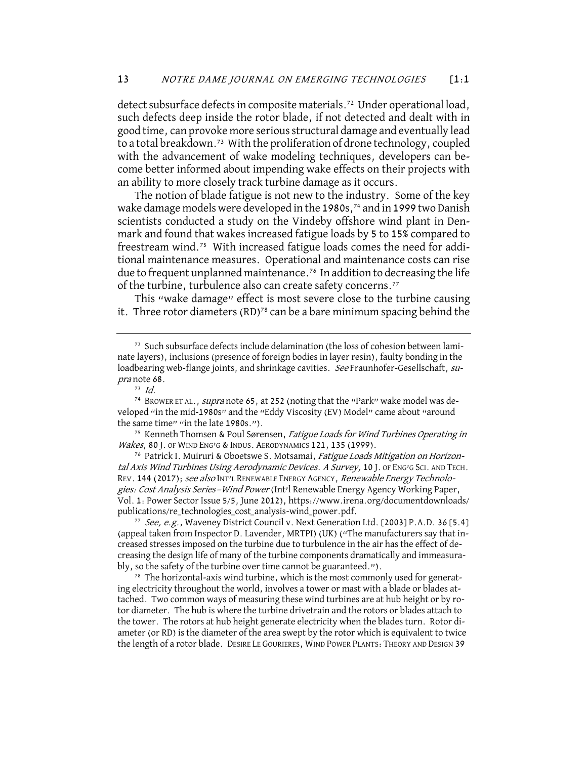detect subsurface defects in composite materials.72 Under operational load, such defects deep inside the rotor blade, if not detected and dealt with in good time, can provoke more serious structural damage and eventually lead to a total breakdown.73 With the proliferation of drone technology, coupled with the advancement of wake modeling techniques, developers can become better informed about impending wake effects on their projects with an ability to more closely track turbine damage as it occurs.

The notion of blade fatigue is not new to the industry. Some of the key wake damage models were developed in the 1980s, <sup>74</sup> and in 1999 two Danish scientists conducted a study on the Vindeby offshore wind plant in Denmark and found that wakes increased fatigue loads by 5 to 15% compared to freestream wind.75 With increased fatigue loads comes the need for additional maintenance measures. Operational and maintenance costs can rise due to frequent unplanned maintenance.<sup>76</sup> In addition to decreasing the life of the turbine, turbulence also can create safety concerns.<sup>77</sup>

This "wake damage" effect is most severe close to the turbine causing it. Three rotor diameters (RD)78 can be a bare minimum spacing behind the

<sup>75</sup> Kenneth Thomsen & Poul Sørensen, Fatigue Loads for Wind Turbines Operating in Wakes, 80 J. OF WIND ENG'G & INDUS. AERODYNAMICS 121, 135 (1999).

<sup>76</sup> Patrick I. Muiruri & Oboetswe S. Motsamai, Fatigue Loads Mitigation on Horizontal Axis Wind Turbines Using Aerodynamic Devices. A Survey, 10 J. OF ENG'G SCI. AND TECH. REV. 144 (2017); see also INT'L RENEWABLE ENERGY AGENCY, Renewable Energy Technologies: Cost Analysis Series—Wind Power (Int'l Renewable Energy Agency Working Paper, Vol. 1: Power Sector Issue 5/5, June 2012), https://www.irena.org/documentdownloads/ publications/re\_technologies\_cost\_analysis-wind\_power.pdf.

77 See, e.g., Waveney District Council v. Next Generation Ltd. [2003] P.A.D. 36 [5.4] (appeal taken from Inspector D. Lavender, MRTPI) (UK) ("The manufacturers say that increased stresses imposed on the turbine due to turbulence in the air has the effect of decreasing the design life of many of the turbine components dramatically and immeasurably, so the safety of the turbine over time cannot be guaranteed.").

<sup>78</sup> The horizontal-axis wind turbine, which is the most commonly used for generating electricity throughout the world, involves a tower or mast with a blade or blades attached. Two common ways of measuring these wind turbines are at hub height or by rotor diameter. The hub is where the turbine drivetrain and the rotors or blades attach to the tower. The rotors at hub height generate electricity when the blades turn. Rotor diameter (or RD) is the diameter of the area swept by the rotor which is equivalent to twice the length of a rotor blade. DESIRE LE GOURIERES, WIND POWER PLANTS: THEORY AND DESIGN 39

<sup>72</sup> Such subsurface defects include delamination (the loss of cohesion between laminate layers), inclusions (presence of foreign bodies in layer resin), faulty bonding in the loadbearing web-flange joints, and shrinkage cavities. See Fraunhofer-Gesellschaft, supra note 68.

 $73$  *Id.* 

<sup>&</sup>lt;sup>74</sup> BROWER ET AL., *supra* note 65, at 252 (noting that the "Park" wake model was developed "in the mid-1980s" and the "Eddy Viscosity (EV) Model" came about "around the same time" "in the late 1980s.").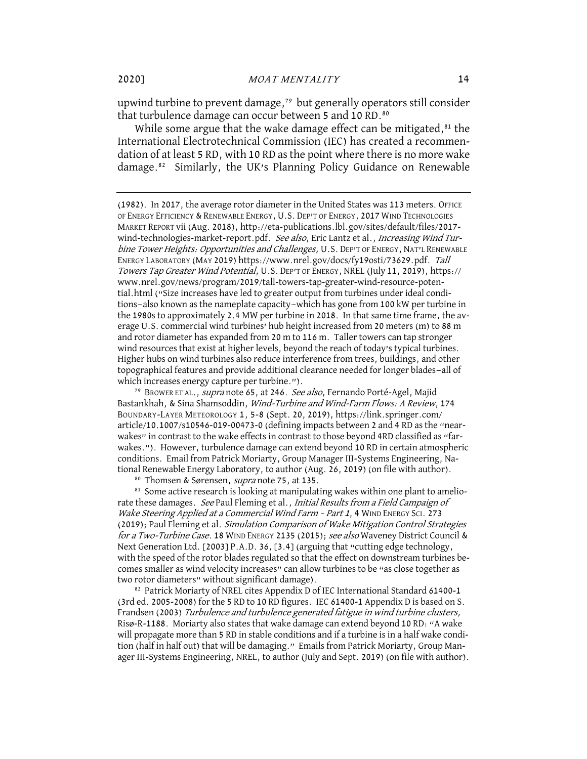upwind turbine to prevent damage,<sup>79</sup> but generally operators still consider that turbulence damage can occur between 5 and 10 RD.80

While some argue that the wake damage effect can be mitigated, $s<sup>1</sup>$  the International Electrotechnical Commission (IEC) has created a recommendation of at least 5 RD, with 10 RD as the point where there is no more wake damage.<sup>82</sup> Similarly, the UK's Planning Policy Guidance on Renewable

<sup>79</sup> BROWER ET AL., *supra* note 65, at 246. *See also*, Fernando Porté-Agel, Majid Bastankhah, & Sina Shamsoddin, Wind-Turbine and Wind-Farm Flows: A Review, 174 BOUNDARY-LAYER METEOROLOGY 1, 5-8 (Sept. 20, 2019), https://link.springer.com/ article/10.1007/s10546-019-00473-0 (defining impacts between 2 and 4 RD as the "nearwakes" in contrast to the wake effects in contrast to those beyond 4RD classified as "farwakes."). However, turbulence damage can extend beyond 10 RD in certain atmospheric conditions. Email from Patrick Moriarty, Group Manager III-Systems Engineering, National Renewable Energy Laboratory, to author (Aug. 26, 2019) (on file with author).

<sup>80</sup> Thomsen & Sørensen, *supra* note 75, at 135.

<sup>81</sup> Some active research is looking at manipulating wakes within one plant to ameliorate these damages. See Paul Fleming et al., Initial Results from a Field Campaign of Wake Steering Applied at a Commercial Wind Farm - Part 1, 4 WIND ENERGY SCI. 273 (2019); Paul Fleming et al. Simulation Comparison of Wake Mitigation Control Strategies for a Two-Turbine Case. 18 WIND ENERGY 2135 (2015); see also Waveney District Council & Next Generation Ltd. [2003] P.A.D. 36, [3.4] (arguing that "cutting edge technology, with the speed of the rotor blades regulated so that the effect on downstream turbines becomes smaller as wind velocity increases" can allow turbines to be "as close together as two rotor diameters" without significant damage).

82 Patrick Moriarty of NREL cites Appendix D of IEC International Standard 61400-1 (3rd ed. 2005-2008) for the 5 RD to 10 RD figures. IEC 61400-1 Appendix D is based on S. Frandsen (2003) Turbulence and turbulence generated fatigue in wind turbine clusters, Risø-R-1188. Moriarty also states that wake damage can extend beyond 10 RD: "A wake will propagate more than 5 RD in stable conditions and if a turbine is in a half wake condition (half in half out) that will be damaging." Emails from Patrick Moriarty, Group Manager III-Systems Engineering, NREL, to author (July and Sept. 2019) (on file with author).

<sup>(1982).</sup> In 2017, the average rotor diameter in the United States was 113 meters. OFFICE OF ENERGY EFFICIENCY & RENEWABLE ENERGY, U.S. DEP'T OF ENERGY, 2017 WIND TECHNOLOGIES MARKET REPORT vii (Aug. 2018), http://eta-publications.lbl.gov/sites/default/files/2017 wind-technologies-market-report.pdf. See also, Eric Lantz et al., Increasing Wind Turbine Tower Heights: Opportunities and Challenges, U.S. DEP'T OF ENERGY, NAT'L RENEWABLE ENERGY LABORATORY (MAY 2019) https://www.nrel.gov/docs/fy19osti/73629.pdf. Tall Towers Tap Greater Wind Potential, U.S. DEP'T OF ENERGY, NREL (July 11, 2019), https:// www.nrel.gov/news/program/2019/tall-towers-tap-greater-wind-resource-potential.html ("Size increases have led to greater output from turbines under ideal conditions—also known as the nameplate capacity—which has gone from 100 kW per turbine in the 1980s to approximately 2.4 MW per turbine in 2018. In that same time frame, the average U.S. commercial wind turbines' hub height increased from 20 meters (m) to 88 m and rotor diameter has expanded from 20 m to 116 m. Taller towers can tap stronger wind resources that exist at higher levels, beyond the reach of today's typical turbines. Higher hubs on wind turbines also reduce interference from trees, buildings, and other topographical features and provide additional clearance needed for longer blades—all of which increases energy capture per turbine.").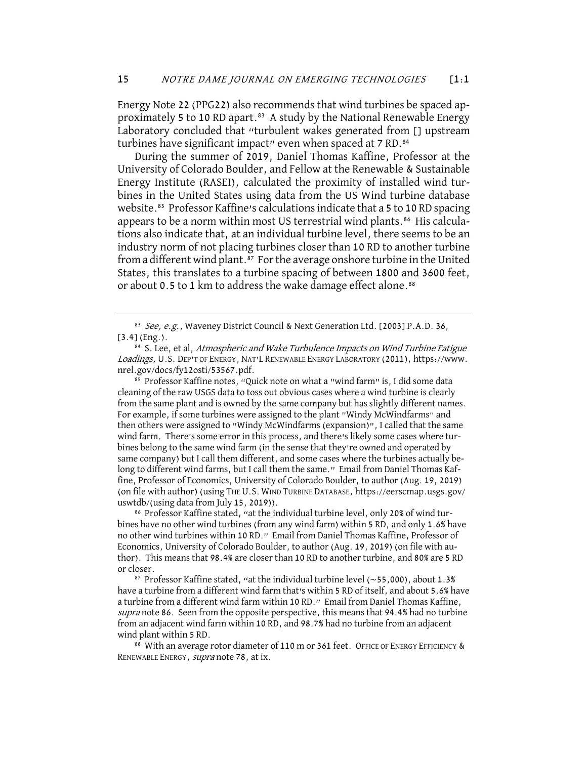Energy Note 22 (PPG22) also recommends that wind turbines be spaced approximately 5 to 10 RD apart.<sup>83</sup> A study by the National Renewable Energy Laboratory concluded that "turbulent wakes generated from [] upstream turbines have significant impact" even when spaced at 7 RD.<sup>84</sup>

During the summer of 2019, Daniel Thomas Kaffine, Professor at the University of Colorado Boulder, and Fellow at the Renewable & Sustainable Energy Institute (RASEI), calculated the proximity of installed wind turbines in the United States using data from the US Wind turbine database website.<sup>85</sup> Professor Kaffine's calculations indicate that a 5 to 10 RD spacing appears to be a norm within most US terrestrial wind plants.<sup>86</sup> His calculations also indicate that, at an individual turbine level, there seems to be an industry norm of not placing turbines closer than 10 RD to another turbine from a different wind plant.<sup>87</sup> For the average onshore turbine in the United States, this translates to a turbine spacing of between 1800 and 3600 feet, or about 0.5 to 1 km to address the wake damage effect alone.<sup>88</sup>

<sup>85</sup> Professor Kaffine notes, "Quick note on what a "wind farm" is, I did some data cleaning of the raw USGS data to toss out obvious cases where a wind turbine is clearly from the same plant and is owned by the same company but has slightly different names. For example, if some turbines were assigned to the plant "Windy McWindfarms" and then others were assigned to "Windy McWindfarms (expansion)", I called that the same wind farm. There's some error in this process, and there's likely some cases where turbines belong to the same wind farm (in the sense that they're owned and operated by same company) but I call them different, and some cases where the turbines actually belong to different wind farms, but I call them the same." Email from Daniel Thomas Kaffine, Professor of Economics, University of Colorado Boulder, to author (Aug. 19, 2019) (on file with author) (using THE U.S. WIND TURBINE DATABASE, https://eerscmap.usgs.gov/ uswtdb/(using data from July 15, 2019)).

86 Professor Kaffine stated, "at the individual turbine level, only 20% of wind turbines have no other wind turbines (from any wind farm) within 5 RD, and only 1.6% have no other wind turbines within 10 RD." Email from Daniel Thomas Kaffine, Professor of Economics, University of Colorado Boulder, to author (Aug. 19, 2019) (on file with author). This means that 98.4% are closer than 10 RD to another turbine, and 80% are 5 RD or closer.

<sup>87</sup> Professor Kaffine stated, "at the individual turbine level (~55,000), about 1.3% have a turbine from a different wind farm that's within 5 RD of itself, and about 5.6% have a turbine from a different wind farm within 10 RD." Email from Daniel Thomas Kaffine, supra note 86. Seen from the opposite perspective, this means that 94.4% had no turbine from an adjacent wind farm within 10 RD, and 98.7% had no turbine from an adjacent wind plant within 5 RD.

88 With an average rotor diameter of 110 m or 361 feet. OFFICE OF ENERGY EFFICIENCY & RENEWABLE ENERGY, supra note 78, at ix.

<sup>83</sup> See, e.g., Waveney District Council & Next Generation Ltd. [2003] P.A.D. 36, [3.4] (Eng.).

<sup>84</sup> S. Lee, et al, Atmospheric and Wake Turbulence Impacts on Wind Turbine Fatigue Loadings, U.S. DEP'T OF ENERGY, NAT'L RENEWABLE ENERGY LABORATORY (2011), https://www. nrel.gov/docs/fy12osti/53567.pdf.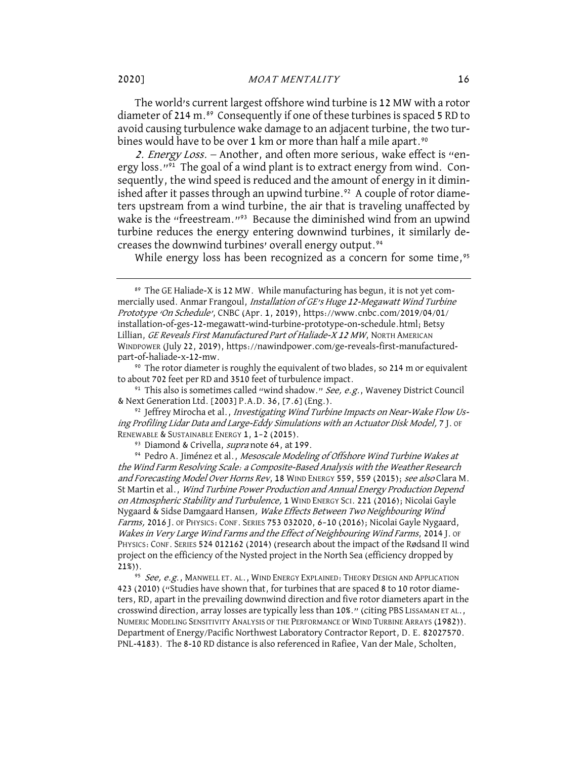The world's current largest offshore wind turbine is 12 MW with a rotor diameter of 214 m.<sup>89</sup> Consequently if one of these turbines is spaced 5 RD to avoid causing turbulence wake damage to an adjacent turbine, the two turbines would have to be over 1 km or more than half a mile apart.<sup>90</sup>

2. *Energy Loss.* – Another, and often more serious, wake effect is "energy loss."<sup>91</sup> The goal of a wind plant is to extract energy from wind. Consequently, the wind speed is reduced and the amount of energy in it diminished after it passes through an upwind turbine.<sup>92</sup> A couple of rotor diameters upstream from a wind turbine, the air that is traveling unaffected by wake is the "freestream."<sup>93</sup> Because the diminished wind from an upwind turbine reduces the energy entering downwind turbines, it similarly decreases the downwind turbines' overall energy output.<sup>94</sup>

While energy loss has been recognized as a concern for some time,<sup>95</sup>

<sup>90</sup> The rotor diameter is roughly the equivalent of two blades, so 214 m or equivalent to about 702 feet per RD and 3510 feet of turbulence impact.

<sup>91</sup> This also is sometimes called "wind shadow." See, e.g., Waveney District Council & Next Generation Ltd. [2003] P.A.D. 36, [7.6] (Eng.).

<sup>92</sup> Jeffrey Mirocha et al., *Investigating Wind Turbine Impacts on Near-Wake Flow Us*ing Profiling Lidar Data and Large-Eddy Simulations with an Actuator Disk Model, 7 J. OF RENEWABLE & SUSTAINABLE ENERGY 1, 1-2 (2015).

<sup>93</sup> Diamond & Crivella, *supra* note 64, at 199.

94 Pedro A. Jiménez et al., Mesoscale Modeling of Offshore Wind Turbine Wakes at the Wind Farm Resolving Scale: a Composite-Based Analysis with the Weather Research and Forecasting Model Over Horns Rev, 18 WIND ENERGY 559, 559 (2015); see also Clara M. St Martin et al., Wind Turbine Power Production and Annual Energy Production Depend on Atmospheric Stability and Turbulence, 1 WIND ENERGY SCI. 221 (2016); Nicolai Gayle Nygaard & Sidse Damgaard Hansen, Wake Effects Between Two Neighbouring Wind Farms, 2016 J. OF PHYSICS: CONF. SERIES 753 032020, 6–10 (2016); Nicolai Gayle Nygaard, Wakes in Very Large Wind Farms and the Effect of Neighbouring Wind Farms, 2014 J. OF PHYSICS: CONF. SERIES 524 012162 (2014) (research about the impact of the Rødsand II wind project on the efficiency of the Nysted project in the North Sea (efficiency dropped by

21%)).<br><sup>95</sup> See, e.g., Manwell Et. al., WIND ENERGY EXPLAINED: THEORY DESIGN AND APPLICATION 423 (2010) ("Studies have shown that, for turbines that are spaced 8 to 10 rotor diameters, RD, apart in the prevailing downwind direction and five rotor diameters apart in the crosswind direction, array losses are typically less than 10%." (citing PBS LISSAMAN ET AL., NUMERIC MODELING SENSITIVITY ANALYSIS OF THE PERFORMANCE OF WIND TURBINE ARRAYS (1982)). Department of Energy/Pacific Northwest Laboratory Contractor Report, D. E. 82027570. PNL-4183). The 8-10 RD distance is also referenced in Rafiee, Van der Male, Scholten,

<sup>89</sup> The GE Haliade-X is 12 MW. While manufacturing has begun, it is not yet commercially used. Anmar Frangoul, Installation of GE's Huge 12-Megawatt Wind Turbine Prototype 'On Schedule', CNBC (Apr. 1, 2019), https://www.cnbc.com/2019/04/01/ installation-of-ges-12-megawatt-wind-turbine-prototype-on-schedule.html; Betsy Lillian, GE Reveals First Manufactured Part of Haliade-X 12 MW, NORTH AMERICAN WINDPOWER (July 22, 2019), https://nawindpower.com/ge-reveals-first-manufacturedpart-of-haliade-x-12-mw.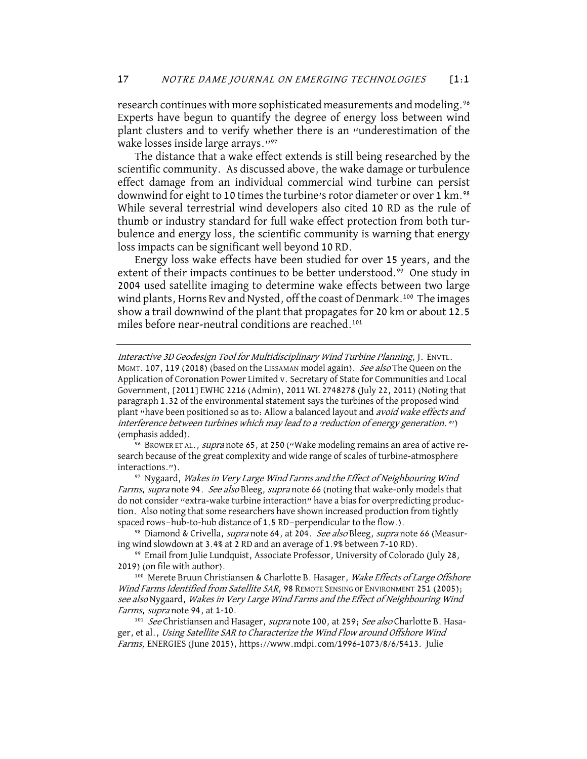research continues with more sophisticated measurements and modeling.<sup>96</sup> Experts have begun to quantify the degree of energy loss between wind plant clusters and to verify whether there is an "underestimation of the wake losses inside large arrays."<sup>97</sup>

The distance that a wake effect extends is still being researched by the scientific community. As discussed above, the wake damage or turbulence effect damage from an individual commercial wind turbine can persist downwind for eight to 10 times the turbine's rotor diameter or over 1 km.<sup>98</sup> While several terrestrial wind developers also cited 10 RD as the rule of thumb or industry standard for full wake effect protection from both turbulence and energy loss, the scientific community is warning that energy loss impacts can be significant well beyond 10 RD.

Energy loss wake effects have been studied for over 15 years, and the extent of their impacts continues to be better understood.<sup>99</sup> One study in 2004 used satellite imaging to determine wake effects between two large wind plants, Horns Rev and Nysted, off the coast of Denmark.<sup>100</sup> The images show a trail downwind of the plant that propagates for 20 km or about 12.5 miles before near-neutral conditions are reached.101

Interactive 3D Geodesign Tool for Multidisciplinary Wind Turbine Planning, J. ENVTL. MGMT. 107, 119 (2018) (based on the LISSAMAN model again). See also The Queen on the Application of Coronation Power Limited v. Secretary of State for Communities and Local Government, [2011] EWHC 2216 (Admin), 2011 WL 2748278 (July 22, 2011) (Noting that paragraph 1.32 of the environmental statement says the turbines of the proposed wind plant "have been positioned so as to: Allow a balanced layout and avoid wake effects and interference between turbines which may lead to a 'reduction of energy generation.'") (emphasis added).

<sup>96</sup> BROWER ET AL., *supra* note 65, at 250 ("Wake modeling remains an area of active research because of the great complexity and wide range of scales of turbine-atmosphere interactions.").

<sup>97</sup> Nygaard, *Wakes in Very Large Wind Farms and the Effect of Neighbouring Wind* Farms, supra note 94. See also Bleeg, supra note 66 (noting that wake-only models that do not consider "extra-wake turbine interaction" have a bias for overpredicting production. Also noting that some researchers have shown increased production from tightly spaced rows—hub-to-hub distance of 1.5 RD—perpendicular to the flow.).

<sup>98</sup> Diamond & Crivella, *supra* note 64, at 204. *See also* Bleeg, *supra* note 66 (Measuring wind slowdown at 3.4% at 2 RD and an average of 1.9% between 7-10 RD).

<sup>99</sup> Email from Julie Lundquist, Associate Professor, University of Colorado (July 28,

<sup>100</sup> Merete Bruun Christiansen & Charlotte B. Hasager, *Wake Effects of Large Offshore* Wind Farms Identified from Satellite SAR, 98 REMOTE SENSING OF ENVIRONMENT 251 (2005); see also Nygaard, Wakes in Very Large Wind Farms and the Effect of Neighbouring Wind Farms, supra note 94, at 1-10.

<sup>101</sup> See Christiansen and Hasager, supra note 100, at 259; See also Charlotte B. Hasager, et al., Using Satellite SAR to Characterize the Wind Flow around Offshore Wind Farms, ENERGIES (June 2015), https://www.mdpi.com/1996-1073/8/6/5413. Julie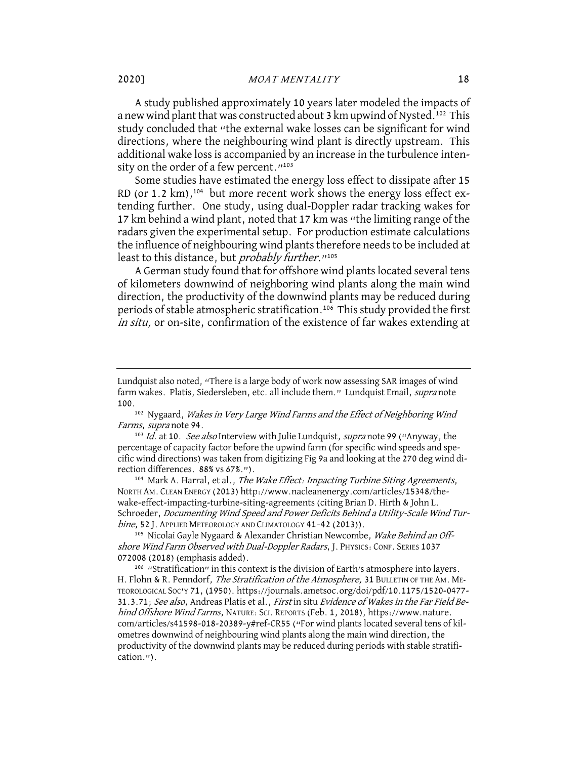A study published approximately 10 years later modeled the impacts of a new wind plant that was constructed about 3 km upwind of Nysted.<sup>102</sup> This study concluded that "the external wake losses can be significant for wind directions, where the neighbouring wind plant is directly upstream. This additional wake loss is accompanied by an increase in the turbulence intensity on the order of a few percent."<sup>103</sup>

Some studies have estimated the energy loss effect to dissipate after 15 RD (or 1.2 km),<sup>104</sup> but more recent work shows the energy loss effect extending further. One study, using dual-Doppler radar tracking wakes for 17 km behind a wind plant, noted that 17 km was "the limiting range of the radars given the experimental setup. For production estimate calculations the influence of neighbouring wind plants therefore needs to be included at least to this distance, but *probably further*."<sup>105</sup>

A German study found that for offshore wind plants located several tens of kilometers downwind of neighboring wind plants along the main wind direction, the productivity of the downwind plants may be reduced during periods of stable atmospheric stratification.106 This study provided the first in situ, or on-site, confirmation of the existence of far wakes extending at

Lundquist also noted, "There is a large body of work now assessing SAR images of wind farm wakes. Platis, Siedersleben, etc. all include them." Lundquist Email, *supra* note

<sup>100.&</sup>lt;br><sup>102</sup> Nygaard, *Wakes in Very Large Wind Farms and the Effect of Neighboring Wind* Farms, supra note 94.

<sup>&</sup>lt;sup>103</sup> Id. at 10. See also Interview with Julie Lundquist, supra note 99 ("Anyway, the percentage of capacity factor before the upwind farm (for specific wind speeds and specific wind directions) was taken from digitizing Fig 9a and looking at the 270 deg wind direction differences. 88% vs 67%.").

<sup>&</sup>lt;sup>104</sup> Mark A. Harral, et al., The Wake Effect: Impacting Turbine Siting Agreements, NORTH AM. CLEAN ENERGY (2013) http://www.nacleanenergy.com/articles/15348/thewake-effect-impacting-turbine-siting-agreements (citing Brian D. Hirth & John L. Schroeder, Documenting Wind Speed and Power Deficits Behind a Utility-Scale Wind Turbine, 52 J. APPLIED METEOROLOGY AND CLIMATOLOGY 41-42 (2013)).

<sup>&</sup>lt;sup>105</sup> Nicolai Gayle Nygaard & Alexander Christian Newcombe, Wake Behind an Offshore Wind Farm Observed with Dual-Doppler Radars, J. PHYSICS: CONF. SERIES 1037 072008 (2018) (emphasis added).

<sup>106 &</sup>quot;Stratification" in this context is the division of Earth's atmosphere into layers. H. Flohn & R. Penndorf, The Stratification of the Atmosphere, 31 BULLETIN OF THE AM. ME-TEOROLOGICAL SOC'Y 71, (1950). https://journals.ametsoc.org/doi/pdf/10.1175/1520-0477- 31.3.71; See also, Andreas Platis et al., First in situ Evidence of Wakes in the Far Field Behind Offshore Wind Farms, NATURE: SCI. REPORTS (Feb. 1, 2018), https://www.nature. com/articles/s41598-018-20389-y#ref-CR55 ("For wind plants located several tens of kilometres downwind of neighbouring wind plants along the main wind direction, the productivity of the downwind plants may be reduced during periods with stable stratification.").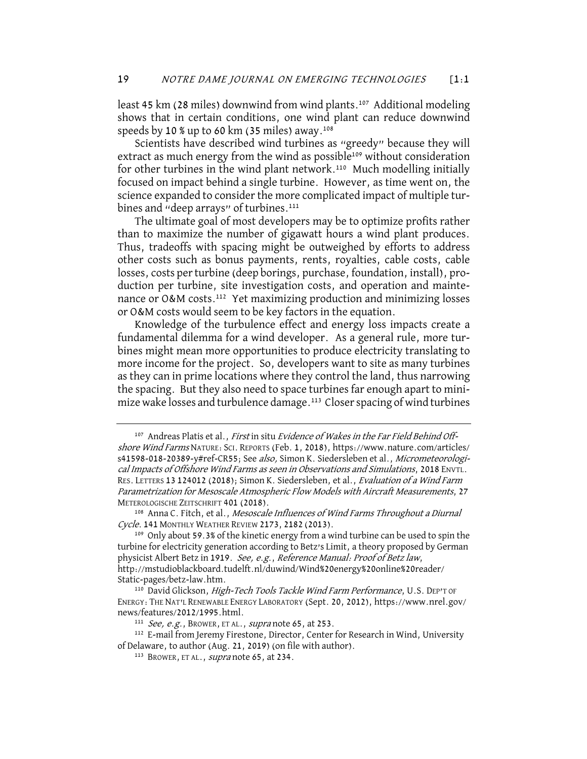least 45 km (28 miles) downwind from wind plants.<sup>107</sup> Additional modeling shows that in certain conditions, one wind plant can reduce downwind speeds by 10 % up to 60 km (35 miles) away.<sup>108</sup>

Scientists have described wind turbines as "greedy" because they will extract as much energy from the wind as possible<sup>109</sup> without consideration for other turbines in the wind plant network.<sup>110</sup> Much modelling initially focused on impact behind a single turbine. However, as time went on, the science expanded to consider the more complicated impact of multiple turbines and "deep arrays" of turbines.<sup>111</sup>

The ultimate goal of most developers may be to optimize profits rather than to maximize the number of gigawatt hours a wind plant produces. Thus, tradeoffs with spacing might be outweighed by efforts to address other costs such as bonus payments, rents, royalties, cable costs, cable losses, costs per turbine (deep borings, purchase, foundation, install), production per turbine, site investigation costs, and operation and maintenance or O&M costs.<sup>112</sup> Yet maximizing production and minimizing losses or O&M costs would seem to be key factors in the equation.

Knowledge of the turbulence effect and energy loss impacts create a fundamental dilemma for a wind developer. As a general rule, more turbines might mean more opportunities to produce electricity translating to more income for the project. So, developers want to site as many turbines as they can in prime locations where they control the land, thus narrowing the spacing. But they also need to space turbines far enough apart to minimize wake losses and turbulence damage.<sup>113</sup> Closer spacing of wind turbines

<sup>107</sup> Andreas Platis et al., First in situ Evidence of Wakes in the Far Field Behind Offshore Wind Farms NATURE: SCI. REPORTS (Feb. 1, 2018), https://www.nature.com/articles/ s41598-018-20389-y#ref-CR55; See also, Simon K. Siedersleben et al., Micrometeorological Impacts of Offshore Wind Farms as seen in Observations and Simulations, 2018 ENVTL. RES. LETTERS 13 124012 (2018); Simon K. Siedersleben, et al., *Evaluation of a Wind Farm* Parametrization for Mesoscale Atmospheric Flow Models with Aircraft Measurements, 27 METEROLOGISCHE ZEITSCHRIFT 401 (2018).

<sup>108</sup> Anna C. Fitch, et al., Mesoscale Influences of Wind Farms Throughout a Diurnal *Cycle*. 141 MONTHLY WEATHER REVIEW 2173, 2182 (2013).<br><sup>109</sup> Only about 59.3% of the kinetic energy from a wind turbine can be used to spin the

turbine for electricity generation according to Betz's Limit, a theory proposed by German physicist Albert Betz in 1919. See, e.g., Reference Manual: Proof of Betz law, http://mstudioblackboard.tudelft.nl/duwind/Wind%20energy%20online%20reader/ Static-pages/betz-law.htm.

<sup>110</sup> David Glickson, High-Tech Tools Tackle Wind Farm Performance, U.S. DEP'T OF ENERGY: THE NAT'L RENEWABLE ENERGY LABORATORY (Sept. 20, 2012), https://www.nrel.gov/ news/features/2012/1995.html.

 $111$  See, e.g., BROWER, ET AL., supranote 65, at 253.

<sup>112</sup> E-mail from Jeremy Firestone, Director, Center for Research in Wind, University of Delaware, to author (Aug. 21, 2019) (on file with author).

<sup>113</sup> BROWER, ET AL., *supra* note 65, at 234.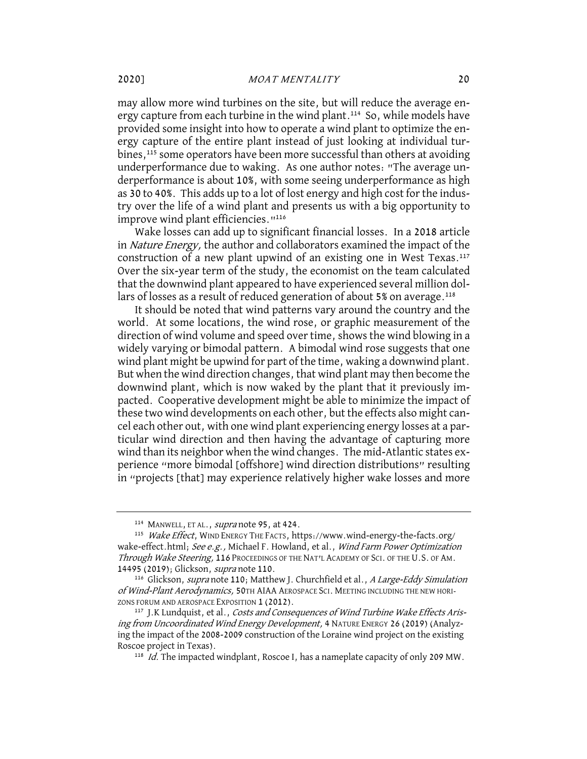may allow more wind turbines on the site, but will reduce the average energy capture from each turbine in the wind plant.<sup>114</sup> So, while models have provided some insight into how to operate a wind plant to optimize the energy capture of the entire plant instead of just looking at individual turbines,<sup>115</sup> some operators have been more successful than others at avoiding underperformance due to waking. As one author notes: "The average underperformance is about 10%, with some seeing underperformance as high as 30 to 40%. This adds up to a lot of lost energy and high cost for the industry over the life of a wind plant and presents us with a big opportunity to improve wind plant efficiencies.<sup>"116</sup>

Wake losses can add up to significant financial losses. In a 2018 article in *Nature Energy*, the author and collaborators examined the impact of the construction of a new plant upwind of an existing one in West Texas.<sup>117</sup> Over the six-year term of the study, the economist on the team calculated that the downwind plant appeared to have experienced several million dollars of losses as a result of reduced generation of about 5% on average.<sup>118</sup>

It should be noted that wind patterns vary around the country and the world. At some locations, the wind rose, or graphic measurement of the direction of wind volume and speed over time, shows the wind blowing in a widely varying or bimodal pattern. A bimodal wind rose suggests that one wind plant might be upwind for part of the time, waking a downwind plant. But when the wind direction changes, that wind plant may then become the downwind plant, which is now waked by the plant that it previously impacted. Cooperative development might be able to minimize the impact of these two wind developments on each other, but the effects also might cancel each other out, with one wind plant experiencing energy losses at a particular wind direction and then having the advantage of capturing more wind than its neighbor when the wind changes. The mid-Atlantic states experience "more bimodal [offshore] wind direction distributions" resulting in "projects [that] may experience relatively higher wake losses and more

<sup>114</sup> MANWELL, ET AL., *supra* note 95, at 424.

<sup>115</sup> Wake Effect, WIND ENERGY THE FACTS, https://www.wind-energy-the-facts.org/ wake-effect.html; See e.g., Michael F. Howland, et al., Wind Farm Power Optimization Through Wake Steering, 116 PROCEEDINGS OF THE NAT'L ACADEMY OF SCI. OF THE U.S. OF AM.

<sup>14495 (2019);</sup> Glickson, *supra* note 110.<br><sup>116</sup> Glickson, *supra* note 110; Matthew J. Churchfield et al., *A Large-Eddy Simulation* of Wind-Plant Aerodynamics, 50TH AIAA AEROSPACE SCI. MEETING INCLUDING THE NEW HORI-ZONS FORUM AND AEROSPACE EXPOSITION 1 (2012).

<sup>&</sup>lt;sup>117</sup> J.K Lundquist, et al., Costs and Consequences of Wind Turbine Wake Effects Arising from Uncoordinated Wind Energy Development, 4 NATURE ENERGY 26 (2019) (Analyzing the impact of the 2008-2009 construction of the Loraine wind project on the existing Roscoe project in Texas).<br><sup>118</sup> Id. The impacted windplant, Roscoe I, has a nameplate capacity of only 209 MW.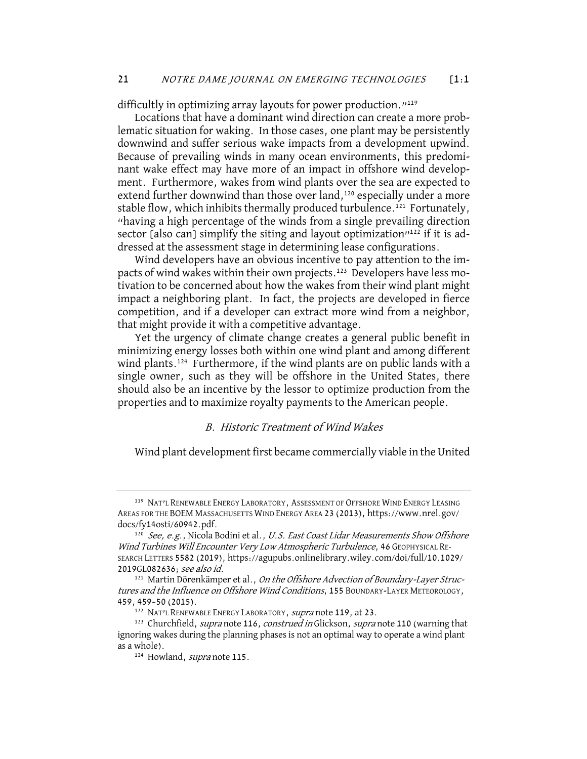difficultly in optimizing array layouts for power production."<sup>119</sup>

Locations that have a dominant wind direction can create a more problematic situation for waking. In those cases, one plant may be persistently downwind and suffer serious wake impacts from a development upwind. Because of prevailing winds in many ocean environments, this predominant wake effect may have more of an impact in offshore wind development. Furthermore, wakes from wind plants over the sea are expected to extend further downwind than those over land,<sup>120</sup> especially under a more stable flow, which inhibits thermally produced turbulence.<sup>121</sup> Fortunately, "having a high percentage of the winds from a single prevailing direction sector [also can] simplify the siting and layout optimization"<sup>122</sup> if it is addressed at the assessment stage in determining lease configurations.

Wind developers have an obvious incentive to pay attention to the impacts of wind wakes within their own projects.<sup>123</sup> Developers have less motivation to be concerned about how the wakes from their wind plant might impact a neighboring plant. In fact, the projects are developed in fierce competition, and if a developer can extract more wind from a neighbor, that might provide it with a competitive advantage.

Yet the urgency of climate change creates a general public benefit in minimizing energy losses both within one wind plant and among different wind plants.<sup>124</sup> Furthermore, if the wind plants are on public lands with a single owner, such as they will be offshore in the United States, there should also be an incentive by the lessor to optimize production from the properties and to maximize royalty payments to the American people.

#### B. Historic Treatment of Wind Wakes

Wind plant development first became commercially viable in the United

<sup>119</sup> NAT'L RENEWABLE ENERGY LABORATORY, ASSESSMENT OF OFFSHORE WIND ENERGY LEASING AREAS FOR THE BOEM MASSACHUSETTS WIND ENERGY AREA 23 (2013), https://www.nrel.gov/ docs/fy14osti/60942.pdf.

 $120$  See, e.g., Nicola Bodini et al., U.S. East Coast Lidar Measurements Show Offshore Wind Turbines Will Encounter Very Low Atmospheric Turbulence, 46 GEOPHYSICAL RE-SEARCH LETTERS 5582 (2019), https://agupubs.onlinelibrary.wiley.com/doi/full/10.1029/ 2019GL082636; see also id.

<sup>&</sup>lt;sup>121</sup> Martin Dörenkämper et al., On the Offshore Advection of Boundary-Layer Structures and the Influence on Offshore Wind Conditions, 155 BOUNDARY-LAYER METEOROLOGY, 459, 459–50 (2015).

<sup>&</sup>lt;sup>122</sup> NAT'L RENEWABLE ENERGY LABORATORY, *supra* note 119, at 23.<br><sup>123</sup> Churchfield, *supra* note 116, *construed in* Glickson, *supra* note 110 (warning that ignoring wakes during the planning phases is not an optimal way to operate a wind plant as a whole).

<sup>124</sup> Howland, *supra* note 115.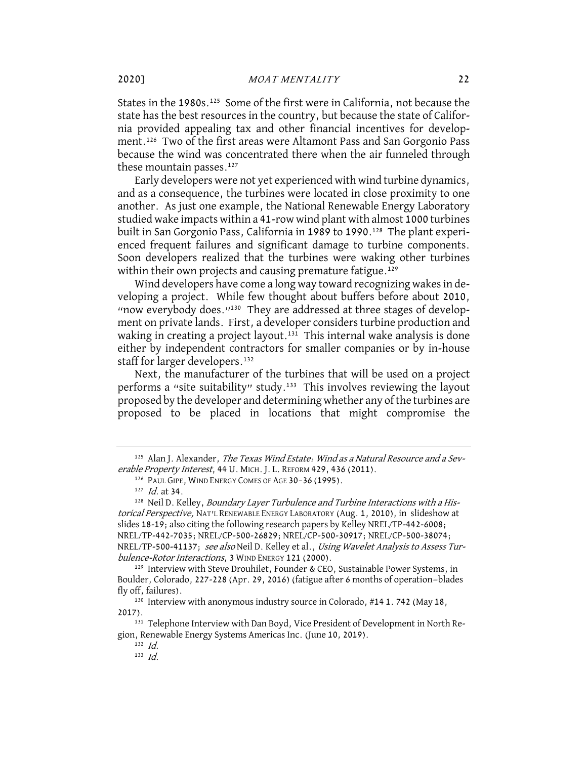States in the 1980s.<sup>125</sup> Some of the first were in California, not because the state has the best resources in the country, but because the state of California provided appealing tax and other financial incentives for development.126 Two of the first areas were Altamont Pass and San Gorgonio Pass because the wind was concentrated there when the air funneled through these mountain passes.<sup>127</sup>

Early developers were not yet experienced with wind turbine dynamics, and as a consequence, the turbines were located in close proximity to one another. As just one example, the National Renewable Energy Laboratory studied wake impacts within a 41-row wind plant with almost 1000 turbines built in San Gorgonio Pass, California in 1989 to 1990.<sup>128</sup> The plant experienced frequent failures and significant damage to turbine components. Soon developers realized that the turbines were waking other turbines within their own projects and causing premature fatigue.<sup>129</sup>

Wind developers have come a long way toward recognizing wakes in developing a project. While few thought about buffers before about 2010, "now everybody does."<sup>130</sup> They are addressed at three stages of development on private lands. First, a developer considers turbine production and waking in creating a project layout.<sup>131</sup> This internal wake analysis is done either by independent contractors for smaller companies or by in-house staff for larger developers.<sup>132</sup>

Next, the manufacturer of the turbines that will be used on a project performs a "site suitability" study.133 This involves reviewing the layout proposed by the developer and determining whether any of the turbines are proposed to be placed in locations that might compromise the

<sup>&</sup>lt;sup>125</sup> Alan J. Alexander, *The Texas Wind Estate: Wind as a Natural Resource and a Sev*erable Property Interest, 44 U. MICH. J. L. REFORM 429, 436 (2011).

<sup>126</sup> PAUL GIPE, WIND ENERGY COMES OF AGE 30–36 (1995).

 $127$  *Id.* at 34.

<sup>&</sup>lt;sup>128</sup> Neil D. Kelley, *Boundary Layer Turbulence and Turbine Interactions with a His*torical Perspective, NAT'L RENEWABLE ENERGY LABORATORY (Aug. 1, 2010), in slideshow at slides 18-19; also citing the following research papers by Kelley NREL/TP-442-6008; NREL/TP-442-7035; NREL/CP-500-26829; NREL/CP-500-30917; NREL/CP-500-38074; NREL/TP-500-41137; see also Neil D. Kelley et al., Using Wavelet Analysis to Assess Turbulence-Rotor Interactions, 3 WIND ENERGY 121 (2000).

<sup>&</sup>lt;sup>129</sup> Interview with Steve Drouhilet, Founder & CEO, Sustainable Power Systems, in Boulder, Colorado, 227-228 (Apr. 29, 2016) (fatigue after 6 months of operation—blades fly off, failures).

<sup>&</sup>lt;sup>130</sup> Interview with anonymous industry source in Colorado, #14 1. 742 (May 18, 2017).

<sup>131</sup> Telephone Interview with Dan Boyd, Vice President of Development in North Region, Renewable Energy Systems Americas Inc. (June 10, 2019).<br><sup>132</sup> Id.

 $133$  *Id.*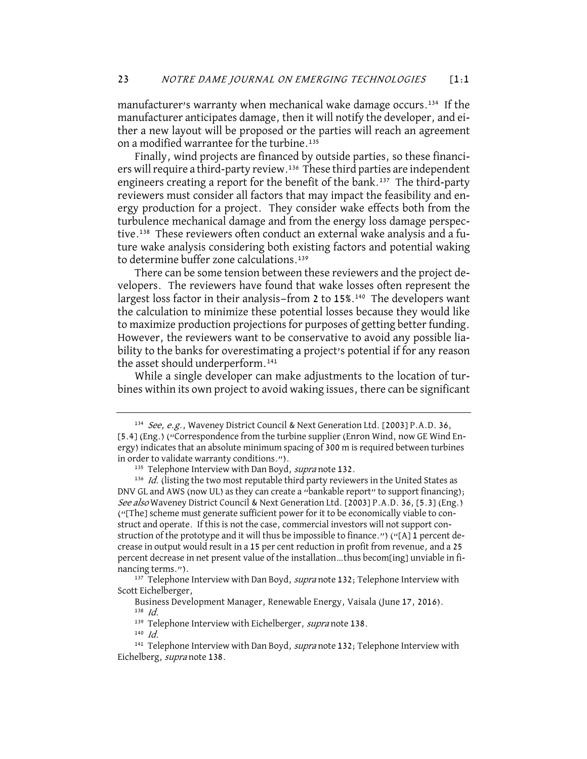manufacturer's warranty when mechanical wake damage occurs.<sup>134</sup> If the manufacturer anticipates damage, then it will notify the developer, and either a new layout will be proposed or the parties will reach an agreement on a modified warrantee for the turbine.<sup>135</sup>

Finally, wind projects are financed by outside parties, so these financiers will require a third-party review.<sup>136</sup> These third parties are independent engineers creating a report for the benefit of the bank.<sup>137</sup> The third-party reviewers must consider all factors that may impact the feasibility and energy production for a project. They consider wake effects both from the turbulence mechanical damage and from the energy loss damage perspective.<sup>138</sup> These reviewers often conduct an external wake analysis and a future wake analysis considering both existing factors and potential waking to determine buffer zone calculations.<sup>139</sup>

There can be some tension between these reviewers and the project developers. The reviewers have found that wake losses often represent the largest loss factor in their analysis–from 2 to 15%.<sup>140</sup> The developers want the calculation to minimize these potential losses because they would like to maximize production projections for purposes of getting better funding. However, the reviewers want to be conservative to avoid any possible liability to the banks for overestimating a project's potential if for any reason the asset should underperform.141

While a single developer can make adjustments to the location of turbines within its own project to avoid waking issues, there can be significant

<sup>&</sup>lt;sup>134</sup> See, e.g., Waveney District Council & Next Generation Ltd. [2003] P.A.D. 36, [5.4] (Eng.) ("Correspondence from the turbine supplier (Enron Wind, now GE Wind Energy) indicates that an absolute minimum spacing of 300 m is required between turbines in order to validate warranty conditions.").

<sup>&</sup>lt;sup>135</sup> Telephone Interview with Dan Boyd, supra note 132.

 $136$  *Id.* (listing the two most reputable third party reviewers in the United States as DNV GL and AWS (now UL) as they can create a "bankable report" to support financing); See also Waveney District Council & Next Generation Ltd. [2003] P.A.D. 36, [5.3] (Eng.) ("[The] scheme must generate sufficient power for it to be economically viable to construct and operate. If this is not the case, commercial investors will not support construction of the prototype and it will thus be impossible to finance.") ("[A] 1 percent decrease in output would result in a 15 per cent reduction in profit from revenue, and a 25 percent decrease in net present value of the installation…thus becom[ing] unviable in financing terms.").

<sup>&</sup>lt;sup>137</sup> Telephone Interview with Dan Boyd, *supra* note 132; Telephone Interview with Scott Eichelberger,

Business Development Manager, Renewable Energy, Vaisala (June 17, 2016).  $138$  *Id.* 

<sup>&</sup>lt;sup>139</sup> Telephone Interview with Eichelberger, *supra* note 138.

<sup>140</sup> Id.

<sup>&</sup>lt;sup>141</sup> Telephone Interview with Dan Boyd, *supra* note 132; Telephone Interview with Eichelberg, supra note 138.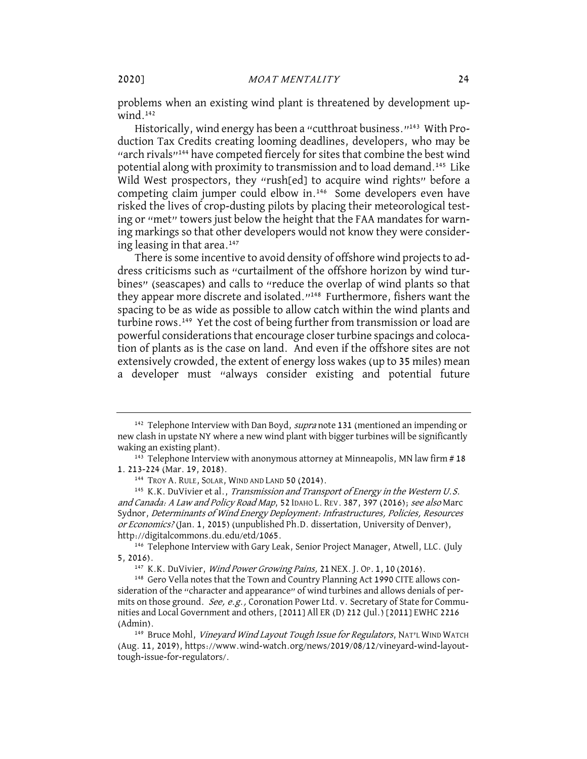problems when an existing wind plant is threatened by development upwind.<sup>142</sup>

Historically, wind energy has been a "cutthroat business."<sup>143</sup> With Production Tax Credits creating looming deadlines, developers, who may be "arch rivals"<sup>144</sup> have competed fiercely for sites that combine the best wind potential along with proximity to transmission and to load demand.145 Like Wild West prospectors, they "rush[ed] to acquire wind rights" before a competing claim jumper could elbow in.146 Some developers even have risked the lives of crop-dusting pilots by placing their meteorological testing or "met" towers just below the height that the FAA mandates for warning markings so that other developers would not know they were considering leasing in that area.147

There is some incentive to avoid density of offshore wind projects to address criticisms such as "curtailment of the offshore horizon by wind turbines" (seascapes) and calls to "reduce the overlap of wind plants so that they appear more discrete and isolated."148 Furthermore, fishers want the spacing to be as wide as possible to allow catch within the wind plants and turbine rows.149 Yet the cost of being further from transmission or load are powerful considerations that encourage closer turbine spacings and colocation of plants as is the case on land. And even if the offshore sites are not extensively crowded, the extent of energy loss wakes (up to 35 miles) mean a developer must "always consider existing and potential future

<sup>&</sup>lt;sup>142</sup> Telephone Interview with Dan Boyd, *supra* note 131 (mentioned an impending or new clash in upstate NY where a new wind plant with bigger turbines will be significantly waking an existing plant).<br><sup>143</sup> Telephone Interview with anonymous attorney at Minneapolis, MN law firm # 18

<sup>1.</sup> 213-224 (Mar. 19, 2018).

<sup>&</sup>lt;sup>144</sup> TROY A. RULE, SOLAR, WIND AND LAND 50 (2014).

<sup>&</sup>lt;sup>145</sup> K.K. DuVivier et al., *Transmission and Transport of Energy in the Western U.S.* and Canada: A Law and Policy Road Map, 52 IDAHO L. REV. 387, 397 (2016); see also Marc Sydnor, Determinants of Wind Energy Deployment: Infrastructures, Policies, Resources or Economics? (Jan. 1, 2015) (unpublished Ph.D. dissertation, University of Denver), http://digitalcommons.du.edu/etd/1065. 146 Telephone Interview with Gary Leak, Senior Project Manager, Atwell, LLC. (July

<sup>5, 2016).</sup>

<sup>&</sup>lt;sup>147</sup> K.K. DuVivier, Wind Power Growing Pains, 21 NEX. J. OP. 1, 10 (2016).

<sup>148</sup> Gero Vella notes that the Town and Country Planning Act 1990 CITE allows consideration of the "character and appearance" of wind turbines and allows denials of permits on those ground. See, e.g., Coronation Power Ltd. v. Secretary of State for Communities and Local Government and others, [2011] All ER (D) 212 (Jul.) [2011] EWHC 2216 (Admin).

<sup>&</sup>lt;sup>149</sup> Bruce Mohl, Vineyard Wind Layout Tough Issue for Regulators, NAT'L WIND WATCH (Aug. 11, 2019), https://www.wind-watch.org/news/2019/08/12/vineyard-wind-layouttough-issue-for-regulators/.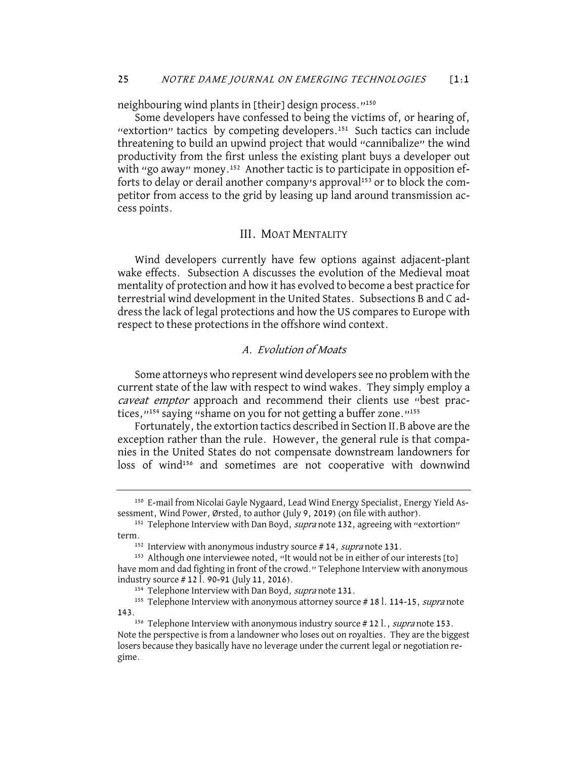neighbouring wind plants in [their] design process."150

Some developers have confessed to being the victims of, or hearing of, "extortion" tactics by competing developers.<sup>151</sup> Such tactics can include threatening to build an upwind project that would "cannibalize" the wind productivity from the first unless the existing plant buys a developer out with "go away" money.<sup>152</sup> Another tactic is to participate in opposition efforts to delay or derail another company's approval<sup>153</sup> or to block the competitor from access to the grid by leasing up land around transmission access points.

#### III. MOAT MENTALITY

Wind developers currently have few options against adjacent-plant wake effects. Subsection A discusses the evolution of the Medieval moat mentality of protection and how it has evolved to become a best practice for terrestrial wind development in the United States. Subsections B and C address the lack of legal protections and how the US compares to Europe with respect to these protections in the offshore wind context.

#### A. Evolution of Moats

Some attorneys who represent wind developers see no problem with the current state of the law with respect to wind wakes. They simply employ a caveat emptor approach and recommend their clients use "best practices,<sup>1154</sup> saying "shame on you for not getting a buffer zone.<sup>1155</sup>

Fortunately, the extortion tactics described in Section II.B above are the exception rather than the rule. However, the general rule is that companies in the United States do not compensate downstream landowners for loss of wind<sup>156</sup> and sometimes are not cooperative with downwind

<sup>150</sup> E-mail from Nicolai Gayle Nygaard, Lead Wind Energy Specialist, Energy Yield Assessment, Wind Power, Ørsted, to author (July 9, 2019) (on file with author).

<sup>&</sup>lt;sup>151</sup> Telephone Interview with Dan Boyd, *supra* note 132, agreeing with "extortion" term.<br><sup>152</sup> Interview with anonymous industry source # 14, *supra* note 131.

<sup>153</sup> Although one interviewee noted, "It would not be in either of our interests [to] have mom and dad fighting in front of the crowd." Telephone Interview with anonymous industry source # 12 l. 90-91 (July 11, 2016).

<sup>&</sup>lt;sup>154</sup> Telephone Interview with Dan Boyd, *supra* note 131.<br><sup>155</sup> Telephone Interview with anonymous attorney source # 18 l. 114-15, *supra* note 143.<br><sup>156</sup> Telephone Interview with anonymous industry source # 12 l., *supra* note 153.

Note the perspective is from a landowner who loses out on royalties. They are the biggest losers because they basically have no leverage under the current legal or negotiation regime.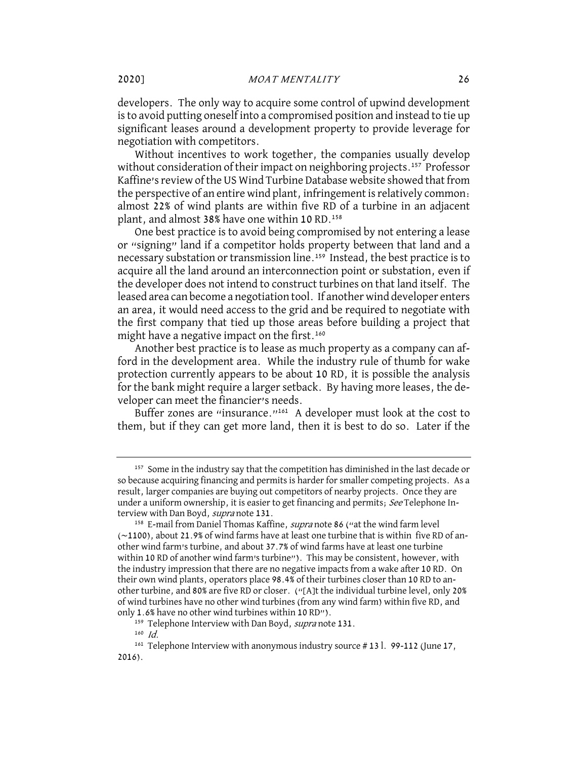developers. The only way to acquire some control of upwind development is to avoid putting oneself into a compromised position and instead to tie up significant leases around a development property to provide leverage for negotiation with competitors.

Without incentives to work together, the companies usually develop without consideration of their impact on neighboring projects.<sup>157</sup> Professor Kaffine's review of the US Wind Turbine Database website showed that from the perspective of an entire wind plant, infringement is relatively common: almost 22% of wind plants are within five RD of a turbine in an adjacent plant, and almost 38% have one within 10 RD.<sup>158</sup>

One best practice is to avoid being compromised by not entering a lease or "signing" land if a competitor holds property between that land and a necessary substation or transmission line.159 Instead, the best practice is to acquire all the land around an interconnection point or substation, even if the developer does not intend to construct turbines on that land itself. The leased area can become a negotiation tool. If another wind developer enters an area, it would need access to the grid and be required to negotiate with the first company that tied up those areas before building a project that might have a negative impact on the first.<sup>160</sup>

Another best practice is to lease as much property as a company can afford in the development area. While the industry rule of thumb for wake protection currently appears to be about 10 RD, it is possible the analysis for the bank might require a larger setback. By having more leases, the developer can meet the financier's needs.

Buffer zones are "insurance."<sup>161</sup> A developer must look at the cost to them, but if they can get more land, then it is best to do so. Later if the

<sup>&</sup>lt;sup>157</sup> Some in the industry say that the competition has diminished in the last decade or so because acquiring financing and permits is harder for smaller competing projects. As a result, larger companies are buying out competitors of nearby projects. Once they are under a uniform ownership, it is easier to get financing and permits; See Telephone Interview with Dan Boyd, *supra* note 131.<br><sup>158</sup> E-mail from Daniel Thomas Kaffine, *supra* note 86 ("at the wind farm level

<sup>(</sup>~1100), about 21.9% of wind farms have at least one turbine that is within five RD of another wind farm's turbine, and about 37.7% of wind farms have at least one turbine within 10 RD of another wind farm's turbine"). This may be consistent, however, with the industry impression that there are no negative impacts from a wake after 10 RD. On their own wind plants, operators place 98.4% of their turbines closer than 10 RD to another turbine, and 80% are five RD or closer. ("[A]t the individual turbine level, only 20% of wind turbines have no other wind turbines (from any wind farm) within five RD, and only 1.6% have no other wind turbines within 10 RD").

<sup>&</sup>lt;sup>159</sup> Telephone Interview with Dan Boyd, *supra* note 131.

<sup>160</sup> Id.

<sup>&</sup>lt;sup>161</sup> Telephone Interview with anonymous industry source #13 l. 99-112 (June 17, 2016).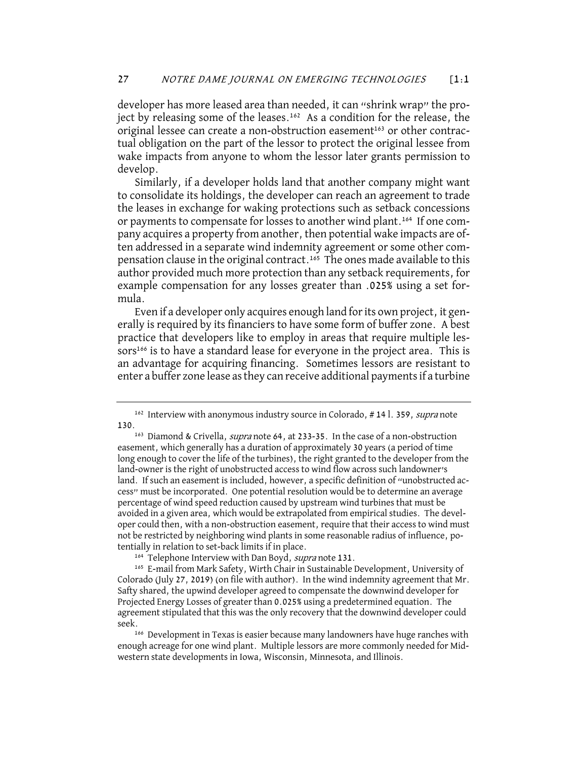developer has more leased area than needed, it can "shrink wrap" the project by releasing some of the leases.<sup>162</sup> As a condition for the release, the original lessee can create a non-obstruction easement<sup>163</sup> or other contractual obligation on the part of the lessor to protect the original lessee from wake impacts from anyone to whom the lessor later grants permission to develop.

Similarly, if a developer holds land that another company might want to consolidate its holdings, the developer can reach an agreement to trade the leases in exchange for waking protections such as setback concessions or payments to compensate for losses to another wind plant.<sup>164</sup> If one company acquires a property from another, then potential wake impacts are often addressed in a separate wind indemnity agreement or some other compensation clause in the original contract.<sup>165</sup> The ones made available to this author provided much more protection than any setback requirements, for example compensation for any losses greater than .025% using a set formula.

Even if a developer only acquires enough land for its own project, it generally is required by its financiers to have some form of buffer zone. A best practice that developers like to employ in areas that require multiple lessors<sup>166</sup> is to have a standard lease for everyone in the project area. This is an advantage for acquiring financing. Sometimes lessors are resistant to enter a buffer zone lease as they can receive additional payments if a turbine

 $162$  Interview with anonymous industry source in Colorado, #14 l. 359, supra note 130.

<sup>&</sup>lt;sup>163</sup> Diamond & Crivella, *supra* note 64, at 233-35. In the case of a non-obstruction easement, which generally has a duration of approximately 30 years (a period of time long enough to cover the life of the turbines), the right granted to the developer from the land-owner is the right of unobstructed access to wind flow across such landowner's land. If such an easement is included, however, a specific definition of "unobstructed access" must be incorporated. One potential resolution would be to determine an average percentage of wind speed reduction caused by upstream wind turbines that must be avoided in a given area, which would be extrapolated from empirical studies. The developer could then, with a non-obstruction easement, require that their access to wind must not be restricted by neighboring wind plants in some reasonable radius of influence, potentially in relation to set-back limits if in place.

<sup>&</sup>lt;sup>164</sup> Telephone Interview with Dan Boyd, *supra* note 131.<br><sup>165</sup> E-mail from Mark Safety, Wirth Chair in Sustainable Development, University of Colorado (July 27, 2019) (on file with author). In the wind indemnity agreement that Mr. Safty shared, the upwind developer agreed to compensate the downwind developer for Projected Energy Losses of greater than 0.025% using a predetermined equation. The agreement stipulated that this was the only recovery that the downwind developer could seek.<br><sup>166</sup> Development in Texas is easier because many landowners have huge ranches with

enough acreage for one wind plant. Multiple lessors are more commonly needed for Midwestern state developments in Iowa, Wisconsin, Minnesota, and Illinois.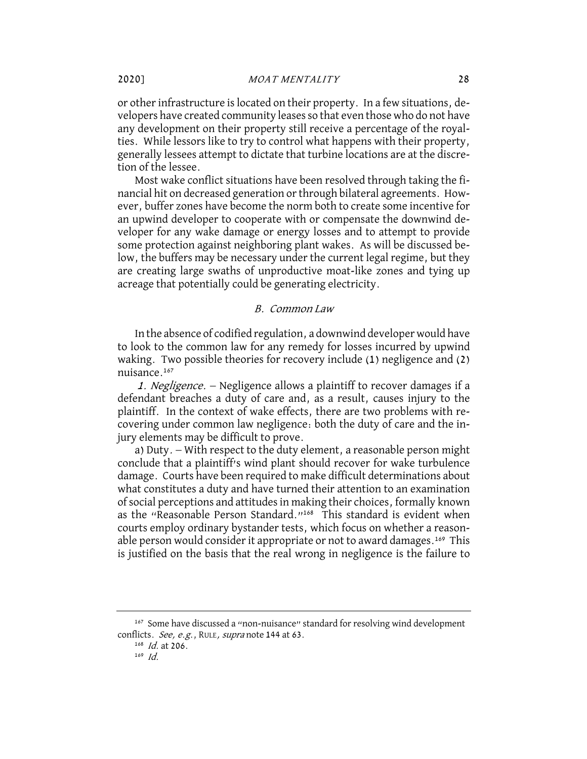or other infrastructure is located on their property. In a few situations, developers have created community leases so that even those who do not have any development on their property still receive a percentage of the royalties. While lessors like to try to control what happens with their property, generally lessees attempt to dictate that turbine locations are at the discretion of the lessee.

Most wake conflict situations have been resolved through taking the financial hit on decreased generation or through bilateral agreements. However, buffer zones have become the norm both to create some incentive for an upwind developer to cooperate with or compensate the downwind developer for any wake damage or energy losses and to attempt to provide some protection against neighboring plant wakes. As will be discussed below, the buffers may be necessary under the current legal regime, but they are creating large swaths of unproductive moat-like zones and tying up acreage that potentially could be generating electricity.

#### B. Common Law

In the absence of codified regulation, a downwind developer would have to look to the common law for any remedy for losses incurred by upwind waking. Two possible theories for recovery include (1) negligence and (2) nuisance.167

1. Negligence. - Negligence allows a plaintiff to recover damages if a defendant breaches a duty of care and, as a result, causes injury to the plaintiff. In the context of wake effects, there are two problems with recovering under common law negligence: both the duty of care and the injury elements may be difficult to prove.

a) Duty. - With respect to the duty element, a reasonable person might conclude that a plaintiff's wind plant should recover for wake turbulence damage. Courts have been required to make difficult determinations about what constitutes a duty and have turned their attention to an examination of social perceptions and attitudes in making their choices, formally known as the "Reasonable Person Standard."168 This standard is evident when courts employ ordinary bystander tests, which focus on whether a reasonable person would consider it appropriate or not to award damages.<sup>169</sup> This is justified on the basis that the real wrong in negligence is the failure to

<sup>&</sup>lt;sup>167</sup> Some have discussed a "non-nuisance" standard for resolving wind development conflicts. See, e.g., RULE, supra note 144 at 63.

<sup>&</sup>lt;sup>168</sup> *Id.* at 206.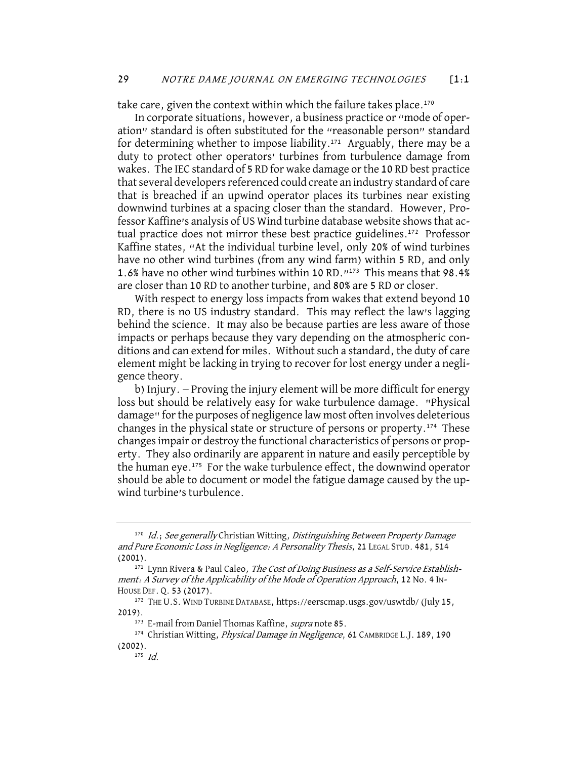take care, given the context within which the failure takes place.<sup>170</sup>

In corporate situations, however, a business practice or "mode of operation" standard is often substituted for the "reasonable person" standard for determining whether to impose liability.<sup>171</sup> Arguably, there may be a duty to protect other operators' turbines from turbulence damage from wakes. The IEC standard of 5 RD for wake damage or the 10 RD best practice that several developers referenced could create an industry standard of care that is breached if an upwind operator places its turbines near existing downwind turbines at a spacing closer than the standard. However, Professor Kaffine's analysis of US Wind turbine database website shows that actual practice does not mirror these best practice guidelines.<sup>172</sup> Professor Kaffine states, "At the individual turbine level, only 20% of wind turbines have no other wind turbines (from any wind farm) within 5 RD, and only 1.6% have no other wind turbines within 10 RD."173 This means that 98.4% are closer than 10 RD to another turbine, and 80% are 5 RD or closer.

With respect to energy loss impacts from wakes that extend beyond 10 RD, there is no US industry standard. This may reflect the law's lagging behind the science. It may also be because parties are less aware of those impacts or perhaps because they vary depending on the atmospheric conditions and can extend for miles. Without such a standard, the duty of care element might be lacking in trying to recover for lost energy under a negligence theory.

b) Injury. - Proving the injury element will be more difficult for energy loss but should be relatively easy for wake turbulence damage. "Physical damage" for the purposes of negligence law most often involves deleterious changes in the physical state or structure of persons or property.174 These changes impair or destroy the functional characteristics of persons or property. They also ordinarily are apparent in nature and easily perceptible by the human eye.175 For the wake turbulence effect, the downwind operator should be able to document or model the fatigue damage caused by the upwind turbine's turbulence.

<sup>&</sup>lt;sup>170</sup> Id.; See generally Christian Witting, Distinguishing Between Property Damage and Pure Economic Loss in Negligence: A Personality Thesis, 21 LEGAL STUD. 481, 514 (2001).

<sup>&</sup>lt;sup>171</sup> Lynn Rivera & Paul Caleo, The Cost of Doing Business as a Self-Service Establishment: A Survey of the Applicability of the Mode of Operation Approach, 12 No. 4 IN-HOUSE DEF. Q. 53 (2017).

<sup>172</sup> THE U.S. WIND TURBINE DATABASE, https://eerscmap.usgs.gov/uswtdb/ (July 15, 2019).

<sup>&</sup>lt;sup>173</sup> E-mail from Daniel Thomas Kaffine, *supra* note 85.

<sup>&</sup>lt;sup>174</sup> Christian Witting, *Physical Damage in Negligence*, 61 CAMBRIDGE L.J. 189, 190 (2002).

 $175$  *Id.*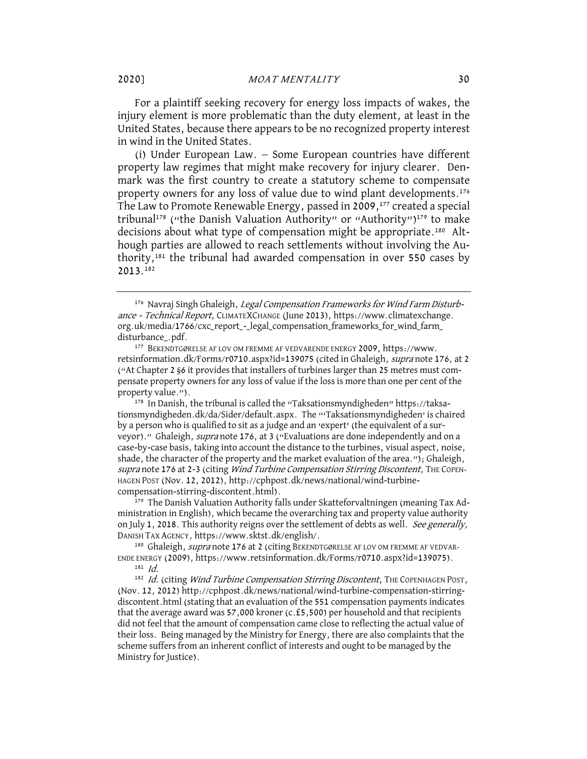For a plaintiff seeking recovery for energy loss impacts of wakes, the injury element is more problematic than the duty element, at least in the United States, because there appears to be no recognized property interest in wind in the United States.

(i) Under European Law. - Some European countries have different property law regimes that might make recovery for injury clearer. Denmark was the first country to create a statutory scheme to compensate property owners for any loss of value due to wind plant developments.176 The Law to Promote Renewable Energy, passed in 2009,<sup>177</sup> created a special tribunal<sup>178</sup> ("the Danish Valuation Authority" or "Authority")<sup>179</sup> to make decisions about what type of compensation might be appropriate.<sup>180</sup> Although parties are allowed to reach settlements without involving the Authority,181 the tribunal had awarded compensation in over 550 cases by 2013.182

178 In Danish, the tribunal is called the "Taksationsmyndigheden" https://taksationsmyndigheden.dk/da/Sider/default.aspx. The "'Taksationsmyndigheden' is chaired by a person who is qualified to sit as a judge and an 'expert' (the equivalent of a surveyor)." Ghaleigh, supra note 176, at 3 ("Evaluations are done independently and on a case-by-case basis, taking into account the distance to the turbines, visual aspect, noise, shade, the character of the property and the market evaluation of the area."); Ghaleigh, supra note 176 at 2-3 (citing Wind Turbine Compensation Stirring Discontent, THE COPEN-HAGEN POST (Nov. 12, 2012), http://cphpost.dk/news/national/wind-turbinecompensation-stirring-discontent.html).

<sup>179</sup> The Danish Valuation Authority falls under Skatteforvaltningen (meaning Tax Administration in English), which became the overarching tax and property value authority on July 1, 2018. This authority reigns over the settlement of debts as well. *See generally*, DANISH TAX AGENCY, https://www.sktst.dk/english/.<br><sup>180</sup> Ghaleigh, *supra* note 176 at 2 (citing BEKENDTGØRELSE AF LOV OM FREMME AF VEDVAR-

<sup>&</sup>lt;sup>176</sup> Navraj Singh Ghaleigh, Legal Compensation Frameworks for Wind Farm Disturbance – Technical Report, CLIMATEXCHANGE (June 2013), https://www.climatexchange. org.uk/media/1766/cxc\_report\_-\_legal\_compensation\_frameworks\_for\_wind\_farm\_ disturbance\_.pdf.

<sup>177</sup> BEKENDTGØRELSE AF LOV OM FREMME AF VEDVARENDE ENERGY 2009, https://www. retsinformation.dk/Forms/r0710.aspx?id=139075 (cited in Ghaleigh, *supra* note 176, at 2 ("At Chapter 2 §6 it provides that installers of turbines larger than 25 metres must compensate property owners for any loss of value if the loss is more than one per cent of the property value.").

ENDE ENERGY (2009), https://www.retsinformation.dk/Forms/r0710.aspx?id=139075).

<sup>181</sup> Id.

<sup>&</sup>lt;sup>182</sup> Id. (citing Wind Turbine Compensation Stirring Discontent, THE COPENHAGEN POST, (Nov. 12, 2012) http://cphpost.dk/news/national/wind-turbine-compensation-stirringdiscontent.html (stating that an evaluation of the 551 compensation payments indicates that the average award was 57,000 kroner  $(c.f.5,500)$  per household and that recipients did not feel that the amount of compensation came close to reflecting the actual value of their loss. Being managed by the Ministry for Energy, there are also complaints that the scheme suffers from an inherent conflict of interests and ought to be managed by the Ministry for Justice).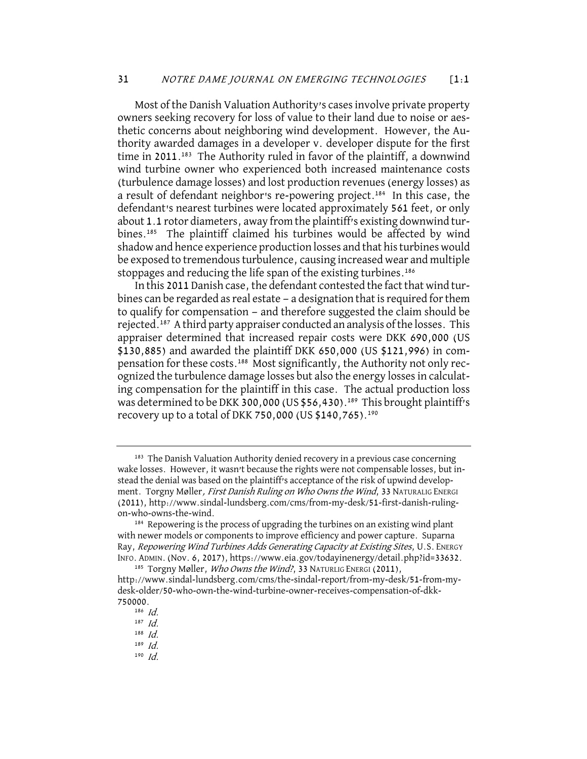Most of the Danish Valuation Authority's cases involve private property owners seeking recovery for loss of value to their land due to noise or aesthetic concerns about neighboring wind development. However, the Authority awarded damages in a developer v. developer dispute for the first time in 2011.<sup>183</sup> The Authority ruled in favor of the plaintiff, a downwind wind turbine owner who experienced both increased maintenance costs (turbulence damage losses) and lost production revenues (energy losses) as a result of defendant neighbor's re-powering project.184 In this case, the defendant's nearest turbines were located approximately 561 feet, or only about 1.1 rotor diameters, away from the plaintiff's existing downwind turbines.<sup>185</sup> The plaintiff claimed his turbines would be affected by wind shadow and hence experience production losses and that his turbines would be exposed to tremendous turbulence, causing increased wear and multiple stoppages and reducing the life span of the existing turbines.<sup>186</sup>

In this 2011 Danish case, the defendant contested the fact that wind turbines can be regarded as real estate — a designation that is required for them to qualify for compensation — and therefore suggested the claim should be rejected.187 A third party appraiser conducted an analysis of the losses. This appraiser determined that increased repair costs were DKK 690,000 (US \$130,885) and awarded the plaintiff DKK 650,000 (US \$121,996) in compensation for these costs.188 Most significantly, the Authority not only recognized the turbulence damage losses but also the energy losses in calculating compensation for the plaintiff in this case. The actual production loss was determined to be DKK 300,000 (US \$56,430).<sup>189</sup> This brought plaintiff's recovery up to a total of DKK 750,000 (US \$140,765).190

<sup>&</sup>lt;sup>183</sup> The Danish Valuation Authority denied recovery in a previous case concerning wake losses. However, it wasn't because the rights were not compensable losses, but instead the denial was based on the plaintiff's acceptance of the risk of upwind development. Torgny Møller, First Danish Ruling on Who Owns the Wind, 33 NATURALIG ENERGI (2011), http://www.sindal-lundsberg.com/cms/from-my-desk/51-first-danish-rulingon-who-owns-the-wind.

<sup>&</sup>lt;sup>184</sup> Repowering is the process of upgrading the turbines on an existing wind plant with newer models or components to improve efficiency and power capture. Suparna Ray, Repowering Wind Turbines Adds Generating Capacity at Existing Sites, U.S. ENERGY INFO. ADMIN.(Nov. 6, 2017), https://www.eia.gov/todayinenergy/detail.php?id=33632.

<sup>&</sup>lt;sup>185</sup> Torgny Møller, Who Owns the Wind?, 33 NATURLIG ENERGI (2011), http://www.sindal-lundsberg.com/cms/the-sindal-report/from-my-desk/51-from-mydesk-older/50-who-own-the-wind-turbine-owner-receives-compensation-of-dkk-750000.

<sup>186</sup> Id.

 $187$  *Id.* 

<sup>188</sup> Id.

 $189$  Id.

 $190$  Id.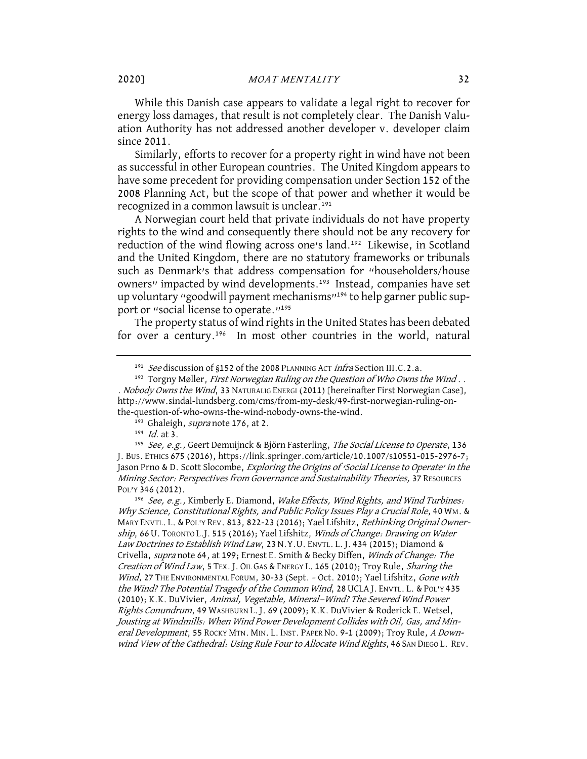While this Danish case appears to validate a legal right to recover for energy loss damages, that result is not completely clear. The Danish Valuation Authority has not addressed another developer v. developer claim since 2011.

Similarly, efforts to recover for a property right in wind have not been as successful in other European countries. The United Kingdom appears to have some precedent for providing compensation under Section 152 of the 2008 Planning Act, but the scope of that power and whether it would be recognized in a common lawsuit is unclear.191

A Norwegian court held that private individuals do not have property rights to the wind and consequently there should not be any recovery for reduction of the wind flowing across one's land.<sup>192</sup> Likewise, in Scotland and the United Kingdom, there are no statutory frameworks or tribunals such as Denmark's that address compensation for "householders/house owners" impacted by wind developments.<sup>193</sup> Instead, companies have set up voluntary "goodwill payment mechanisms"<sup>194</sup> to help garner public support or "social license to operate."<sup>195</sup>

The property status of wind rights in the United States has been debated for over a century.<sup>196</sup> In most other countries in the world, natural

Why Science, Constitutional Rights, and Public Policy Issues Play a Crucial Role, 40 Wm. & MARY ENVTL. L. & POL'Y REV. 813, 822-23 (2016); Yael Lifshitz, Rethinking Original Ownership, 66 U. TORONTO L.J. 515 (2016); Yael Lifshitz, Winds of Change: Drawing on Water Law Doctrines to Establish Wind Law, 23 N.Y.U. ENVTL. L. J. 434 (2015); Diamond & Crivella, supra note 64, at 199; Ernest E. Smith & Becky Diffen, Winds of Change: The Creation of Wind Law, 5 TEX. J. OIL GAS & ENERGY L. 165 (2010); Troy Rule, Sharing the Wind, 27 THE ENVIRONMENTAL FORUM, 30-33 (Sept. - Oct. 2010); Yael Lifshitz, Gone with the Wind? The Potential Tragedy of the Common Wind, 28 UCLA J. ENVTL. L. & POL'Y 435 (2010); K.K. DuVivier, Animal, Vegetable, Mineral—Wind? The Severed Wind Power Rights Conundrum, 49 WASHBURN L.J. 69 (2009); K.K. DuVivier & Roderick E. Wetsel, Jousting at Windmills: When Wind Power Development Collides with Oil, Gas, and Mineral Development, 55 ROCKY MTN. MIN. L. INST. PAPER NO. 9-1 (2009); Troy Rule, A Downwind View of the Cathedral: Using Rule Four to Allocate Wind Rights, 46 SAN DIEGO L. REV.

<sup>&</sup>lt;sup>191</sup> See discussion of §152 of the 2008 PLANNING ACT *infra* Section III.C.2.a.

 $192$  Torgny Møller, First Norwegian Ruling on the Question of Who Owns the Wind.. . Nobody Owns the Wind, 33 NATURALIG ENERGI (2011) [hereinafter First Norwegian Case], http://www.sindal-lundsberg.com/cms/from-my-desk/49-first-norwegian-ruling-onthe-question-of-who-owns-the-wind-nobody-owns-the-wind.

<sup>&</sup>lt;sup>193</sup> Ghaleigh, *supra* note 176, at 2.<br><sup>194</sup> Id. at 3.

<sup>&</sup>lt;sup>195</sup> See, e.g., Geert Demuijnck & Björn Fasterling, *The Social License to Operate*, 136 J. BUS. ETHICS 675 (2016), https://link.springer.com/article/10.1007/s10551-015-2976-7; Jason Prno & D. Scott Slocombe, Exploring the Origins of 'Social License to Operate' in the Mining Sector: Perspectives from Governance and Sustainability Theories, 37 RESOURCES POL'Y 346 (2012).<br><sup>196</sup> See, e.g., Kimberly E. Diamond, *Wake Effects, Wind Rights, and Wind Turbines:*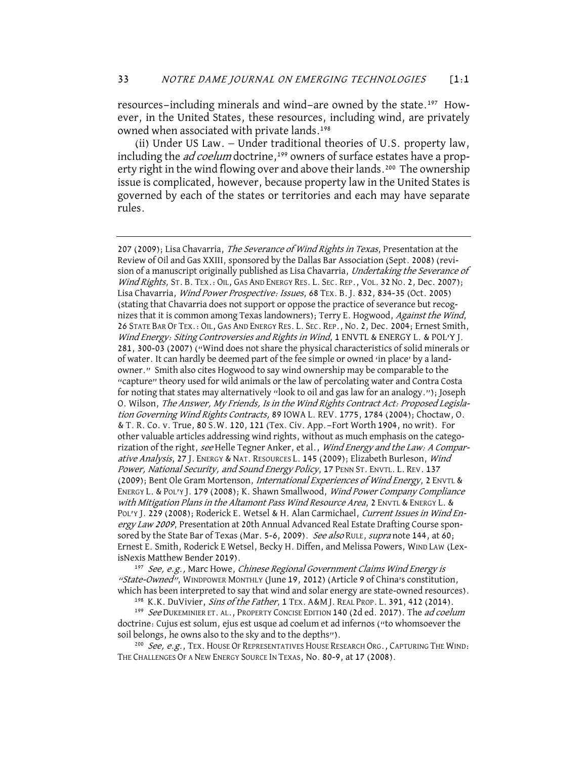resources–including minerals and wind–are owned by the state.<sup>197</sup> However, in the United States, these resources, including wind, are privately owned when associated with private lands.<sup>198</sup>

(ii) Under US Law. - Under traditional theories of U.S. property law, including the *ad coelum* doctrine,<sup>199</sup> owners of surface estates have a property right in the wind flowing over and above their lands.<sup>200</sup> The ownership issue is complicated, however, because property law in the United States is governed by each of the states or territories and each may have separate rules.

<sup>197</sup> See, e.g., Marc Howe, Chinese Regional Government Claims Wind Energy is "State-Owned", WINDPOWER MONTHLY (June 19, 2012) (Article 9 of China's constitution, which has been interpreted to say that wind and solar energy are state-owned resources).

<sup>198</sup> K.K. DuVivier, *Sins of the Father*, 1 TEX. A&M J. REAL PROP. L. 391, 412 (2014).

<sup>199</sup> See DUKEMINIER ET. AL., PROPERTY CONCISE EDITION 140 (2d ed. 2017). The *ad coelum* doctrine: Cujus est solum, ejus est usque ad coelum et ad infernos ("to whomsoever the soil belongs, he owns also to the sky and to the depths").

<sup>200</sup> See, e.g., TEX. HOUSE OF REPRESENTATIVES HOUSE RESEARCH ORG., CAPTURING THE WIND: THE CHALLENGES OF A NEW ENERGY SOURCE IN TEXAS, No. 80-9, at 17 (2008).

<sup>207 (2009);</sup> Lisa Chavarria, The Severance of Wind Rights in Texas, Presentation at the Review of Oil and Gas XXIII, sponsored by the Dallas Bar Association (Sept. 2008) (revision of a manuscript originally published as Lisa Chavarria, Undertaking the Severance of Wind Rights, St. B. TEX.: OIL, GAS AND ENERGY RES. L. SEC. REP., VOL. 32 No. 2, Dec. 2007); Lisa Chavarria, Wind Power Prospective: Issues, 68 TEX. B. J. 832, 834-35 (Oct. 2005) (stating that Chavarria does not support or oppose the practice of severance but recognizes that it is common among Texas landowners); Terry E. Hogwood, Against the Wind, 26 STATE BAR OF TEX.: OIL, GAS AND ENERGY RES. L. SEC. REP.,NO. 2, Dec. 2004; Ernest Smith, Wind Energy: Siting Controversies and Rights in Wind, 1 ENVTL & ENERGY L. & POL'Y J. 281, 300-03 (2007) ("Wind does not share the physical characteristics of solid minerals or of water. It can hardly be deemed part of the fee simple or owned 'in place' by a landowner." Smith also cites Hogwood to say wind ownership may be comparable to the "capture" theory used for wild animals or the law of percolating water and Contra Costa for noting that states may alternatively "look to oil and gas law for an analogy."); Joseph O. Wilson, The Answer, My Friends, Is in the Wind Rights Contract Act: Proposed Legislation Governing Wind Rights Contracts, 89 IOWA L. REV. 1775, 1784 (2004); Choctaw, O. & T. R. Co. v. True, 80 S.W. 120, 121 (Tex. Civ. App.—Fort Worth 1904, no writ). For other valuable articles addressing wind rights, without as much emphasis on the categorization of the right, see Helle Tegner Anker, et al., Wind Energy and the Law: A Comparative Analysis, 27 J. ENERGY & NAT. RESOURCES L. 145 (2009); Elizabeth Burleson, Wind Power, National Security, and Sound Energy Policy, 17 PENN ST. ENVTL. L. REV. 137 (2009); Bent Ole Gram Mortenson, International Experiences of Wind Energy, 2 ENVTL & ENERGY L. & POL'Y J. 179 (2008); K. Shawn Smallwood, Wind Power Company Compliance with Mitigation Plans in the Altamont Pass Wind Resource Area, 2 ENVTL & ENERGY L. & POL'Y J. 229 (2008); Roderick E. Wetsel & H. Alan Carmichael, Current Issues in Wind Energy Law 2009, Presentation at 20th Annual Advanced Real Estate Drafting Course sponsored by the State Bar of Texas (Mar. 5-6, 2009). See also RULE, supra note 144, at 60; Ernest E. Smith, Roderick E Wetsel, Becky H. Diffen, and Melissa Powers, WIND LAW (LexisNexis Matthew Bender 2019).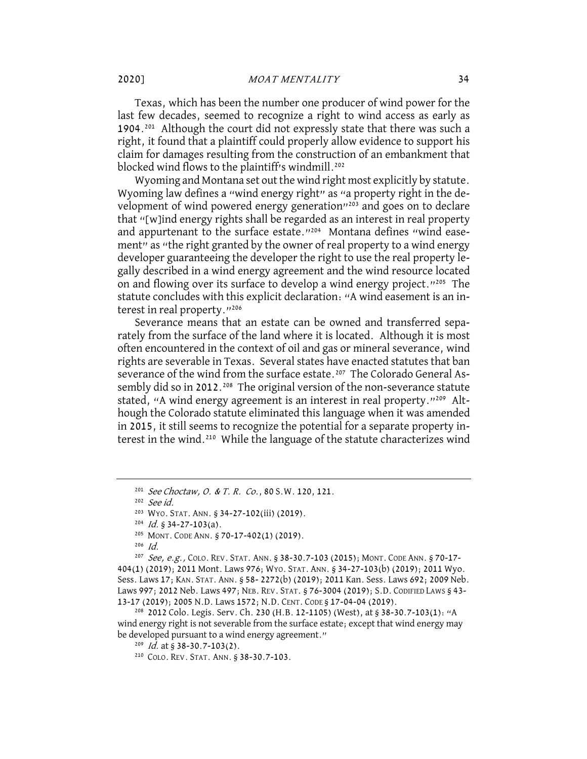Texas, which has been the number one producer of wind power for the last few decades, seemed to recognize a right to wind access as early as 1904.201 Although the court did not expressly state that there was such a right, it found that a plaintiff could properly allow evidence to support his claim for damages resulting from the construction of an embankment that blocked wind flows to the plaintiff's windmill.<sup>202</sup>

Wyoming and Montana set out the wind right most explicitly by statute. Wyoming law defines a "wind energy right" as "a property right in the development of wind powered energy generation"<sup>203</sup> and goes on to declare that "[w]ind energy rights shall be regarded as an interest in real property and appurtenant to the surface estate."<sup>204</sup> Montana defines "wind easement" as "the right granted by the owner of real property to a wind energy developer guaranteeing the developer the right to use the real property legally described in a wind energy agreement and the wind resource located on and flowing over its surface to develop a wind energy project."205 The statute concludes with this explicit declaration: "A wind easement is an interest in real property."206

Severance means that an estate can be owned and transferred separately from the surface of the land where it is located. Although it is most often encountered in the context of oil and gas or mineral severance, wind rights are severable in Texas. Several states have enacted statutes that ban severance of the wind from the surface estate.<sup>207</sup> The Colorado General Assembly did so in 2012.<sup>208</sup> The original version of the non-severance statute stated, "A wind energy agreement is an interest in real property."<sup>209</sup> Although the Colorado statute eliminated this language when it was amended in 2015, it still seems to recognize the potential for a separate property interest in the wind.<sup>210</sup> While the language of the statute characterizes wind

 $206$  Id.

<sup>201</sup> See Choctaw, O. & T. R. Co., 80 S.W. 120, 121.

 $202$  See id.

<sup>203</sup> WYO. STAT. ANN. § 34-27-102(iii) (2019).

 $^{204}$  *Id.* § 34-27-103(a).

<sup>&</sup>lt;sup>205</sup> MONT. CODE ANN. § 70-17-402(1) (2019).

<sup>&</sup>lt;sup>207</sup> See, e.g., COLO. REV. STAT. ANN. § 38-30.7-103 (2015); MONT. CODE ANN. § 70-17-404(1) (2019); 2011 Mont. Laws 976; WYO. STAT. ANN. § 34-27-103(b) (2019); 2011 Wyo. Sess. Laws 17; KAN. STAT. ANN. § 58- 2272(b) (2019); 2011 Kan. Sess. Laws 692; 2009 Neb. Laws 997; 2012 Neb. Laws 497; NEB. REV. STAT. § 76-3004 (2019); S.D. CODIFIED LAWS § 43-13-17 (2019); 2005 N.D. Laws 1572; N.D. CENT. CODE § 17-04-04 (2019).

<sup>208</sup> 2012 Colo. Legis. Serv. Ch. 230 (H.B. 12-1105) (West), at § 38-30.7-103(1): "A wind energy right is not severable from the surface estate; except that wind energy may be developed pursuant to a wind energy agreement."

 $^{209}$  *Id.* at § 38-30.7-103(2).

<sup>210</sup> COLO. REV. STAT. ANN. § 38-30.7-103.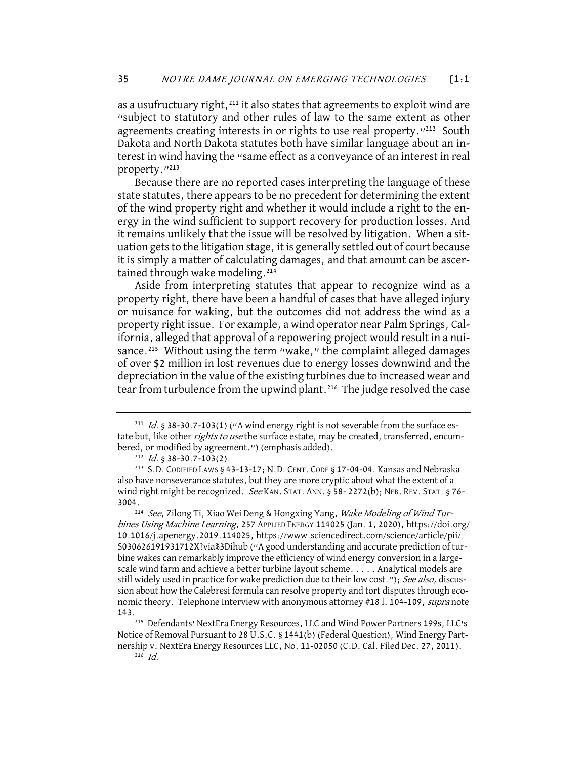as a usufructuary right,  $211$  it also states that agreements to exploit wind are "subject to statutory and other rules of law to the same extent as other agreements creating interests in or rights to use real property."<sup>212</sup> South Dakota and North Dakota statutes both have similar language about an interest in wind having the "same effect as a conveyance of an interest in real property."213

Because there are no reported cases interpreting the language of these state statutes, there appears to be no precedent for determining the extent of the wind property right and whether it would include a right to the energy in the wind sufficient to support recovery for production losses. And it remains unlikely that the issue will be resolved by litigation. When a situation gets to the litigation stage, it is generally settled out of court because it is simply a matter of calculating damages, and that amount can be ascertained through wake modeling.<sup>214</sup>

Aside from interpreting statutes that appear to recognize wind as a property right, there have been a handful of cases that have alleged injury or nuisance for waking, but the outcomes did not address the wind as a property right issue. For example, a wind operator near Palm Springs, California, alleged that approval of a repowering project would result in a nuisance.<sup>215</sup> Without using the term "wake," the complaint alleged damages of over \$2 million in lost revenues due to energy losses downwind and the depreciation in the value of the existing turbines due to increased wear and tear from turbulence from the upwind plant.<sup>216</sup> The judge resolved the case

<sup>&</sup>lt;sup>211</sup> Id. § 38-30.7-103(1) ("A wind energy right is not severable from the surface estate but, like other rights to use the surface estate, may be created, transferred, encumbered, or modified by agreement.") (emphasis added).

 $^{212}$  Id. § 38-30.7-103(2).

<sup>&</sup>lt;sup>213</sup> S.D. CODIFIED LAWS § 43-13-17; N.D. CENT. CODE § 17-04-04. Kansas and Nebraska also have nonseverance statutes, but they are more cryptic about what the extent of a wind right might be recognized.  $See$  KAN. STAT. ANN.  $\S$  58-2272(b); NEB. REV. STAT.  $\S$  76-3004.<br><sup>214</sup> See, Zilong Ti, Xiao Wei Deng & Hongxing Yang, *Wake Modeling of Wind Tur-*

bines Using Machine Learning, 257 APPLIED ENERGY 114025 (Jan. 1, 2020), https://doi.org/ 10.1016/j.apenergy.2019.114025, https://www.sciencedirect.com/science/article/pii/ S030626191931712X?via%3Dihub ("A good understanding and accurate prediction of turbine wakes can remarkably improve the efficiency of wind energy conversion in a largescale wind farm and achieve a better turbine layout scheme. . . . . Analytical models are still widely used in practice for wake prediction due to their low cost."); See also, discussion about how the Calebresi formula can resolve property and tort disputes through economic theory. Telephone Interview with anonymous attorney #18 l. 104-109, supra note 143.<br><sup>215</sup> Defendants' NextEra Energy Resources, LLC and Wind Power Partners 199s, LLC's

Notice of Removal Pursuant to 28 U.S.C. § 1441(b) (Federal Question), Wind Energy Partnership v. NextEra Energy Resources LLC, No. 11-02050 (C.D. Cal. Filed Dec. 27, 2011).  $216$  *Id.*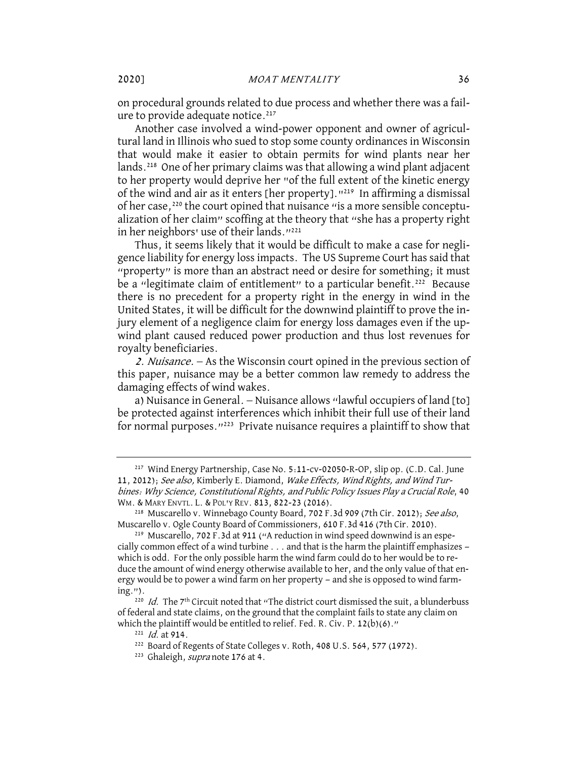on procedural grounds related to due process and whether there was a failure to provide adequate notice.<sup>217</sup>

Another case involved a wind-power opponent and owner of agricultural land in Illinois who sued to stop some county ordinances in Wisconsin that would make it easier to obtain permits for wind plants near her lands.<sup>218</sup> One of her primary claims was that allowing a wind plant adjacent to her property would deprive her "of the full extent of the kinetic energy of the wind and air as it enters [her property]."<sup>219</sup> In affirming a dismissal of her case,<sup>220</sup> the court opined that nuisance "is a more sensible conceptualization of her claim" scoffing at the theory that "she has a property right in her neighbors' use of their lands."<sup>221</sup>

Thus, it seems likely that it would be difficult to make a case for negligence liability for energy loss impacts. The US Supreme Court has said that "property" is more than an abstract need or desire for something; it must be a "legitimate claim of entitlement" to a particular benefit.<sup>222</sup> Because there is no precedent for a property right in the energy in wind in the United States, it will be difficult for the downwind plaintiff to prove the injury element of a negligence claim for energy loss damages even if the upwind plant caused reduced power production and thus lost revenues for royalty beneficiaries.

2. Nuisance. – As the Wisconsin court opined in the previous section of this paper, nuisance may be a better common law remedy to address the damaging effects of wind wakes.

a) Nuisance in General. – Nuisance allows "lawful occupiers of land [to] be protected against interferences which inhibit their full use of their land for normal purposes."<sup>223</sup> Private nuisance requires a plaintiff to show that

<sup>&</sup>lt;sup>217</sup> Wind Energy Partnership, Case No. 5:11-cv-02050-R-OP, slip op. (C.D. Cal. June 11, 2012); See also, Kimberly E. Diamond, Wake Effects, Wind Rights, and Wind Turbines: Why Science, Constitutional Rights, and Public Policy Issues Play a Crucial Role, 40 WM.& MARY ENVTL. L.&POL'Y REV. 813, 822-23 (2016).

<sup>&</sup>lt;sup>218</sup> Muscarello v. Winnebago County Board, 702 F.3d 909 (7th Cir. 2012); See also, Muscarello v. Ogle County Board of Commissioners, 610 F.3d 416 (7th Cir. 2010).

<sup>219</sup> Muscarello, 702 F.3d at 911 ("A reduction in wind speed downwind is an especially common effect of a wind turbine . . . and that is the harm the plaintiff emphasizes which is odd. For the only possible harm the wind farm could do to her would be to reduce the amount of wind energy otherwise available to her, and the only value of that energy would be to power a wind farm on her property — and she is opposed to wind farming.").

 $^{220}$  *Id.* The 7<sup>th</sup> Circuit noted that "The district court dismissed the suit, a blunderbuss of federal and state claims, on the ground that the complaint fails to state any claim on which the plaintiff would be entitled to relief. Fed. R. Civ. P.  $12(b)(6)$ ."<br><sup>221</sup> *Id.* at 914.

<sup>222</sup> Board of Regents of State Colleges v. Roth, 408 U.S. 564, 577 (1972).

<sup>&</sup>lt;sup>223</sup> Ghaleigh, supra note 176 at 4.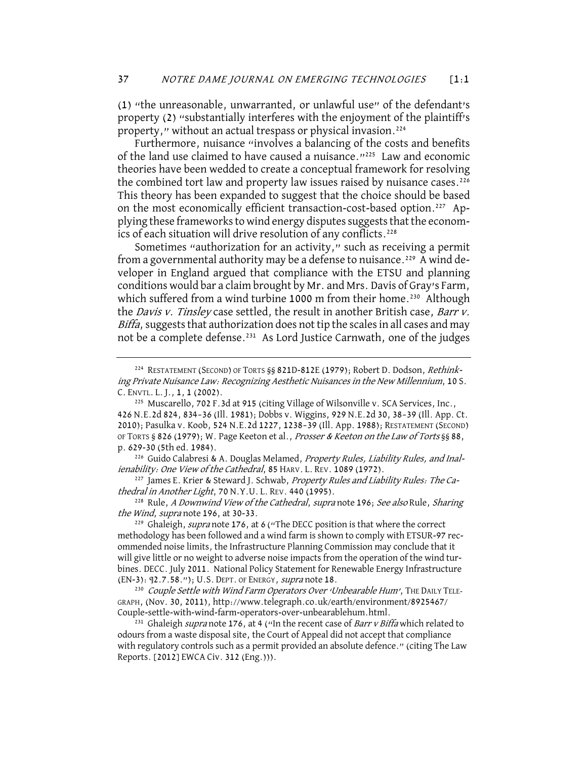(1) "the unreasonable, unwarranted, or unlawful use" of the defendant's property (2) "substantially interferes with the enjoyment of the plaintiff's property," without an actual trespass or physical invasion.<sup>224</sup>

Furthermore, nuisance "involves a balancing of the costs and benefits of the land use claimed to have caused a nuisance."225 Law and economic theories have been wedded to create a conceptual framework for resolving the combined tort law and property law issues raised by nuisance cases.<sup>226</sup> This theory has been expanded to suggest that the choice should be based on the most economically efficient transaction-cost-based option.<sup>227</sup> Applying these frameworks to wind energy disputes suggests that the economics of each situation will drive resolution of any conflicts.<sup>228</sup>

Sometimes "authorization for an activity," such as receiving a permit from a governmental authority may be a defense to nuisance.<sup>229</sup> A wind developer in England argued that compliance with the ETSU and planning conditions would bar a claim brought by Mr. and Mrs. Davis of Gray's Farm, which suffered from a wind turbine 1000 m from their home.<sup>230</sup> Although the *Davis v. Tinsley* case settled, the result in another British case, *Barr v.* Biffa, suggests that authorization does not tip the scales in all cases and may not be a complete defense.<sup>231</sup> As Lord Justice Carnwath, one of the judges

<sup>228</sup> Rule, A Downwind View of the Cathedral, supra note 196; See also Rule, Sharing the Wind, supra note 196, at 30-33.

<sup>229</sup> Ghaleigh, supra note 176, at 6 ("The DECC position is that where the correct methodology has been followed and a wind farm is shown to comply with ETSUR-97 recommended noise limits, the Infrastructure Planning Commission may conclude that it will give little or no weight to adverse noise impacts from the operation of the wind turbines. DECC. July 2011. National Policy Statement for Renewable Energy Infrastructure (EN-3): ¶2.7.58."); U.S. DEPT. OF ENERGY, supra note 18.

<sup>230</sup> Couple Settle with Wind Farm Operators Over 'Unbearable Hum', THE DAILY TELE-GRAPH, (Nov. 30, 2011), http://www.telegraph.co.uk/earth/environment/8925467/ Couple-settle-with-wind-farm-operators-over-unbearablehum.html.

<sup>231</sup> Ghaleigh *supra* note 176, at 4 ("In the recent case of *Barr v Biffa* which related to odours from a waste disposal site, the Court of Appeal did not accept that compliance with regulatory controls such as a permit provided an absolute defence." (citing The Law Reports. [2012] EWCA Civ. 312 (Eng.))).

<sup>&</sup>lt;sup>224</sup> RESTATEMENT (SECOND) OF TORTS §§ 821D-812E (1979); Robert D. Dodson, Rethinking Private Nuisance Law: Recognizing Aesthetic Nuisances in the New Millennium, 10 S. C. ENVTL. L.J., 1, 1 (2002).

<sup>225</sup> Muscarello, 702 F.3d at 915 (citing Village of Wilsonville v. SCA Services, Inc., 426 N.E.2d 824, 834–36 (Ill. 1981); Dobbs v. Wiggins, 929 N.E.2d 30, 38–39 (Ill. App. Ct. 2010); Pasulka v. Koob, 524 N.E.2d 1227, 1238–39 (Ill. App. 1988); RESTATEMENT (SECOND) OF TORTS § 826 (1979); W. Page Keeton et al., Prosser & Keeton on the Law of Torts §§ 88, p. 629-30 (5th ed. 1984).

<sup>&</sup>lt;sup>226</sup> Guido Calabresi & A. Douglas Melamed, *Property Rules, Liability Rules, and Inal-*<br>*ienability: One View of the Cathedral*, 85 HARV. L. REV. 1089 (1972).

<sup>&</sup>lt;sup>227</sup> James E. Krier & Steward J. Schwab, Property Rules and Liability Rules: The Cathedral in Another Light, 70 N.Y.U. L. REV. 440 (1995).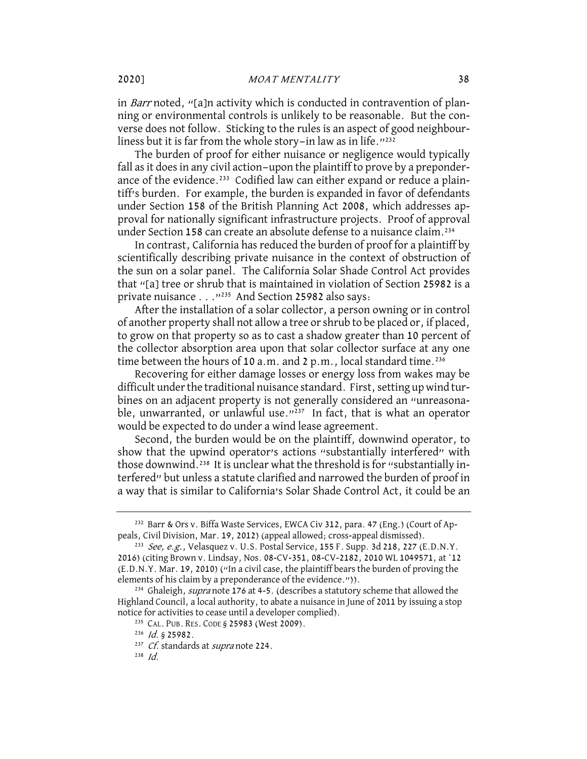in *Barr* noted, "[a]n activity which is conducted in contravention of planning or environmental controls is unlikely to be reasonable. But the converse does not follow. Sticking to the rules is an aspect of good neighbourliness but it is far from the whole story-in law as in life."<sup>232</sup>

The burden of proof for either nuisance or negligence would typically fall as it does in any civil action—upon the plaintiff to prove by a preponderance of the evidence.<sup>233</sup> Codified law can either expand or reduce a plaintiff's burden. For example, the burden is expanded in favor of defendants under Section 158 of the British Planning Act 2008, which addresses approval for nationally significant infrastructure projects. Proof of approval under Section 158 can create an absolute defense to a nuisance claim.<sup>234</sup>

In contrast, California has reduced the burden of proof for a plaintiff by scientifically describing private nuisance in the context of obstruction of the sun on a solar panel. The California Solar Shade Control Act provides that "[a] tree or shrub that is maintained in violation of Section 25982 is a private nuisance . . ."235 And Section 25982 also says:

After the installation of a solar collector, a person owning or in control of another property shall not allow a tree or shrub to be placed or, if placed, to grow on that property so as to cast a shadow greater than 10 percent of the collector absorption area upon that solar collector surface at any one time between the hours of 10 a.m. and 2 p.m., local standard time.<sup>236</sup>

Recovering for either damage losses or energy loss from wakes may be difficult under the traditional nuisance standard. First, setting up wind turbines on an adjacent property is not generally considered an "unreasonable, unwarranted, or unlawful use. $1/237$  In fact, that is what an operator would be expected to do under a wind lease agreement.

Second, the burden would be on the plaintiff, downwind operator, to show that the upwind operator's actions "substantially interfered" with those downwind.<sup>238</sup> It is unclear what the threshold is for "substantially interfered" but unless a statute clarified and narrowed the burden of proof in a way that is similar to California's Solar Shade Control Act, it could be an

<sup>&</sup>lt;sup>232</sup> Barr & Ors v. Biffa Waste Services, EWCA Civ 312, para. 47 (Eng.) (Court of Appeals, Civil Division, Mar. 19, 2012) (appeal allowed; cross-appeal dismissed).

<sup>&</sup>lt;sup>233</sup> See, e.g., Velasquez v. U.S. Postal Service, 155 F. Supp. 3d 218, 227 (E.D.N.Y. 2016) (citing Brown v. Lindsay, Nos. 08-CV-351, 08-CV-2182, 2010 WL 1049571, at \*12 (E.D.N.Y. Mar. 19, 2010) ("In a civil case, the plaintiff bears the burden of proving the elements of his claim by a preponderance of the evidence.")).

<sup>&</sup>lt;sup>234</sup> Ghaleigh, *supra* note 176 at 4-5. (describes a statutory scheme that allowed the Highland Council, a local authority, to abate a nuisance in June of 2011 by issuing a stop notice for activities to cease until a developer complied).

<sup>235</sup> CAL. PUB. RES. CODE § 25983 (West 2009).

<sup>236</sup> Id. § 25982.

<sup>&</sup>lt;sup>237</sup> *Cf.* standards at *supra* note 224.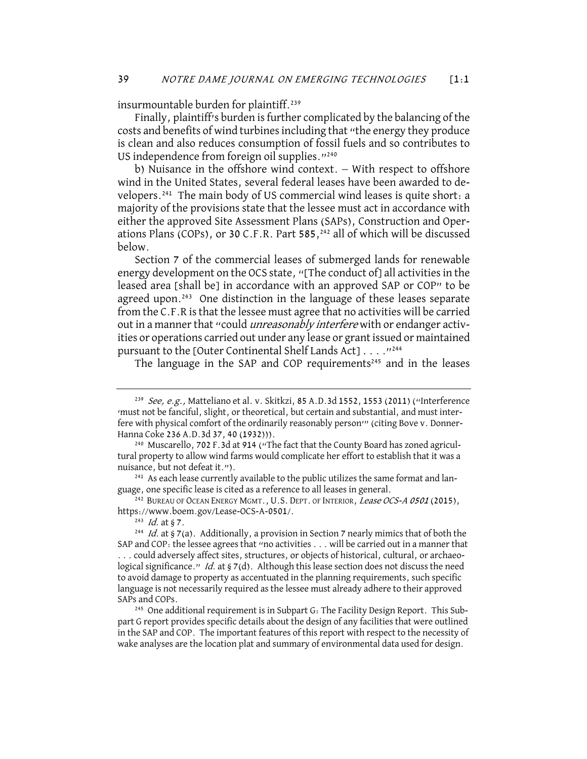insurmountable burden for plaintiff.<sup>239</sup>

Finally, plaintiff's burden is further complicated by the balancing of the costs and benefits of wind turbines including that "the energy they produce is clean and also reduces consumption of fossil fuels and so contributes to US independence from foreign oil supplies."240

b) Nuisance in the offshore wind context. - With respect to offshore wind in the United States, several federal leases have been awarded to developers.241 The main body of US commercial wind leases is quite short: a majority of the provisions state that the lessee must act in accordance with either the approved Site Assessment Plans (SAPs), Construction and Operations Plans (COPs), or 30 C.F.R. Part 585,<sup>242</sup> all of which will be discussed below.

Section 7 of the commercial leases of submerged lands for renewable energy development on the OCS state, "[The conduct of] all activities in the leased area [shall be] in accordance with an approved SAP or COP" to be agreed upon.<sup>243</sup> One distinction in the language of these leases separate from the C.F.R is that the lessee must agree that no activities will be carried out in a manner that "could *unreasonably interfere* with or endanger activities or operations carried out under any lease or grant issued or maintained pursuant to the [Outer Continental Shelf Lands Act] . . . ."244

The language in the SAP and COP requirements<sup>245</sup> and in the leases

<sup>241</sup> As each lease currently available to the public utilizes the same format and language, one specific lease is cited as a reference to all leases in general.

<sup>242</sup> BUREAU OF OCEAN ENERGY MGMT., U.S. DEPT. OF INTERIOR, Lease OCS-A 0501 (2015), https://www.boem.gov/Lease-OCS-A-0501/.

<sup>&</sup>lt;sup>239</sup> See, e.g., Matteliano et al. v. Skitkzi, 85 A.D.3d 1552, 1553 (2011) ("Interference 'must not be fanciful, slight, or theoretical, but certain and substantial, and must interfere with physical comfort of the ordinarily reasonably person'" (citing Bove v. Donner-Hanna Coke 236 A.D.3d 37, 40 (1932))).

<sup>240</sup> Muscarello, 702 F.3d at 914 ("The fact that the County Board has zoned agricultural property to allow wind farms would complicate her effort to establish that it was a nuisance, but not defeat it.").

 $243$  *Id.* at § 7.

 $244$  *Id.* at § 7(a). Additionally, a provision in Section 7 nearly mimics that of both the SAP and COP: the lessee agrees that "no activities . . . will be carried out in a manner that . . . could adversely affect sites, structures, or objects of historical, cultural, or archaeological significance." Id. at  $\S 7(d)$ . Although this lease section does not discuss the need to avoid damage to property as accentuated in the planning requirements, such specific language is not necessarily required as the lessee must already adhere to their approved SAPs and COPs.<br><sup>245</sup> One additional requirement is in Subpart G: The Facility Design Report. This Sub-

part G report provides specific details about the design of any facilities that were outlined in the SAP and COP. The important features of this report with respect to the necessity of wake analyses are the location plat and summary of environmental data used for design.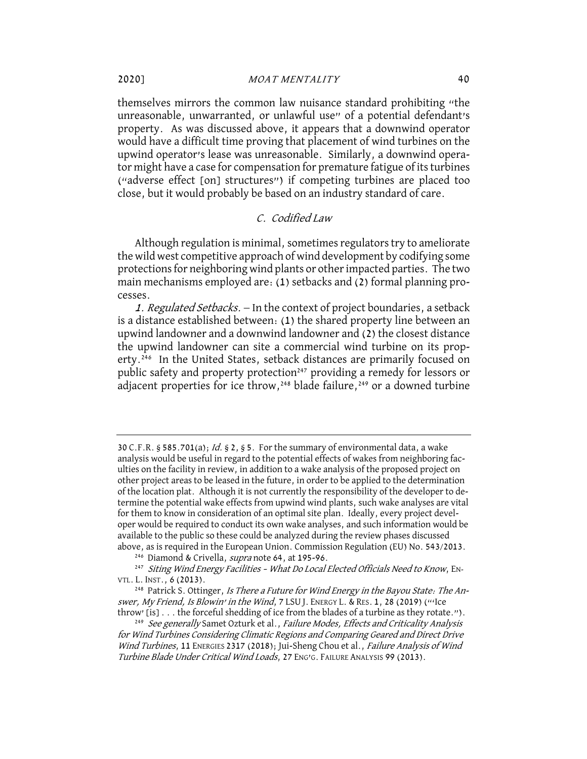themselves mirrors the common law nuisance standard prohibiting "the unreasonable, unwarranted, or unlawful use" of a potential defendant's property. As was discussed above, it appears that a downwind operator would have a difficult time proving that placement of wind turbines on the upwind operator's lease was unreasonable. Similarly, a downwind operator might have a case for compensation for premature fatigue of its turbines ("adverse effect [on] structures") if competing turbines are placed too close, but it would probably be based on an industry standard of care.

#### C. Codified Law

Although regulation is minimal, sometimes regulators try to ameliorate the wild west competitive approach of wind development by codifying some protections for neighboring wind plants or other impacted parties. The two main mechanisms employed are: (1) setbacks and (2) formal planning processes.

1. Regulated Setbacks. - In the context of project boundaries, a setback is a distance established between: (1) the shared property line between an upwind landowner and a downwind landowner and (2) the closest distance the upwind landowner can site a commercial wind turbine on its property.<sup>246</sup> In the United States, setback distances are primarily focused on public safety and property protection<sup>247</sup> providing a remedy for lessors or adjacent properties for ice throw,<sup>248</sup> blade failure,<sup>249</sup> or a downed turbine

<sup>30</sup> C.F.R. § 585.701(a); Id. § 2, § 5. For the summary of environmental data, a wake analysis would be useful in regard to the potential effects of wakes from neighboring faculties on the facility in review, in addition to a wake analysis of the proposed project on other project areas to be leased in the future, in order to be applied to the determination of the location plat. Although it is not currently the responsibility of the developer to determine the potential wake effects from upwind wind plants, such wake analyses are vital for them to know in consideration of an optimal site plan. Ideally, every project developer would be required to conduct its own wake analyses, and such information would be available to the public so these could be analyzed during the review phases discussed above, as is required in the European Union. Commission Regulation (EU) No. 543/2013.

<sup>&</sup>lt;sup>246</sup> Diamond & Crivella, *supra* note 64, at 195-96.

<sup>&</sup>lt;sup>247</sup> Siting Wind Energy Facilities - What Do Local Elected Officials Need to Know, EN-VTL. L.INST., 6 (2013).

<sup>&</sup>lt;sup>248</sup> Patrick S. Ottinger, Is There a Future for Wind Energy in the Bayou State: The Answer, My Friend, Is Blowin' in the Wind, 7 LSU J. ENERGY L. & RES. 1, 28 (2019) ("'Ice throw' [is] . . . the forceful shedding of ice from the blades of a turbine as they rotate.").

<sup>&</sup>lt;sup>249</sup> See generally Samet Ozturk et al., Failure Modes, Effects and Criticality Analysis for Wind Turbines Considering Climatic Regions and Comparing Geared and Direct Drive Wind Turbines, 11 ENERGIES 2317 (2018); Jui-Sheng Chou et al., Failure Analysis of Wind Turbine Blade Under Critical Wind Loads, 27 ENG'G. FAILURE ANALYSIS 99 (2013).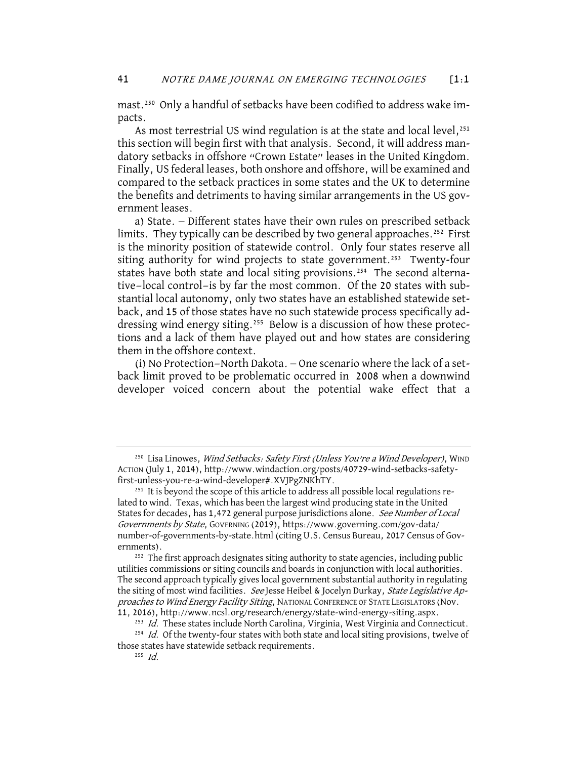mast.250 Only a handful of setbacks have been codified to address wake impacts.

As most terrestrial US wind regulation is at the state and local level,<sup>251</sup> this section will begin first with that analysis. Second, it will address mandatory setbacks in offshore "Crown Estate" leases in the United Kingdom. Finally, US federal leases, both onshore and offshore, will be examined and compared to the setback practices in some states and the UK to determine the benefits and detriments to having similar arrangements in the US government leases.

a) State. - Different states have their own rules on prescribed setback limits. They typically can be described by two general approaches.<sup>252</sup> First is the minority position of statewide control. Only four states reserve all siting authority for wind projects to state government.<sup>253</sup> Twenty-four states have both state and local siting provisions.254 The second alternative—local control—is by far the most common. Of the 20 states with substantial local autonomy, only two states have an established statewide setback, and 15 of those states have no such statewide process specifically addressing wind energy siting.<sup>255</sup> Below is a discussion of how these protections and a lack of them have played out and how states are considering them in the offshore context.

(i) No Protection–North Dakota. - One scenario where the lack of a setback limit proved to be problematic occurred in 2008 when a downwind developer voiced concern about the potential wake effect that a

<sup>&</sup>lt;sup>250</sup> Lisa Linowes, Wind Setbacks: Safety First (Unless You're a Wind Developer), WIND ACTION (July 1, 2014), http://www.windaction.org/posts/40729-wind-setbacks-safetyfirst-unless-you-re-a-wind-developer#.XVJPgZNKhTY.

<sup>&</sup>lt;sup>251</sup> It is beyond the scope of this article to address all possible local regulations related to wind. Texas, which has been the largest wind producing state in the United States for decades, has 1,472 general purpose jurisdictions alone. See Number of Local Governments by State, GOVERNING (2019), https://www.governing.com/gov-data/ number-of-governments-by-state.html (citing U.S. Census Bureau, 2017 Census of Governments).

<sup>&</sup>lt;sup>252</sup> The first approach designates siting authority to state agencies, including public utilities commissions or siting councils and boards in conjunction with local authorities. The second approach typically gives local government substantial authority in regulating the siting of most wind facilities. See Jesse Heibel & Jocelyn Durkay, State Legislative Approaches to Wind Energy Facility Siting, NATIONAL CONFERENCE OF STATE LEGISLATORS (NOV. 11, 2016), http://www.ncsl.org/research/energy/state-wind-energy-siting.aspx.

<sup>&</sup>lt;sup>253</sup> Id. These states include North Carolina, Virginia, West Virginia and Connecticut.<br><sup>254</sup> Id. Of the twenty-four states with both state and local siting provisions, twelve of those states have statewide setback requirements.

<sup>255</sup>  $Id$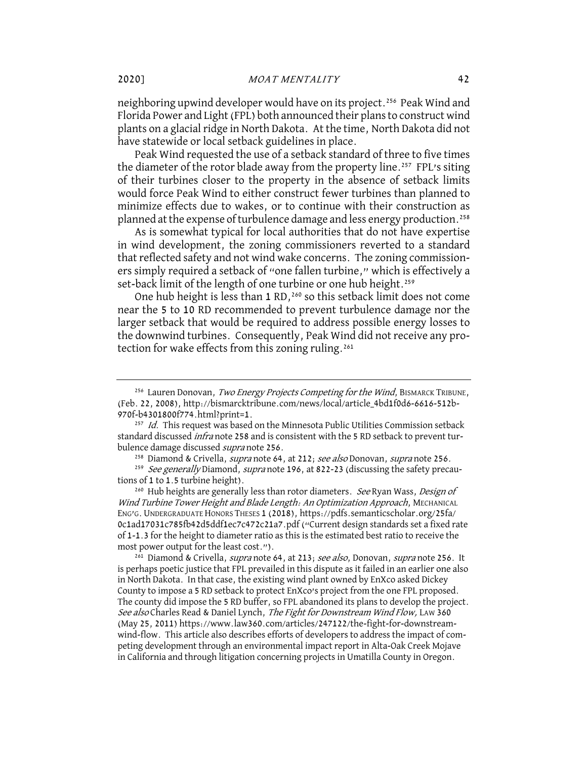neighboring upwind developer would have on its project.<sup>256</sup> Peak Wind and Florida Power and Light (FPL) both announced their plans to construct wind plants on a glacial ridge in North Dakota. At the time, North Dakota did not have statewide or local setback guidelines in place.

Peak Wind requested the use of a setback standard of three to five times the diameter of the rotor blade away from the property line.<sup>257</sup> FPL's siting of their turbines closer to the property in the absence of setback limits would force Peak Wind to either construct fewer turbines than planned to minimize effects due to wakes, or to continue with their construction as planned at the expense of turbulence damage and less energy production.258

As is somewhat typical for local authorities that do not have expertise in wind development, the zoning commissioners reverted to a standard that reflected safety and not wind wake concerns. The zoning commissioners simply required a setback of "one fallen turbine," which is effectively a set-back limit of the length of one turbine or one hub height.<sup>259</sup>

One hub height is less than 1 RD,<sup>260</sup> so this setback limit does not come near the 5 to 10 RD recommended to prevent turbulence damage nor the larger setback that would be required to address possible energy losses to the downwind turbines. Consequently, Peak Wind did not receive any protection for wake effects from this zoning ruling.<sup>261</sup>

<sup>260</sup> Hub heights are generally less than rotor diameters. See Ryan Wass, Design of Wind Turbine Tower Height and Blade Length: An Optimization Approach, MECHANICAL ENG'G.UNDERGRADUATE HONORS THESES 1 (2018), https://pdfs.semanticscholar.org/25fa/ 0c1ad17031c785fb42d5ddf1ec7c472c21a7.pdf ("Current design standards set a fixed rate of 1-1.3 for the height to diameter ratio as this is the estimated best ratio to receive the most power output for the least cost.").

<sup>261</sup> Diamond & Crivella, *supra* note 64, at 213; see also, Donovan, supra note 256. It is perhaps poetic justice that FPL prevailed in this dispute as it failed in an earlier one also in North Dakota. In that case, the existing wind plant owned by EnXco asked Dickey County to impose a 5 RD setback to protect EnXco's project from the one FPL proposed. The county did impose the 5 RD buffer, so FPL abandoned its plans to develop the project. See also Charles Read & Daniel Lynch, The Fight for Downstream Wind Flow, LAW 360 (May 25, 2011) https://www.law360.com/articles/247122/the-fight-for-downstreamwind-flow. This article also describes efforts of developers to address the impact of competing development through an environmental impact report in Alta-Oak Creek Mojave in California and through litigation concerning projects in Umatilla County in Oregon.

<sup>&</sup>lt;sup>256</sup> Lauren Donovan, *Two Energy Projects Competing for the Wind*, BISMARCK TRIBUNE, (Feb. 22, 2008), http://bismarcktribune.com/news/local/article\_4bd1f0d6-6616-512b-970f-b4301800f774.html?print=1.

 $^{257}$  Id. This request was based on the Minnesota Public Utilities Commission setback standard discussed infra note 258 and is consistent with the 5 RD setback to prevent turbulence damage discussed supra note 256.

<sup>&</sup>lt;sup>258</sup> Diamond & Crivella, *supra* note 64, at 212; see also Donovan, supra note 256.

<sup>&</sup>lt;sup>259</sup> See generally Diamond, supra note 196, at 822-23 (discussing the safety precautions of 1 to 1.5 turbine height).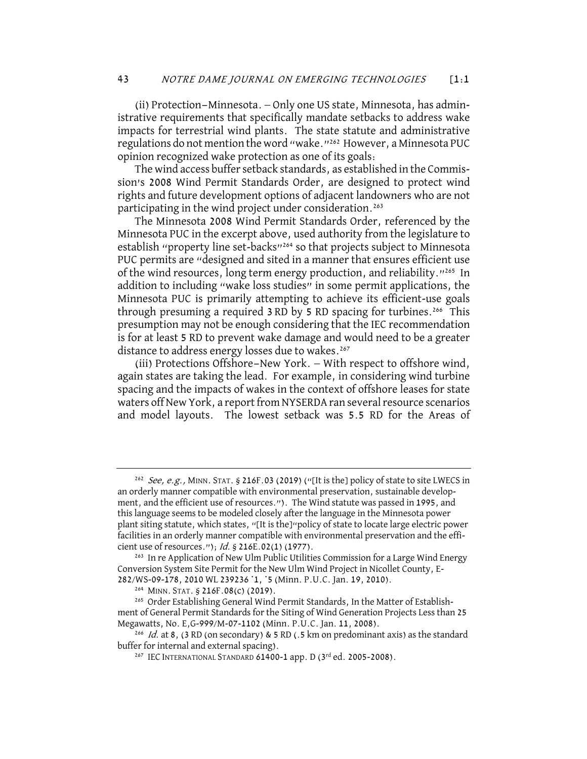(ii) Protection—Minnesota. - Only one US state, Minnesota, has administrative requirements that specifically mandate setbacks to address wake impacts for terrestrial wind plants. The state statute and administrative regulations do not mention the word "wake."262 However, a Minnesota PUC opinion recognized wake protection as one of its goals:

The wind access buffer setback standards, as established in the Commission's 2008 Wind Permit Standards Order, are designed to protect wind rights and future development options of adjacent landowners who are not participating in the wind project under consideration.<sup>263</sup>

The Minnesota 2008 Wind Permit Standards Order, referenced by the Minnesota PUC in the excerpt above, used authority from the legislature to establish "property line set-backs"<sup>264</sup> so that projects subject to Minnesota PUC permits are "designed and sited in a manner that ensures efficient use of the wind resources, long term energy production, and reliability."265 In addition to including "wake loss studies" in some permit applications, the Minnesota PUC is primarily attempting to achieve its efficient-use goals through presuming a required  $3 \text{ RD}$  by  $5 \text{ RD}$  spacing for turbines.<sup>266</sup> This presumption may not be enough considering that the IEC recommendation is for at least 5 RD to prevent wake damage and would need to be a greater distance to address energy losses due to wakes.<sup>267</sup>

(iii) Protections Offshore-New York. - With respect to offshore wind, again states are taking the lead. For example, in considering wind turbine spacing and the impacts of wakes in the context of offshore leases for state waters off New York, a report from NYSERDA ran several resource scenarios and model layouts. The lowest setback was 5.5 RD for the Areas of

<sup>&</sup>lt;sup>262</sup> See, e.g., MINN. STAT. § 216F.03 (2019) ("[It is the] policy of state to site LWECS in an orderly manner compatible with environmental preservation, sustainable development, and the efficient use of resources."). The Wind statute was passed in 1995, and this language seems to be modeled closely after the language in the Minnesota power plant siting statute, which states, "[It is the]"policy of state to locate large electric power facilities in an orderly manner compatible with environmental preservation and the efficient use of resources."); Id. § 216E.02(1) (1977).

<sup>&</sup>lt;sup>263</sup> In re Application of New Ulm Public Utilities Commission for a Large Wind Energy Conversion System Site Permit for the New Ulm Wind Project in Nicollet County, E-282/WS-09-178, 2010 WL 239236 \*1, \*5 (Minn. P.U.C. Jan. 19, 2010).

<sup>264</sup> MINN. STAT. § 216F.08(c) (2019).

<sup>&</sup>lt;sup>265</sup> Order Establishing General Wind Permit Standards, In the Matter of Establishment of General Permit Standards for the Siting of Wind Generation Projects Less than 25 Megawatts, No. E,G-999/M-07-1102 (Minn. P.U.C. Jan. 11, 2008).

<sup>&</sup>lt;sup>266</sup> Id. at 8, (3 RD (on secondary) & 5 RD (.5 km on predominant axis) as the standard buffer for internal and external spacing).

<sup>&</sup>lt;sup>267</sup> IEC INTERNATIONAL STANDARD 61400-1 app. D (3<sup>rd</sup> ed. 2005-2008).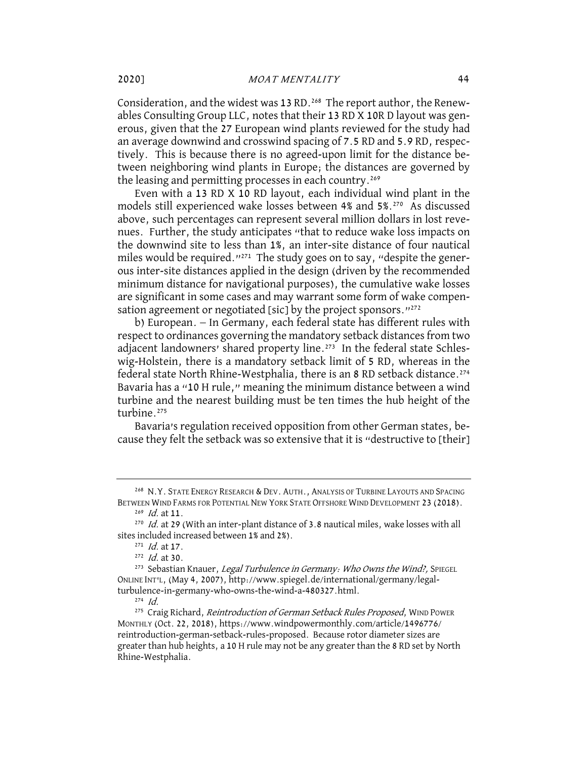Consideration, and the widest was 13 RD.<sup>268</sup> The report author, the Renewables Consulting Group LLC, notes that their 13 RD X 10R D layout was generous, given that the 27 European wind plants reviewed for the study had an average downwind and crosswind spacing of 7.5 RD and 5.9 RD, respectively. This is because there is no agreed-upon limit for the distance between neighboring wind plants in Europe; the distances are governed by the leasing and permitting processes in each country.<sup>269</sup>

Even with a 13 RD X 10 RD layout, each individual wind plant in the models still experienced wake losses between 4% and 5%.270 As discussed above, such percentages can represent several million dollars in lost revenues. Further, the study anticipates "that to reduce wake loss impacts on the downwind site to less than 1%, an inter-site distance of four nautical miles would be required."<sup>271</sup> The study goes on to say, "despite the generous inter-site distances applied in the design (driven by the recommended minimum distance for navigational purposes), the cumulative wake losses are significant in some cases and may warrant some form of wake compensation agreement or negotiated [sic] by the project sponsors."<sup>272</sup>

b) European. - In Germany, each federal state has different rules with respect to ordinances governing the mandatory setback distances from two adjacent landowners' shared property line.<sup>273</sup> In the federal state Schleswig-Holstein, there is a mandatory setback limit of 5 RD, whereas in the federal state North Rhine-Westphalia, there is an 8 RD setback distance.<sup>274</sup> Bavaria has a "10 H rule," meaning the minimum distance between a wind turbine and the nearest building must be ten times the hub height of the turbine.<sup>275</sup>

Bavaria's regulation received opposition from other German states, because they felt the setback was so extensive that it is "destructive to [their]

 $^{269}$  *Id.* at 11.

<sup>&</sup>lt;sup>268</sup> N.Y. STATE ENERGY RESEARCH & DEV. AUTH., ANALYSIS OF TURBINE LAYOUTS AND SPACING BETWEEN WIND FARMS FOR POTENTIAL NEW YORK STATE OFFSHORE WIND DEVELOPMENT 23 (2018).

 $270$  *Id.* at 29 (With an inter-plant distance of 3.8 nautical miles, wake losses with all sites included increased between 1% and 2%).

 $^{271}$  *Id.* at 17.

<sup>272</sup> Id. at 30.

<sup>&</sup>lt;sup>273</sup> Sebastian Knauer, Legal Turbulence in Germany: Who Owns the Wind?, SPIEGEL ONLINE INT'L, (May 4, 2007), http://www.spiegel.de/international/germany/legalturbulence-in-germany-who-owns-the-wind-a-480327.html.

 $274$  *Id.* 

<sup>&</sup>lt;sup>275</sup> Craig Richard, Reintroduction of German Setback Rules Proposed, WIND POWER MONTHLY (Oct. 22, 2018), https://www.windpowermonthly.com/article/1496776/ reintroduction-german-setback-rules-proposed. Because rotor diameter sizes are greater than hub heights, a 10 H rule may not be any greater than the 8 RD set by North Rhine-Westphalia.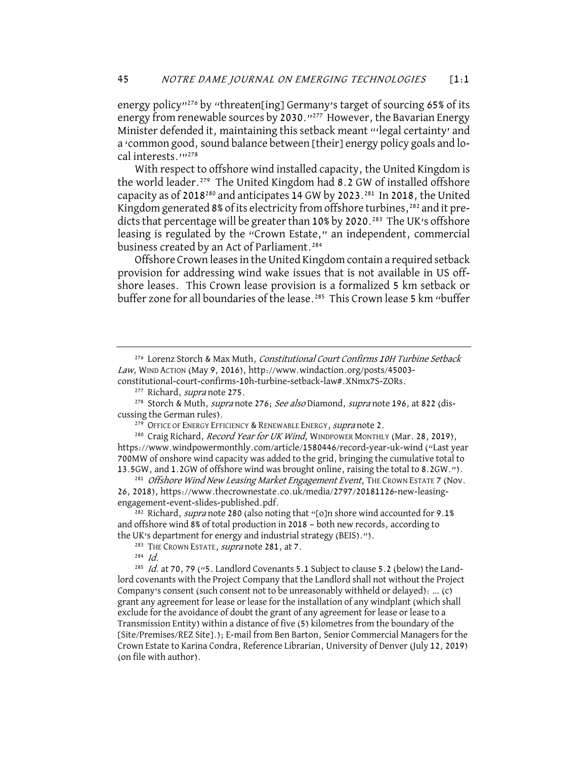energy policy"<sup>276</sup> by "threaten[ing] Germany's target of sourcing 65% of its energy from renewable sources by 2030."<sup>277</sup> However, the Bavarian Energy Minister defended it, maintaining this setback meant "'legal certainty' and a 'common good, sound balance between [their] energy policy goals and local interests.'"<sup>278</sup>

With respect to offshore wind installed capacity, the United Kingdom is the world leader.<sup>279</sup> The United Kingdom had 8.2 GW of installed offshore capacity as of 2018280 and anticipates 14 GW by 2023.281 In 2018, the United Kingdom generated 8% of its electricity from offshore turbines,<sup>282</sup> and it predicts that percentage will be greater than 10% by 2020.<sup>283</sup> The UK's offshore leasing is regulated by the "Crown Estate," an independent, commercial business created by an Act of Parliament.<sup>284</sup>

Offshore Crown leases in the United Kingdom contain a required setback provision for addressing wind wake issues that is not available in US offshore leases. This Crown lease provision is a formalized 5 km setback or buffer zone for all boundaries of the lease.<sup>285</sup> This Crown lease 5 km "buffer

<sup>279</sup> OFFICE OF ENERGY EFFICIENCY & RENEWABLE ENERGY, *supra* note 2.

<sup>280</sup> Craig Richard, *Record Year for UK Wind*, WINDPOWER MONTHLY (Mar. 28, 2019), https://www.windpowermonthly.com/article/1580446/record-year-uk-wind ("Last year 700MW of onshore wind capacity was added to the grid, bringing the cumulative total to 13.5GW, and 1.2GW of offshore wind was brought online, raising the total to 8.2GW.").

<sup>281</sup> Offshore Wind New Leasing Market Engagement Event, THE CROWN ESTATE 7 (NOV. 26, 2018), https://www.thecrownestate.co.uk/media/2797/20181126-new-leasingengagement-event-slides-published.pdf.

<sup>282</sup> Richard, *supra* note 280 (also noting that "[0]n shore wind accounted for 9.1% and offshore wind 8% of total production in 2018 — both new records, according to the UK's department for energy and industrial strategy (BEIS).").

<sup>283</sup> THE CROWN ESTATE, *supra* note 281, at 7.

 $284$  Id.

<sup>285</sup> Id. at 70, 79 ("5. Landlord Covenants 5.1 Subject to clause 5.2 (below) the Landlord covenants with the Project Company that the Landlord shall not without the Project Company's consent (such consent not to be unreasonably withheld or delayed): … (c) grant any agreement for lease or lease for the installation of any windplant (which shall exclude for the avoidance of doubt the grant of any agreement for lease or lease to a Transmission Entity) within a distance of five (5) kilometres from the boundary of the [Site/Premises/REZ Site].); E-mail from Ben Barton, Senior Commercial Managers for the Crown Estate to Karina Condra, Reference Librarian, University of Denver (July 12, 2019) (on file with author).

<sup>&</sup>lt;sup>276</sup> Lorenz Storch & Max Muth, Constitutional Court Confirms 10H Turbine Setback Law, WIND ACTION (May 9, 2016), http://www.windaction.org/posts/45003 constitutional-court-confirms-10h-turbine-setback-law#.XNmx7S-ZORs.

<sup>&</sup>lt;sup>277</sup> Richard, *supra* note 275.<br><sup>278</sup> Storch & Muth, *supra* note 276; *See also* Diamond, *supra* note 196, at 822 (discussing the German rules).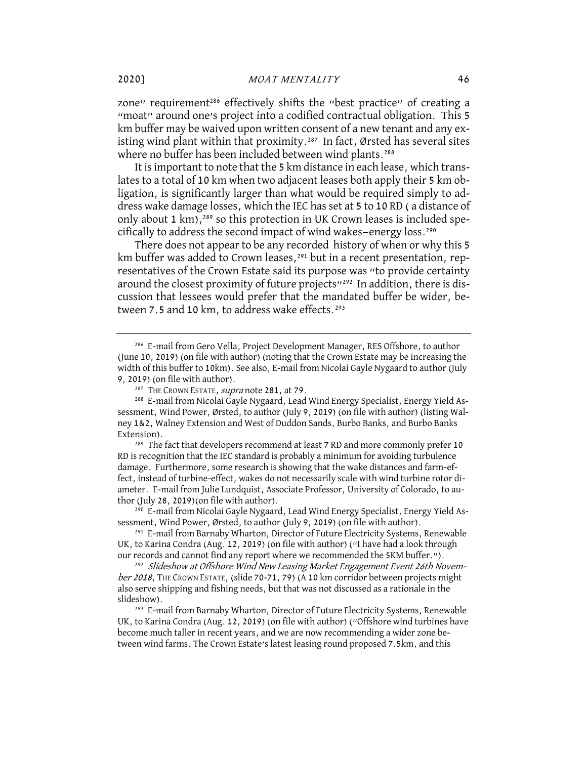zone" requirement<sup>286</sup> effectively shifts the "best practice" of creating a "moat" around one's project into a codified contractual obligation. This 5 km buffer may be waived upon written consent of a new tenant and any existing wind plant within that proximity.<sup>287</sup> In fact, Ørsted has several sites where no buffer has been included between wind plants.<sup>288</sup>

It is important to note that the 5 km distance in each lease, which translates to a total of 10 km when two adjacent leases both apply their 5 km obligation, is significantly larger than what would be required simply to address wake damage losses, which the IEC has set at 5 to 10 RD ( a distance of only about 1 km),<sup>289</sup> so this protection in UK Crown leases is included specifically to address the second impact of wind wakes-energy loss.<sup>290</sup>

There does not appear to be any recorded history of when or why this 5 km buffer was added to Crown leases,<sup>291</sup> but in a recent presentation, representatives of the Crown Estate said its purpose was "to provide certainty around the closest proximity of future projects"<sup>292</sup> In addition, there is discussion that lessees would prefer that the mandated buffer be wider, between 7.5 and 10 km, to address wake effects.<sup>293</sup>

RD is recognition that the IEC standard is probably a minimum for avoiding turbulence damage. Furthermore, some research is showing that the wake distances and farm-effect, instead of turbine-effect, wakes do not necessarily scale with wind turbine rotor diameter. E-mail from Julie Lundquist, Associate Professor, University of Colorado, to author (July 28, 2019)(on file with author).

<sup>290</sup> E-mail from Nicolai Gayle Nygaard, Lead Wind Energy Specialist, Energy Yield Assessment, Wind Power, Ørsted, to author (July 9, 2019) (on file with author).

<sup>291</sup> E-mail from Barnaby Wharton, Director of Future Electricity Systems, Renewable UK, to Karina Condra (Aug. 12, 2019) (on file with author) ("I have had a look through our records and cannot find any report where we recommended the 5KM buffer.").

<sup>292</sup> Slideshow at Offshore Wind New Leasing Market Engagement Event 26th November 2018, THE CROWN ESTATE, (slide 70-71, 79) (A 10 km corridor between projects might also serve shipping and fishing needs, but that was not discussed as a rationale in the slideshow).<br><sup>293</sup> E-mail from Barnaby Wharton, Director of Future Electricity Systems, Renewable

UK, to Karina Condra (Aug. 12, 2019) (on file with author) ("Offshore wind turbines have become much taller in recent years, and we are now recommending a wider zone between wind farms. The Crown Estate's latest leasing round proposed 7.5km, and this

<sup>286</sup> E-mail from Gero Vella, Project Development Manager, RES Offshore, to author (June 10, 2019) (on file with author) (noting that the Crown Estate may be increasing the width of this buffer to 10km). See also, E-mail from Nicolai Gayle Nygaard to author (July 9, 2019) (on file with author).

<sup>&</sup>lt;sup>287</sup> THE CROWN ESTATE, *supra* note 281, at 79.

<sup>&</sup>lt;sup>288</sup> E-mail from Nicolai Gayle Nygaard, Lead Wind Energy Specialist, Energy Yield Assessment, Wind Power, Ørsted, to author (July 9, 2019) (on file with author) (listing Walney 1&2, Walney Extension and West of Duddon Sands, Burbo Banks, and Burbo Banks Extension).<br><sup>289</sup> The fact that developers recommend at least 7 RD and more commonly prefer 10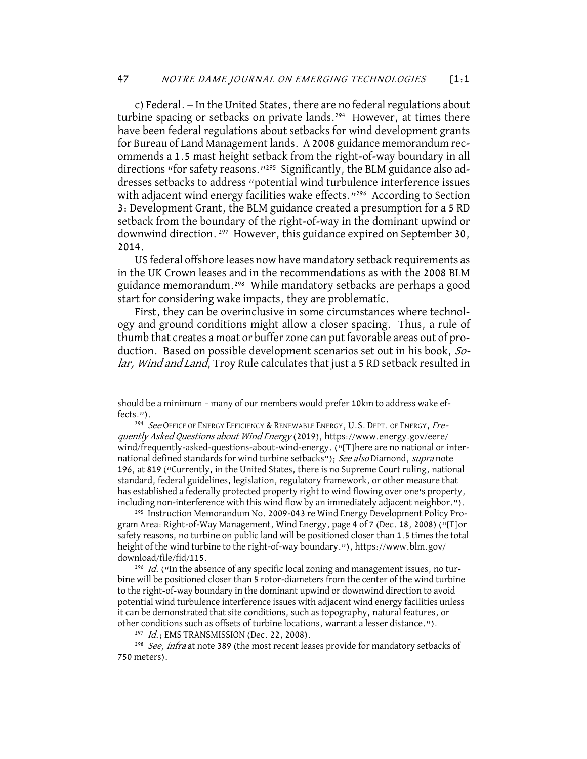c) Federal. - In the United States, there are no federal regulations about turbine spacing or setbacks on private lands.<sup>294</sup> However, at times there have been federal regulations about setbacks for wind development grants for Bureau of Land Management lands. A 2008 guidance memorandum recommends a 1.5 mast height setback from the right-of-way boundary in all directions "for safety reasons."<sup>295</sup> Significantly, the BLM guidance also addresses setbacks to address "potential wind turbulence interference issues with adjacent wind energy facilities wake effects."<sup>296</sup> According to Section 3: Development Grant, the BLM guidance created a presumption for a 5 RD setback from the boundary of the right-of-way in the dominant upwind or downwind direction.<sup>297</sup> However, this guidance expired on September 30, 2014.

US federal offshore leases now have mandatory setback requirements as in the UK Crown leases and in the recommendations as with the 2008 BLM guidance memorandum.<sup>298</sup> While mandatory setbacks are perhaps a good start for considering wake impacts, they are problematic.

First, they can be overinclusive in some circumstances where technology and ground conditions might allow a closer spacing. Thus, a rule of thumb that creates a moat or buffer zone can put favorable areas out of production. Based on possible development scenarios set out in his book, Solar, Wind and Land, Troy Rule calculates that just a 5 RD setback resulted in

<sup>295</sup> Instruction Memorandum No. 2009-043 re Wind Energy Development Policy Program Area: Right-of-Way Management, Wind Energy, page 4 of 7 (Dec. 18, 2008) ("[F]or safety reasons, no turbine on public land will be positioned closer than 1.5 times the total height of the wind turbine to the right-of-way boundary."), https://www.blm.gov/ download/file/fid/115.

<sup>296</sup> Id. ("In the absence of any specific local zoning and management issues, no turbine will be positioned closer than 5 rotor-diameters from the center of the wind turbine to the right-of-way boundary in the dominant upwind or downwind direction to avoid potential wind turbulence interference issues with adjacent wind energy facilities unless it can be demonstrated that site conditions, such as topography, natural features, or other conditions such as offsets of turbine locations, warrant a lesser distance.").

 $^{297}$  Id.; EMS TRANSMISSION (Dec. 22, 2008).

<sup>298</sup> See, infra at note 389 (the most recent leases provide for mandatory setbacks of 750 meters).

should be a minimum – many of our members would prefer 10km to address wake effects.").

<sup>&</sup>lt;sup>294</sup> See Office of Energy Efficiency & Renewable Energy, U.S. Dept. of Energy, Frequently Asked Questions about Wind Energy (2019), https://www.energy.gov/eere/ wind/frequently-asked-questions-about-wind-energy. ("[T]here are no national or international defined standards for wind turbine setbacks"); See also Diamond, supra note 196, at 819 ("Currently, in the United States, there is no Supreme Court ruling, national standard, federal guidelines, legislation, regulatory framework, or other measure that has established a federally protected property right to wind flowing over one's property, including non-interference with this wind flow by an immediately adjacent neighbor.").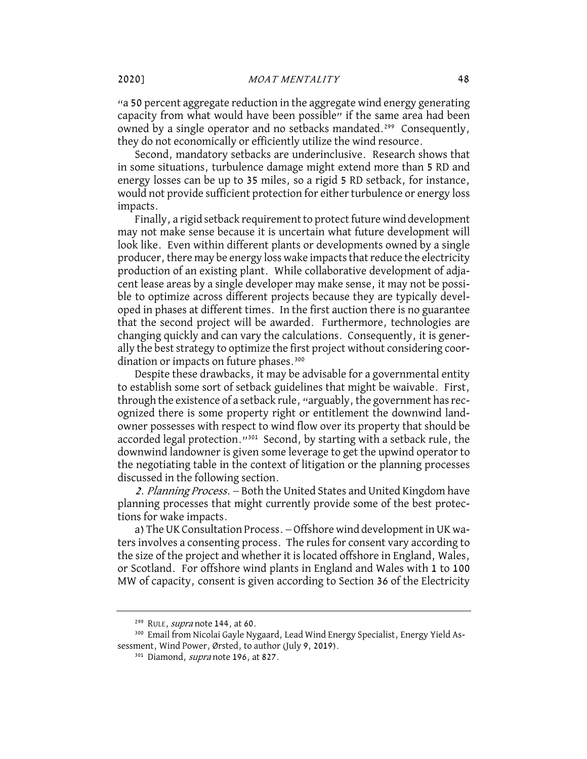"a 50 percent aggregate reduction in the aggregate wind energy generating capacity from what would have been possible" if the same area had been owned by a single operator and no setbacks mandated.<sup>299</sup> Consequently, they do not economically or efficiently utilize the wind resource.

Second, mandatory setbacks are underinclusive. Research shows that in some situations, turbulence damage might extend more than 5 RD and energy losses can be up to 35 miles, so a rigid 5 RD setback, for instance, would not provide sufficient protection for either turbulence or energy loss impacts.

Finally, a rigid setback requirement to protect future wind development may not make sense because it is uncertain what future development will look like. Even within different plants or developments owned by a single producer, there may be energy loss wake impacts that reduce the electricity production of an existing plant. While collaborative development of adjacent lease areas by a single developer may make sense, it may not be possible to optimize across different projects because they are typically developed in phases at different times. In the first auction there is no guarantee that the second project will be awarded. Furthermore, technologies are changing quickly and can vary the calculations. Consequently, it is generally the best strategy to optimize the first project without considering coordination or impacts on future phases.<sup>300</sup>

Despite these drawbacks, it may be advisable for a governmental entity to establish some sort of setback guidelines that might be waivable. First, through the existence of a setback rule, "arguably, the government has recognized there is some property right or entitlement the downwind landowner possesses with respect to wind flow over its property that should be accorded legal protection."301 Second, by starting with a setback rule, the downwind landowner is given some leverage to get the upwind operator to the negotiating table in the context of litigation or the planning processes discussed in the following section.

2. Planning Process. – Both the United States and United Kingdom have planning processes that might currently provide some of the best protections for wake impacts.

a) The UK Consultation Process. - Offshore wind development in UK waters involves a consenting process. The rules for consent vary according to the size of the project and whether it is located offshore in England, Wales, or Scotland. For offshore wind plants in England and Wales with 1 to 100 MW of capacity, consent is given according to Section 36 of the Electricity

<sup>&</sup>lt;sup>299</sup> RULE, *supra* note 144, at 60.

<sup>300</sup> Email from Nicolai Gayle Nygaard, Lead Wind Energy Specialist, Energy Yield Assessment, Wind Power, Ørsted, to author (July 9, 2019).

<sup>&</sup>lt;sup>301</sup> Diamond, *supra* note 196, at 827.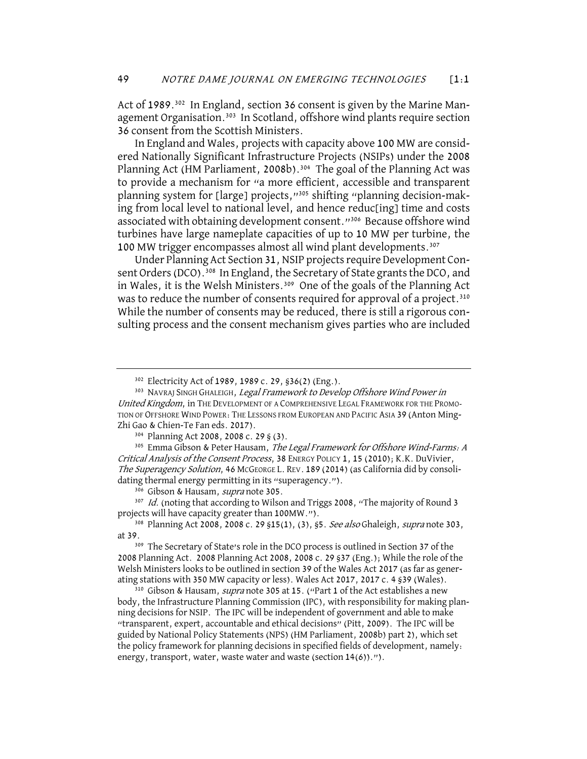Act of 1989.<sup>302</sup> In England, section 36 consent is given by the Marine Management Organisation.<sup>303</sup> In Scotland, offshore wind plants require section 36 consent from the Scottish Ministers.

In England and Wales, projects with capacity above 100 MW are considered Nationally Significant Infrastructure Projects (NSIPs) under the 2008 Planning Act (HM Parliament, 2008b).<sup>304</sup> The goal of the Planning Act was to provide a mechanism for "a more efficient, accessible and transparent planning system for [large] projects,"<sup>305</sup> shifting "planning decision-making from local level to national level, and hence reduc[ing] time and costs associated with obtaining development consent."<sup>306</sup> Because offshore wind turbines have large nameplate capacities of up to 10 MW per turbine, the 100 MW trigger encompasses almost all wind plant developments.<sup>307</sup>

Under Planning Act Section 31, NSIP projects require Development Consent Orders (DCO).<sup>308</sup> In England, the Secretary of State grants the DCO, and in Wales, it is the Welsh Ministers.<sup>309</sup> One of the goals of the Planning Act was to reduce the number of consents required for approval of a project.<sup>310</sup> While the number of consents may be reduced, there is still a rigorous consulting process and the consent mechanism gives parties who are included

<sup>307</sup> Id. (noting that according to Wilson and Triggs 2008, "The majority of Round 3 projects will have capacity greater than 100MW.").<br><sup>308</sup> Planning Act 2008, 2008 c. 29 §15(1), (3), §5. *See also* Ghaleigh, *supra* note 303,

<sup>&</sup>lt;sup>302</sup> Electricity Act of 1989, 1989 c. 29, §36(2) (Eng.).<br><sup>303</sup> NAVRAJ SINGH GHALEIGH, *Legal Framework to Develop Offshore Wind Power in* United Kingdom, in THE DEVELOPMENT OF A COMPREHENSIVE LEGAL FRAMEWORK FOR THE PROMO-TION OF OFFSHORE WIND POWER: THE LESSONS FROM EUROPEAN AND PACIFIC ASIA 39 (Anton Ming-Zhi Gao & Chien-Te Fan eds. 2017).

<sup>304</sup> Planning Act 2008, 2008 c. 29 § (3).

<sup>&</sup>lt;sup>305</sup> Emma Gibson & Peter Hausam, The Legal Framework for Offshore Wind-Farms: A Critical Analysis of the Consent Process, 38 ENERGY POLICY 1, 15 (2010); K.K. DuVivier, The Superagency Solution, 46 MCGEORGE L. REV. 189 (2014) (as California did by consolidating thermal energy permitting in its "superagency.").

<sup>306</sup> Gibson & Hausam, *supra* note 305.

at 39.

<sup>&</sup>lt;sup>309</sup> The Secretary of State's role in the DCO process is outlined in Section 37 of the 2008 Planning Act. 2008 Planning Act 2008, 2008 c. 29 §37 (Eng.); While the role of the Welsh Ministers looks to be outlined in section 39 of the Wales Act 2017 (as far as generating stations with 350 MW capacity or less). Wales Act 2017, 2017 c. 4 §39 (Wales).

<sup>310</sup> Gibson & Hausam, *supra* note 305 at 15. ("Part 1 of the Act establishes a new body, the Infrastructure Planning Commission (IPC), with responsibility for making planning decisions for NSIP. The IPC will be independent of government and able to make "transparent, expert, accountable and ethical decisions" (Pitt, 2009). The IPC will be guided by National Policy Statements (NPS) (HM Parliament, 2008b) part 2), which set the policy framework for planning decisions in specified fields of development, namely: energy, transport, water, waste water and waste (section 14(6)).").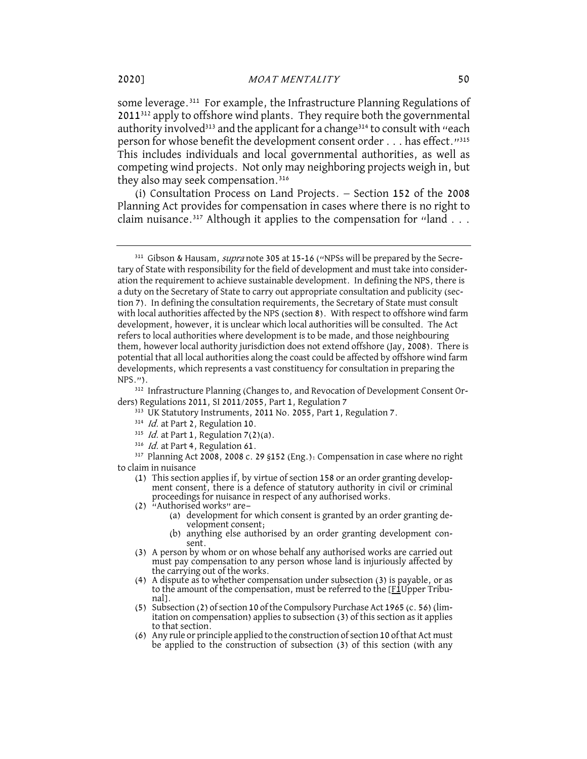some leverage.311 For example, the Infrastructure Planning Regulations of 2011<sup>312</sup> apply to offshore wind plants. They require both the governmental authority involved<sup>313</sup> and the applicant for a change<sup>314</sup> to consult with "each" person for whose benefit the development consent order... has effect."<sup>315</sup> This includes individuals and local governmental authorities, as well as competing wind projects. Not only may neighboring projects weigh in, but they also may seek compensation.<sup>316</sup>

(i) Consultation Process on Land Projects. - Section 152 of the 2008 Planning Act provides for compensation in cases where there is no right to claim nuisance.<sup>317</sup> Although it applies to the compensation for "land  $\ldots$ 

<sup>312</sup> Infrastructure Planning (Changes to, and Revocation of Development Consent Orders) Regulations 2011, SI 2011/2055, Part 1, Regulation 7

- <sup>313</sup> UK Statutory Instruments, 2011 No. 2055, Part 1, Regulation 7.
- <sup>314</sup> Id. at Part 2, Regulation 10.
- <sup>315</sup> *Id.* at Part 1, Regulation  $7(2)(a)$ .
- <sup>316</sup> Id. at Part 4, Regulation 61.

<sup>317</sup> Planning Act 2008, 2008 c. 29 §152 (Eng.): Compensation in case where no right to claim in nuisance<br>(1) This section applies if, by virtue of section 158 or an order granting develop-

- ment consent, there is a defence of statutory authority in civil or criminal proceedings for nuisance in respect of any authorised works.<br>(2) "Authorised works" are-
- - (a) development for which consent is granted by an order granting development consent;
	- (b) anything else authorised by an order granting development consent.
- (3) A person by whom or on whose behalf any authorised works are carried out must pay compensation to any person whose land is injuriously affected by the carrying out of the works.
- (4) A dispute as to whether compensation under subsection (3) is payable, or as to the amount of the compensation, must be referred to the  $[E1$ Upper Tribu-nal].
- (5) Subsection (2) of section 10 of the Compulsory Purchase Act 1965 (c. 56) (limitation on compensation) applies to subsection (3) of this section as it applies to that section.
- (6) Any rule or principle applied to the construction of section 10 of that Act must be applied to the construction of subsection (3) of this section (with any

<sup>&</sup>lt;sup>311</sup> Gibson & Hausam, *supra* note 305 at 15-16 ("NPSs will be prepared by the Secretary of State with responsibility for the field of development and must take into consideration the requirement to achieve sustainable development. In defining the NPS, there is a duty on the Secretary of State to carry out appropriate consultation and publicity (section 7). In defining the consultation requirements, the Secretary of State must consult with local authorities affected by the NPS (section 8). With respect to offshore wind farm development, however, it is unclear which local authorities will be consulted. The Act refers to local authorities where development is to be made, and those neighbouring them, however local authority jurisdiction does not extend offshore (Jay, 2008). There is potential that all local authorities along the coast could be affected by offshore wind farm developments, which represents a vast constituency for consultation in preparing the NPS.").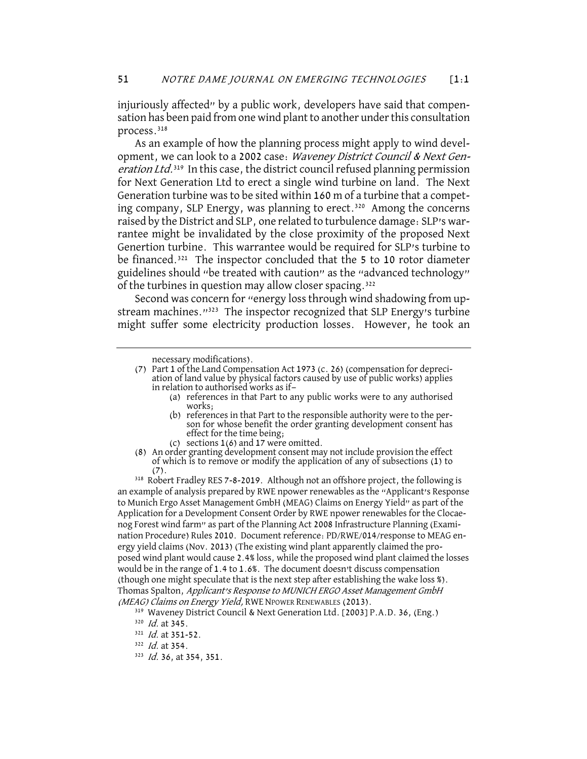injuriously affected" by a public work, developers have said that compensation has been paid from one wind plant to another under this consultation process.318

As an example of how the planning process might apply to wind development, we can look to a 2002 case: Waveney District Council & Next Generation Ltd.<sup>319</sup> In this case, the district council refused planning permission for Next Generation Ltd to erect a single wind turbine on land. The Next Generation turbine was to be sited within 160 m of a turbine that a competing company, SLP Energy, was planning to erect.<sup>320</sup> Among the concerns raised by the District and SLP, one related to turbulence damage: SLP's warrantee might be invalidated by the close proximity of the proposed Next Genertion turbine. This warrantee would be required for SLP's turbine to be financed.<sup>321</sup> The inspector concluded that the 5 to 10 rotor diameter guidelines should "be treated with caution" as the "advanced technology" of the turbines in question may allow closer spacing.<sup>322</sup>

Second was concern for "energy loss through wind shadowing from upstream machines."<sup>323</sup> The inspector recognized that SLP Energy's turbine might suffer some electricity production losses. However, he took an

necessary modifications).

- works;
- (b) references in that Part to the responsible authority were to the per- son for whose benefit the order granting development consent has effect for the time being;
- 
- (c) sections 1(6) and 17 were omitted.<br>(8) An order granting development consent may not include provision the effect of which is to remove or modify the application of any of subsections  $(1)$  to  $(7).$

<sup>318</sup> Robert Fradley RES 7-8-2019. Although not an offshore project, the following is an example of analysis prepared by RWE npower renewables as the "Applicant's Response to Munich Ergo Asset Management GmbH (MEAG) Claims on Energy Yield" as part of the Application for a Development Consent Order by RWE npower renewables for the Clocaenog Forest wind farm" as part of the Planning Act 2008 Infrastructure Planning (Examination Procedure) Rules 2010. Document reference: PD/RWE/014/response to MEAG energy yield claims (Nov. 2013) (The existing wind plant apparently claimed the proposed wind plant would cause 2.4% loss, while the proposed wind plant claimed the losses would be in the range of 1.4 to 1.6%. The document doesn't discuss compensation (though one might speculate that is the next step after establishing the wake loss %). Thomas Spalton, Applicant's Response to MUNICH ERGO Asset Management GmbH (*MEAG) Claims on Energy Yield,* RWE NPOWER RENEWABLES (2013).<br><sup>319</sup> Waveney District Council & Next Generation Ltd. [2003] P.A.D. 36, (Eng.)

<sup>(7)</sup> Part 1 of the Land Compensation Act 1973 (c. 26) (compensation for depreciation of land value by physical factors caused by use of public works) applies in relation to authorised works as if— (a) references in that Part to any public works were to any authorised

 $320$  *Id.* at 345.

<sup>&</sup>lt;sup>321</sup> *Id.* at 351-52.

 $322$  *Id.* at 354.

<sup>&</sup>lt;sup>323</sup> Id. 36, at 354, 351.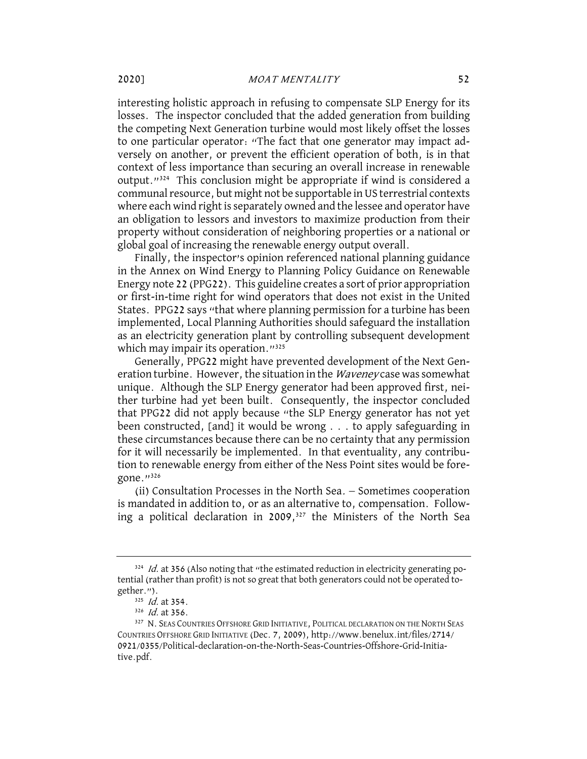interesting holistic approach in refusing to compensate SLP Energy for its losses. The inspector concluded that the added generation from building the competing Next Generation turbine would most likely offset the losses to one particular operator: "The fact that one generator may impact adversely on another, or prevent the efficient operation of both, is in that context of less importance than securing an overall increase in renewable output."324 This conclusion might be appropriate if wind is considered a communal resource, but might not be supportable in US terrestrial contexts where each wind right is separately owned and the lessee and operator have an obligation to lessors and investors to maximize production from their property without consideration of neighboring properties or a national or global goal of increasing the renewable energy output overall.

Finally, the inspector's opinion referenced national planning guidance in the Annex on Wind Energy to Planning Policy Guidance on Renewable Energy note 22 (PPG22). This guideline creates a sort of prior appropriation or first-in-time right for wind operators that does not exist in the United States. PPG22 says "that where planning permission for a turbine has been implemented, Local Planning Authorities should safeguard the installation as an electricity generation plant by controlling subsequent development which may impair its operation."<sup>325</sup>

Generally, PPG22 might have prevented development of the Next Generation turbine. However, the situation in the Waveney case was somewhat unique. Although the SLP Energy generator had been approved first, neither turbine had yet been built. Consequently, the inspector concluded that PPG22 did not apply because "the SLP Energy generator has not yet been constructed, [and] it would be wrong . . . to apply safeguarding in these circumstances because there can be no certainty that any permission for it will necessarily be implemented. In that eventuality, any contribution to renewable energy from either of the Ness Point sites would be foregone."<sup>326</sup>

(ii) Consultation Processes in the North Sea. - Sometimes cooperation is mandated in addition to, or as an alternative to, compensation. Following a political declaration in 2009,<sup>327</sup> the Ministers of the North Sea

<sup>&</sup>lt;sup>324</sup> Id. at 356 (Also noting that "the estimated reduction in electricity generating potential (rather than profit) is not so great that both generators could not be operated together.").<br><sup>325</sup> *Id.* at 354.

<sup>326</sup> Id. at 356.

<sup>&</sup>lt;sup>327</sup> N. SEAS COUNTRIES OFFSHORE GRID INITIATIVE, POLITICAL DECLARATION ON THE NORTH SEAS COUNTRIES OFFSHORE GRID INITIATIVE (Dec. 7, 2009), http://www.benelux.int/files/2714/ 0921/0355/Political-declaration-on-the-North-Seas-Countries-Offshore-Grid-Initiative.pdf.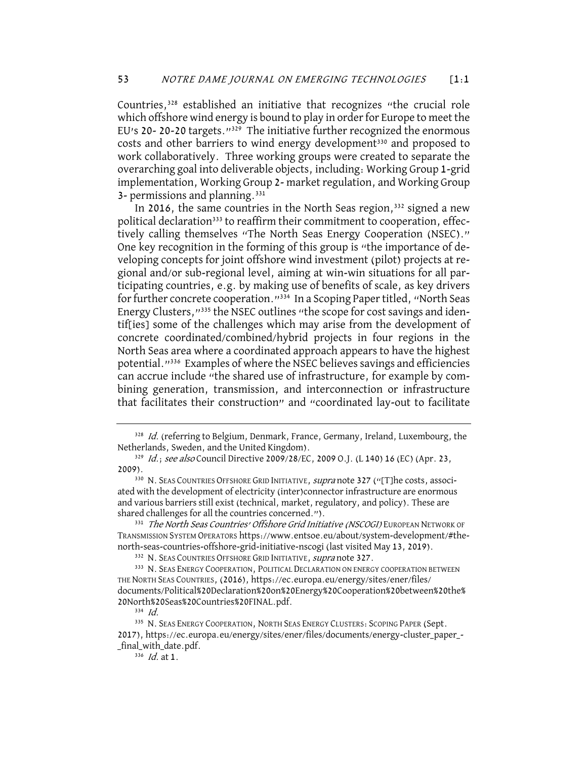Countries,<sup>328</sup> established an initiative that recognizes "the crucial role which offshore wind energy is bound to play in order for Europe to meet the EU's 20- 20-20 targets."329 The initiative further recognized the enormous costs and other barriers to wind energy development<sup>330</sup> and proposed to work collaboratively. Three working groups were created to separate the overarching goal into deliverable objects, including: Working Group 1-grid implementation, Working Group 2- market regulation, and Working Group 3- permissions and planning.<sup>331</sup>

In 2016, the same countries in the North Seas region,<sup>332</sup> signed a new political declaration<sup>333</sup> to reaffirm their commitment to cooperation, effectively calling themselves "The North Seas Energy Cooperation (NSEC)." One key recognition in the forming of this group is "the importance of developing concepts for joint offshore wind investment (pilot) projects at regional and/or sub-regional level, aiming at win-win situations for all participating countries, e.g. by making use of benefits of scale, as key drivers for further concrete cooperation."<sup>334</sup> In a Scoping Paper titled, "North Seas Energy Clusters,"335 the NSEC outlines "the scope for cost savings and identif[ies] some of the challenges which may arise from the development of concrete coordinated/combined/hybrid projects in four regions in the North Seas area where a coordinated approach appears to have the highest potential."336 Examples of where the NSEC believes savings and efficiencies can accrue include "the shared use of infrastructure, for example by combining generation, transmission, and interconnection or infrastructure that facilitates their construction" and "coordinated lay-out to facilitate

<sup>&</sup>lt;sup>328</sup> Id. (referring to Belgium, Denmark, France, Germany, Ireland, Luxembourg, the Netherlands, Sweden, and the United Kingdom).<br><sup>329</sup> Id.; see also Council Directive 2009/28/EC, 2009 O.J. (L 140) 16 (EC) (Apr. 23,

<sup>2009).&</sup>lt;br><sup>330</sup> N. Seas Countries Offshore Grid Initiative, *supra* note 327 ("[T]he costs, associ-

ated with the development of electricity (inter)connector infrastructure are enormous and various barriers still exist (technical, market, regulatory, and policy). These are shared challenges for all the countries concerned.").

<sup>331</sup> The North Seas Countries' Offshore Grid Initiative (NSCOGI) EUROPEAN NETWORK OF TRANSMISSION SYSTEM OPERATORS https://www.entsoe.eu/about/system-development/#thenorth-seas-countries-offshore-grid-initiative-nscogi (last visited May 13, 2019).

<sup>332</sup> N. SEAS COUNTRIES OFFSHORE GRID INITIATIVE, supra note 327.

<sup>&</sup>lt;sup>333</sup> N. SEAS ENERGY COOPERATION, POLITICAL DECLARATION ON ENERGY COOPERATION BETWEEN THE NORTH SEAS COUNTRIES, (2016), https://ec.europa.eu/energy/sites/ener/files/ documents/Political%20Declaration%20on%20Energy%20Cooperation%20between%20the% 20North%20Seas%20Countries%20FINAL.pdf.

<sup>334</sup> Id.

<sup>335</sup> N. SEAS ENERGY COOPERATION, NORTH SEAS ENERGY CLUSTERS: SCOPING PAPER (Sept. 2017), https://ec.europa.eu/energy/sites/ener/files/documents/energy-cluster\_paper\_- \_final\_with\_date.pdf.

 $336$  *Id.* at 1.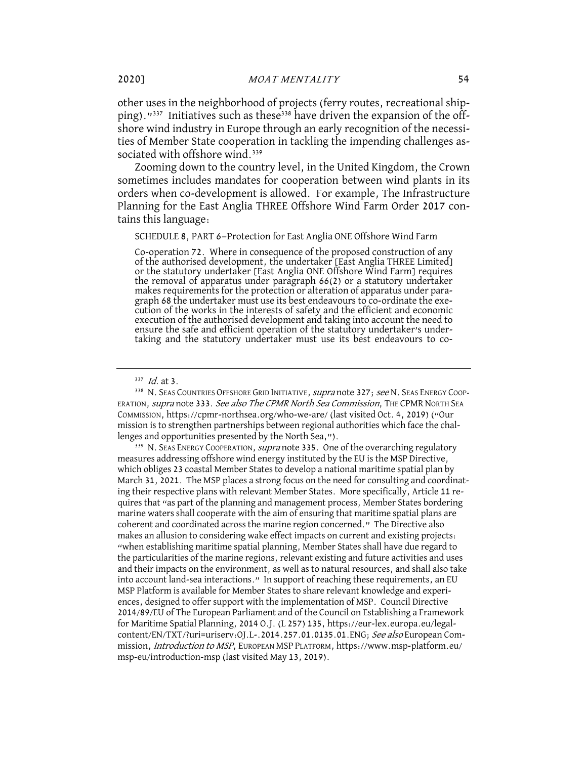other uses in the neighborhood of projects (ferry routes, recreational shipping)."<sup>337</sup> Initiatives such as these<sup>338</sup> have driven the expansion of the offshore wind industry in Europe through an early recognition of the necessities of Member State cooperation in tackling the impending challenges associated with offshore wind.<sup>339</sup>

Zooming down to the country level, in the United Kingdom, the Crown sometimes includes mandates for cooperation between wind plants in its orders when co-development is allowed. For example, The Infrastructure Planning for the East Anglia THREE Offshore Wind Farm Order 2017 contains this language:

#### SCHEDULE 8, PART 6—Protection for East Anglia ONE Offshore Wind Farm

Co-operation 72. Where in consequence of the proposed construction of any<br>of the authorised development, the undertaker [East Anglia THREE Limited]<br>or the statutory undertaker [East Anglia ONE Offshore Wind Farm] requires the removal of apparatus under paragraph 66(2) or a statutory undertaker makes requirements for the protection or alteration of apparatus under paragraph 68 the undertaker must use its best endeavours to co-ordinate the execution of the works in the interests of safety and the efficient and economic execution of the authorised development and taking into account the need to ensure the safe and efficient operation of the statutory undertaker's under- taking and the statutory undertaker must use its best endeavours to co-

<sup>337</sup> Id. at 3.<br><sup>338</sup> N. Seas Countries Offshore Grid Initiative, *supra* note 327; *see* N. Seas Energy Coop-ERATION, supra note 333. See also The CPMR North Sea Commission, THE CPMR NORTH SEA COMMISSION, https://cpmr-northsea.org/who-we-are/ (last visited Oct. 4, 2019) ("Our mission is to strengthen partnerships between regional authorities which face the challenges and opportunities presented by the North Sea,").

<sup>339</sup> N. SEAS ENERGY COOPERATION, *supra* note 335. One of the overarching regulatory measures addressing offshore wind energy instituted by the EU is the MSP Directive, which obliges 23 coastal Member States to develop a national maritime spatial plan by March 31, 2021. The MSP places a strong focus on the need for consulting and coordinating their respective plans with relevant Member States. More specifically, Article 11 requires that "as part of the planning and management process, Member States bordering marine waters shall cooperate with the aim of ensuring that maritime spatial plans are coherent and coordinated across the marine region concerned." The Directive also makes an allusion to considering wake effect impacts on current and existing projects: "when establishing maritime spatial planning, Member States shall have due regard to the particularities of the marine regions, relevant existing and future activities and uses and their impacts on the environment, as well as to natural resources, and shall also take into account land-sea interactions." In support of reaching these requirements, an EU MSP Platform is available for Member States to share relevant knowledge and experiences, designed to offer support with the implementation of MSP. Council Directive 2014/89/EU of The European Parliament and of the Council on Establishing a Framework for Maritime Spatial Planning, 2014 O.J. (L 257) 135, https://eur-lex.europa.eu/legalcontent/EN/TXT/?uri=uriserv: OJ.L-. 2014.257.01.0135.01. ENG; See also European Commission, *Introduction to MSP*, EUROPEAN MSP PLATFORM, https://www.msp-platform.eu/ msp-eu/introduction-msp (last visited May 13, 2019).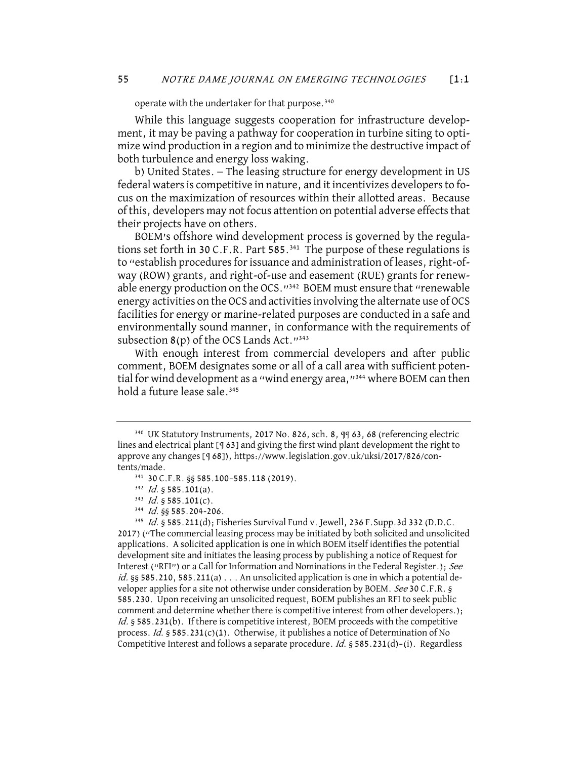operate with the undertaker for that purpose.<sup>340</sup>

While this language suggests cooperation for infrastructure development, it may be paving a pathway for cooperation in turbine siting to optimize wind production in a region and to minimize the destructive impact of both turbulence and energy loss waking.

b) United States. - The leasing structure for energy development in US federal waters is competitive in nature, and it incentivizes developers to focus on the maximization of resources within their allotted areas. Because of this, developers may not focus attention on potential adverse effects that their projects have on others.

BOEM's offshore wind development process is governed by the regulations set forth in 30 C.F.R. Part 585.<sup>341</sup> The purpose of these regulations is to "establish procedures for issuance and administration of leases, right-ofway (ROW) grants, and right-of-use and easement (RUE) grants for renewable energy production on the OCS.<sup>11342</sup> BOEM must ensure that "renewable energy activities on the OCS and activities involving the alternate use of OCS facilities for energy or marine-related purposes are conducted in a safe and environmentally sound manner, in conformance with the requirements of subsection  $8(p)$  of the OCS Lands Act."<sup>343</sup>

With enough interest from commercial developers and after public comment, BOEM designates some or all of a call area with sufficient potential for wind development as a "wind energy area,"<sup>344</sup> where BOEM can then hold a future lease sale.<sup>345</sup>

<sup>340</sup> UK Statutory Instruments, 2017 No. 826, sch. 8, ¶¶ 63, 68 (referencing electric lines and electrical plant [¶ 63] and giving the first wind plant development the right to approve any changes [¶ 68]), https://www.legislation.gov.uk/uksi/2017/826/contents/made.

<sup>341</sup> 30 C.F.R. §§ 585.100–585.118 (2019).

 $342$  *Id.* § 585.101(a).

 $343$  *Id.* § 585.101(c).

<sup>344</sup> Id. §§ 585.204-206.

<sup>345</sup> Id. § 585.211(d); Fisheries Survival Fund v. Jewell, 236 F. Supp.3d 332 (D.D.C. 2017) ("The commercial leasing process may be initiated by both solicited and unsolicited applications. A solicited application is one in which BOEM itself identifies the potential development site and initiates the leasing process by publishing a notice of Request for Interest ("RFI") or a Call for Information and Nominations in the Federal Register.); See *id.* §§ 585.210, 585.211(a)  $\ldots$  An unsolicited application is one in which a potential developer applies for a site not otherwise under consideration by BOEM. *See* 30 C.F.R. § 585.230. Upon receiving an unsolicited request, BOEM publishes an RFI to seek public comment and determine whether there is competitive interest from other developers.); Id. § 585.231(b). If there is competitive interest, BOEM proceeds with the competitive process. Id. § 585.231(c)(1). Otherwise, it publishes a notice of Determination of No Competitive Interest and follows a separate procedure. Id.  $\S$  585.231(d)-(i). Regardless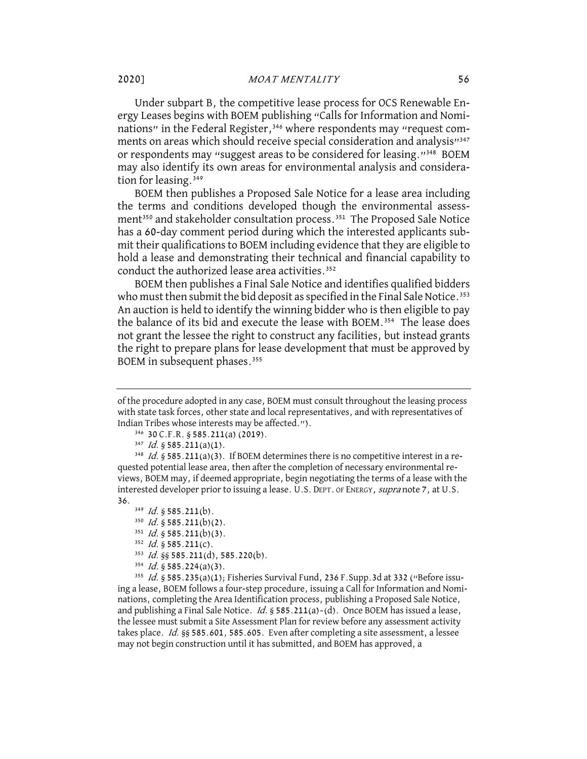Under subpart B, the competitive lease process for OCS Renewable Energy Leases begins with BOEM publishing "Calls for Information and Nominations" in the Federal Register,<sup>346</sup> where respondents may "request comments on areas which should receive special consideration and analysis"<sup>347</sup> or respondents may "suggest areas to be considered for leasing."<sup>348</sup> BOEM may also identify its own areas for environmental analysis and consideration for leasing.<sup>349</sup>

BOEM then publishes a Proposed Sale Notice for a lease area including the terms and conditions developed though the environmental assessment<sup>350</sup> and stakeholder consultation process.<sup>351</sup> The Proposed Sale Notice has a 60-day comment period during which the interested applicants submit their qualifications to BOEM including evidence that they are eligible to hold a lease and demonstrating their technical and financial capability to conduct the authorized lease area activities.<sup>352</sup>

BOEM then publishes a Final Sale Notice and identifies qualified bidders who must then submit the bid deposit as specified in the Final Sale Notice.<sup>353</sup> An auction is held to identify the winning bidder who is then eligible to pay the balance of its bid and execute the lease with BOEM.<sup>354</sup> The lease does not grant the lessee the right to construct any facilities, but instead grants the right to prepare plans for lease development that must be approved by BOEM in subsequent phases.<sup>355</sup>

 $348$  *Id.* § 585.211(a)(3). If BOEM determines there is no competitive interest in a requested potential lease area, then after the completion of necessary environmental reviews, BOEM may, if deemed appropriate, begin negotiating the terms of a lease with the interested developer prior to issuing a lease. U.S. DEPT. OF ENERGY, supranote 7, at U.S. 36.

- $349$  *Id.* § 585.211(b).
- $350$  *Id.* § 585.211(b)(2).
- $351$  *Id.* § 585.211(b)(3).
- $352$  *Id.* § 585.211(c).
- $353$  *Id.* §§ 585.211(d), 585.220(b).
- $354$  *Id.* § 585.224(a)(3).

<sup>355</sup> Id. § 585.235(a)(1); Fisheries Survival Fund, 236 F. Supp. 3d at 332 ("Before issuing a lease, BOEM follows a four-step procedure, issuing a Call for Information and Nominations, completing the Area Identification process, publishing a Proposed Sale Notice, and publishing a Final Sale Notice.  $Id.$  § 585.211(a)-(d). Once BOEM has issued a lease, the lessee must submit a Site Assessment Plan for review before any assessment activity takes place. Id. §§ 585.601, 585.605. Even after completing a site assessment, a lessee may not begin construction until it has submitted, and BOEM has approved, a

of the procedure adopted in any case, BOEM must consult throughout the leasing process with state task forces, other state and local representatives, and with representatives of Indian Tribes whose interests may be affected.").

<sup>346</sup> 30 C.F.R. § 585.211(a) (2019).

 $347$  *Id.* § 585.211(a)(1).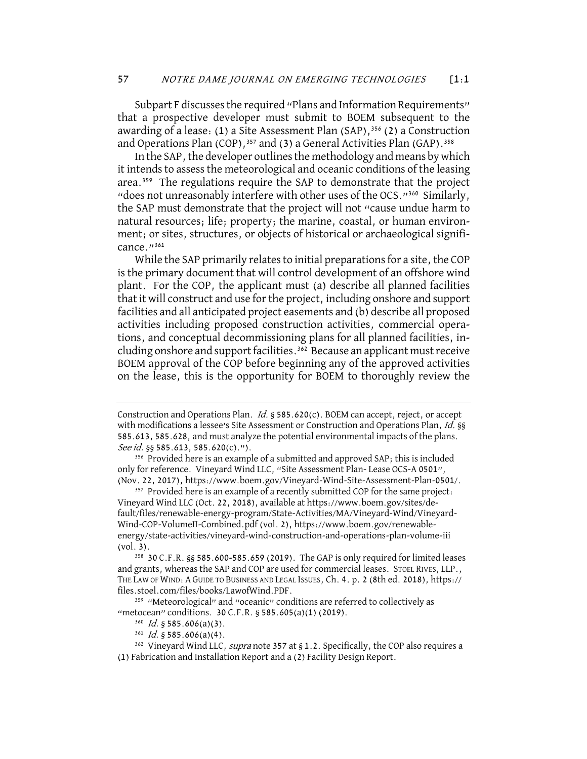Subpart F discusses the required "Plans and Information Requirements" that a prospective developer must submit to BOEM subsequent to the awarding of a lease: (1) a Site Assessment Plan (SAP),<sup>356</sup> (2) a Construction and Operations Plan (COP),<sup>357</sup> and (3) a General Activities Plan (GAP).<sup>358</sup>

In the SAP, the developer outlines the methodology and means by which it intends to assess the meteorological and oceanic conditions of the leasing area.<sup>359</sup> The regulations require the SAP to demonstrate that the project "does not unreasonably interfere with other uses of the OCS."<sup>360</sup> Similarly, the SAP must demonstrate that the project will not "cause undue harm to natural resources; life; property; the marine, coastal, or human environment; or sites, structures, or objects of historical or archaeological significance."<sup>361</sup>

While the SAP primarily relates to initial preparations for a site, the COP is the primary document that will control development of an offshore wind plant. For the COP, the applicant must (a) describe all planned facilities that it will construct and use for the project, including onshore and support facilities and all anticipated project easements and (b) describe all proposed activities including proposed construction activities, commercial operations, and conceptual decommissioning plans for all planned facilities, including onshore and support facilities.<sup>362</sup> Because an applicant must receive BOEM approval of the COP before beginning any of the approved activities on the lease, this is the opportunity for BOEM to thoroughly review the

 $361$  *Id.* § 585.606(a)(4).

Construction and Operations Plan. Id.  $\zeta$  585.620(c). BOEM can accept, reject, or accept with modifications a lessee's Site Assessment or Construction and Operations Plan, Id. §§ 585.613, 585.628, and must analyze the potential environmental impacts of the plans. See id. §§ 585.613, 585.620(c).").

<sup>&</sup>lt;sup>356</sup> Provided here is an example of a submitted and approved SAP; this is included only for reference. Vineyard Wind LLC, "Site Assessment Plan- Lease OCS-A 0501", (Nov. 22, 2017), https://www.boem.gov/Vineyard-Wind-Site-Assessment-Plan-0501/.

<sup>&</sup>lt;sup>357</sup> Provided here is an example of a recently submitted COP for the same project: Vineyard Wind LLC (Oct. 22, 2018), available at https://www.boem.gov/sites/default/files/renewable-energy-program/State-Activities/MA/Vineyard-Wind/Vineyard-Wind-COP-VolumeII-Combined.pdf (vol. 2), https://www.boem.gov/renewableenergy/state-activities/vineyard-wind-construction-and-operations-plan-volume-iii (vol. 3).

<sup>358</sup> 30 C.F.R. §§ 585.600-585.659 (2019). The GAP is only required for limited leases and grants, whereas the SAP and COP are used for commercial leases. STOEL RIVES, LLP., THE LAW OF WIND: A GUIDE TO BUSINESS AND LEGAL ISSUES, Ch. 4. p. 2 (8th ed. 2018), https:// files.stoel.com/files/books/LawofWind.PDF.

<sup>&</sup>lt;sup>359</sup> "Meteorological" and "oceanic" conditions are referred to collectively as "metocean" conditions. 30 C.F.R. § 585.605(a)(1) (2019).

 $360$  *Id.* § 585.606(a)(3).

<sup>&</sup>lt;sup>362</sup> Vineyard Wind LLC, *supra* note 357 at § 1.2. Specifically, the COP also requires a (1) Fabrication and Installation Report and a (2) Facility Design Report.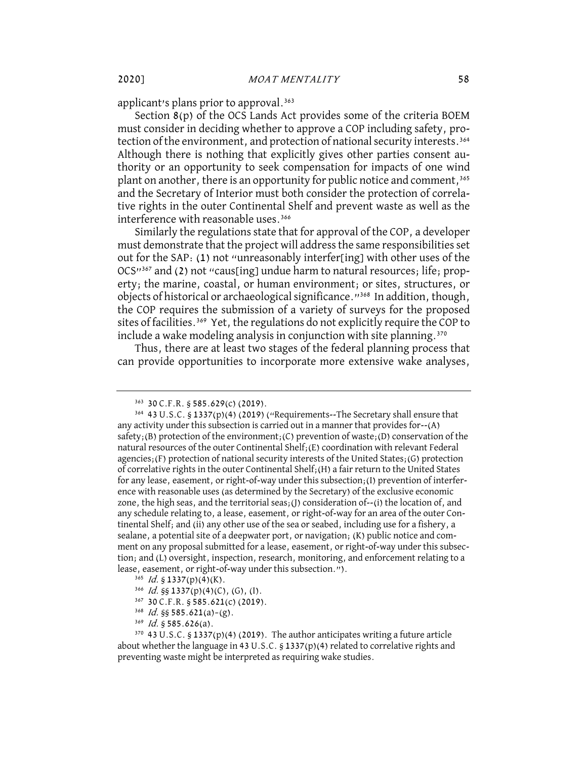applicant's plans prior to approval.<sup>363</sup>

Section 8(p) of the OCS Lands Act provides some of the criteria BOEM must consider in deciding whether to approve a COP including safety, protection of the environment, and protection of national security interests.<sup>364</sup> Although there is nothing that explicitly gives other parties consent authority or an opportunity to seek compensation for impacts of one wind plant on another, there is an opportunity for public notice and comment,<sup>365</sup> and the Secretary of Interior must both consider the protection of correlative rights in the outer Continental Shelf and prevent waste as well as the interference with reasonable uses.<sup>366</sup>

Similarly the regulations state that for approval of the COP, a developer must demonstrate that the project will address the same responsibilities set out for the SAP: (1) not "unreasonably interfer[ing] with other uses of the OCS"367 and (2) not "caus[ing] undue harm to natural resources; life; property; the marine, coastal, or human environment; or sites, structures, or objects of historical or archaeological significance."368 In addition, though, the COP requires the submission of a variety of surveys for the proposed sites of facilities.<sup>369</sup> Yet, the regulations do not explicitly require the COP to include a wake modeling analysis in conjunction with site planning.<sup>370</sup>

Thus, there are at least two stages of the federal planning process that can provide opportunities to incorporate more extensive wake analyses,

- $368$  *Id.* §§ 585.621(a)-(g).
- $369$  *Id.* § 585.626(a).

<sup>363</sup> 30 C.F.R. § 585.629(c) (2019).

<sup>364</sup> 43 U.S.C. § 1337(p)(4) (2019) ("Requirements--The Secretary shall ensure that any activity under this subsection is carried out in a manner that provides for--(A) safety;(B) protection of the environment;(C) prevention of waste;(D) conservation of the natural resources of the outer Continental Shelf; $(E)$  coordination with relevant Federal agencies;(F) protection of national security interests of the United States;(G) protection of correlative rights in the outer Continental Shelf;  $(H)$  a fair return to the United States for any lease, easement, or right-of-way under this subsection;  $(I)$  prevention of interference with reasonable uses (as determined by the Secretary) of the exclusive economic zone, the high seas, and the territorial seas;(J) consideration of--(i) the location of, and any schedule relating to, a lease, easement, or right-of-way for an area of the outer Continental Shelf; and (ii) any other use of the sea or seabed, including use for a fishery, a sealane, a potential site of a deepwater port, or navigation; (K) public notice and comment on any proposal submitted for a lease, easement, or right-of-way under this subsection; and (L) oversight, inspection, research, monitoring, and enforcement relating to a lease, easement, or right-of-way under this subsection.").

 $365$  *Id.* § 1337(p)(4)(K).

<sup>366</sup> Id.  $\S$ § 1337(p)(4)(C), (G), (I).

<sup>367</sup> 30 C.F.R. § 585.621(c) (2019).

 $370$  43 U.S.C. § 1337(p)(4) (2019). The author anticipates writing a future article about whether the language in 43 U.S.C. § 1337(p)(4) related to correlative rights and preventing waste might be interpreted as requiring wake studies.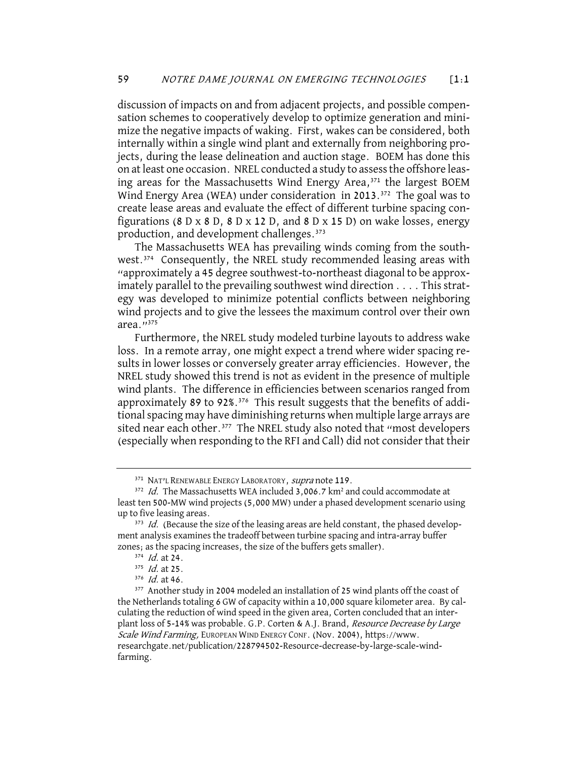discussion of impacts on and from adjacent projects, and possible compensation schemes to cooperatively develop to optimize generation and minimize the negative impacts of waking. First, wakes can be considered, both internally within a single wind plant and externally from neighboring projects, during the lease delineation and auction stage. BOEM has done this on at least one occasion. NREL conducted a study to assess the offshore leasing areas for the Massachusetts Wind Energy Area,<sup>371</sup> the largest BOEM Wind Energy Area (WEA) under consideration in 2013.<sup>372</sup> The goal was to create lease areas and evaluate the effect of different turbine spacing configurations (8 D x 8 D, 8 D x 12 D, and 8 D x 15 D) on wake losses, energy production, and development challenges.373

The Massachusetts WEA has prevailing winds coming from the southwest.<sup>374</sup> Consequently, the NREL study recommended leasing areas with "approximately a 45 degree southwest-to-northeast diagonal to be approximately parallel to the prevailing southwest wind direction . . . . This strategy was developed to minimize potential conflicts between neighboring wind projects and to give the lessees the maximum control over their own area."<sup>375</sup>

Furthermore, the NREL study modeled turbine layouts to address wake loss. In a remote array, one might expect a trend where wider spacing results in lower losses or conversely greater array efficiencies. However, the NREL study showed this trend is not as evident in the presence of multiple wind plants. The difference in efficiencies between scenarios ranged from approximately 89 to 92%.<sup>376</sup> This result suggests that the benefits of additional spacing may have diminishing returns when multiple large arrays are sited near each other.<sup>377</sup> The NREL study also noted that "most developers (especially when responding to the RFI and Call) did not consider that their

<sup>&</sup>lt;sup>371</sup> NAT'L RENEWABLE ENERGY LABORATORY, *supra* note 119.<br><sup>372</sup> Id. The Massachusetts WEA included 3,006.7 km<sup>2</sup> and could accommodate at least ten 500-MW wind projects (5,000 MW) under a phased development scenario using up to five leasing areas.<br><sup>373</sup> Id. (Because the size of the leasing areas are held constant, the phased develop-

ment analysis examines the tradeoff between turbine spacing and intra-array buffer zones; as the spacing increases, the size of the buffers gets smaller).

 $374$  *Id.* at 24.<br> $375$  *Id.* at 25.

<sup>376</sup> Id. at 46.

<sup>&</sup>lt;sup>377</sup> Another study in 2004 modeled an installation of 25 wind plants off the coast of the Netherlands totaling 6 GW of capacity within a 10,000 square kilometer area. By calculating the reduction of wind speed in the given area, Corten concluded that an interplant loss of 5-14% was probable. G.P. Corten & A.J. Brand, Resource Decrease by Large Scale Wind Farming, EUROPEAN WIND ENERGY CONF. (Nov. 2004), https://www. researchgate.net/publication/228794502-Resource-decrease-by-large-scale-windfarming.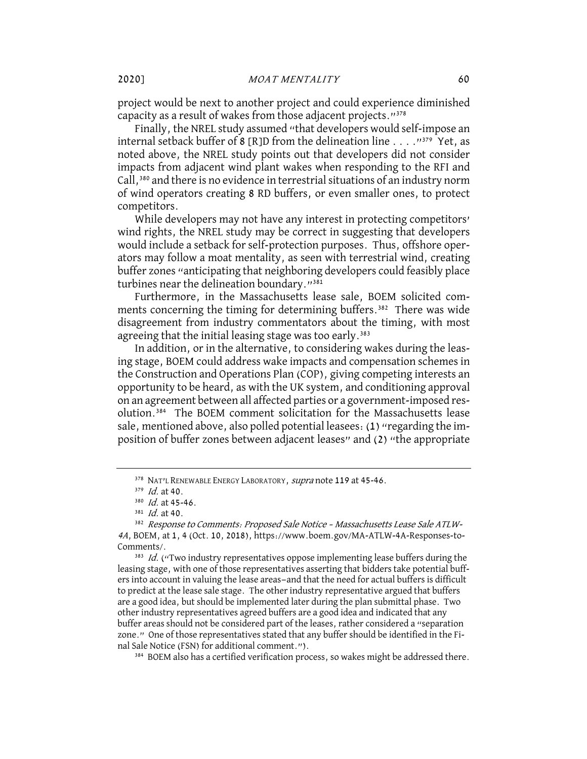project would be next to another project and could experience diminished capacity as a result of wakes from those adjacent projects."<sup>378</sup>

Finally, the NREL study assumed "that developers would self-impose an internal setback buffer of 8 [R]D from the delineation line . . . ."379 Yet, as noted above, the NREL study points out that developers did not consider impacts from adjacent wind plant wakes when responding to the RFI and Call,<sup>380</sup> and there is no evidence in terrestrial situations of an industry norm of wind operators creating 8 RD buffers, or even smaller ones, to protect competitors.

While developers may not have any interest in protecting competitors' wind rights, the NREL study may be correct in suggesting that developers would include a setback for self-protection purposes. Thus, offshore operators may follow a moat mentality, as seen with terrestrial wind, creating buffer zones "anticipating that neighboring developers could feasibly place turbines near the delineation boundary."<sup>381</sup>

Furthermore, in the Massachusetts lease sale, BOEM solicited comments concerning the timing for determining buffers.<sup>382</sup> There was wide disagreement from industry commentators about the timing, with most agreeing that the initial leasing stage was too early.<sup>383</sup>

In addition, or in the alternative, to considering wakes during the leasing stage, BOEM could address wake impacts and compensation schemes in the Construction and Operations Plan (COP), giving competing interests an opportunity to be heard, as with the UK system, and conditioning approval on an agreement between all affected parties or a government-imposed resolution.384 The BOEM comment solicitation for the Massachusetts lease sale, mentioned above, also polled potential leasees: (1) "regarding the imposition of buffer zones between adjacent leases" and (2) "the appropriate

384 BOEM also has a certified verification process, so wakes might be addressed there.

<sup>378</sup> NAT'L RENEWABLE ENERGY LABORATORY, supranote 119 at 45-46.

 $379$  *Id.* at 40.

<sup>380</sup> *Id.* at 45-46.

 $381$  *Id.* at 40.

<sup>382</sup> Response to Comments: Proposed Sale Notice – Massachusetts Lease Sale ATLW-4A, BOEM, at 1, 4 (Oct. 10, 2018), https://www.boem.gov/MA-ATLW-4A-Responses-to-Comments/.

<sup>&</sup>lt;sup>383</sup> Id. ("Two industry representatives oppose implementing lease buffers during the leasing stage, with one of those representatives asserting that bidders take potential buffers into account in valuing the lease areas—and that the need for actual buffers is difficult to predict at the lease sale stage. The other industry representative argued that buffers are a good idea, but should be implemented later during the plan submittal phase. Two other industry representatives agreed buffers are a good idea and indicated that any buffer areas should not be considered part of the leases, rather considered a "separation zone." One of those representatives stated that any buffer should be identified in the Final Sale Notice (FSN) for additional comment.").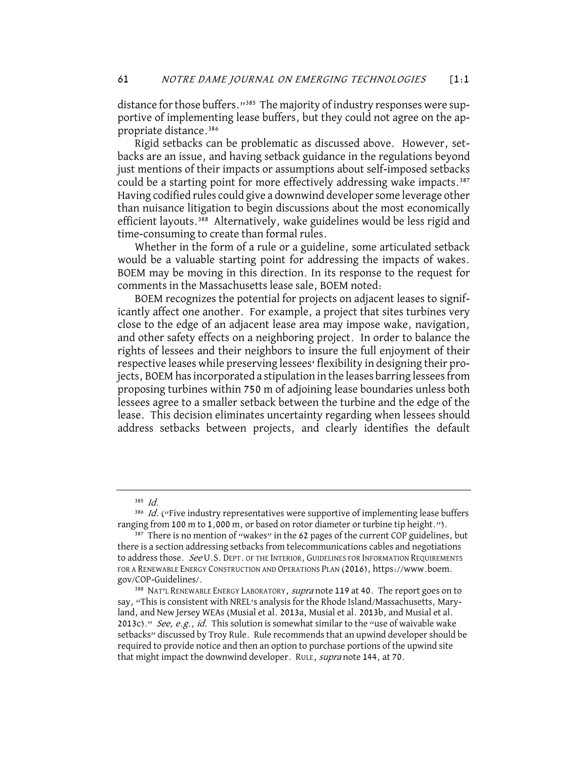distance for those buffers."<sup>385</sup> The majority of industry responses were supportive of implementing lease buffers, but they could not agree on the appropriate distance.386

Rigid setbacks can be problematic as discussed above. However, setbacks are an issue, and having setback guidance in the regulations beyond just mentions of their impacts or assumptions about self-imposed setbacks could be a starting point for more effectively addressing wake impacts.<sup>387</sup> Having codified rules could give a downwind developer some leverage other than nuisance litigation to begin discussions about the most economically efficient layouts.<sup>388</sup> Alternatively, wake guidelines would be less rigid and time-consuming to create than formal rules.

Whether in the form of a rule or a guideline, some articulated setback would be a valuable starting point for addressing the impacts of wakes. BOEM may be moving in this direction. In its response to the request for comments in the Massachusetts lease sale, BOEM noted:

BOEM recognizes the potential for projects on adjacent leases to significantly affect one another. For example, a project that sites turbines very close to the edge of an adjacent lease area may impose wake, navigation, and other safety effects on a neighboring project. In order to balance the rights of lessees and their neighbors to insure the full enjoyment of their respective leases while preserving lessees' flexibility in designing their projects, BOEM has incorporated a stipulation in the leases barring lessees from proposing turbines within 750 m of adjoining lease boundaries unless both lessees agree to a smaller setback between the turbine and the edge of the lease. This decision eliminates uncertainty regarding when lessees should address setbacks between projects, and clearly identifies the default

 $385$  Id.

<sup>386</sup> Id. ("Five industry representatives were supportive of implementing lease buffers ranging from 100 m to 1,000 m, or based on rotor diameter or turbine tip height.").

<sup>&</sup>lt;sup>387</sup> There is no mention of "wakes" in the 62 pages of the current COP guidelines, but there is a section addressing setbacks from telecommunications cables and negotiations to address those. See U.S. DEPT. OF THE INTERIOR, GUIDELINES FOR INFORMATION REQUIREMENTS FOR A RENEWABLE ENERGY CONSTRUCTION AND OPERATIONS PLAN (2016), https://www.boem. gov/COP-Guidelines/.

<sup>&</sup>lt;sup>388</sup> NAT'L RENEWABLE ENERGY LABORATORY, *supra* note 119 at 40. The report goes on to say, "This is consistent with NREL's analysis for the Rhode Island/Massachusetts, Maryland, and New Jersey WEAs (Musial et al. 2013a, Musial et al. 2013b, and Musial et al. 2013c)." See, e.g., id. This solution is somewhat similar to the "use of waivable wake setbacks" discussed by Troy Rule. Rule recommends that an upwind developer should be required to provide notice and then an option to purchase portions of the upwind site that might impact the downwind developer. RULE, supra note 144, at 70.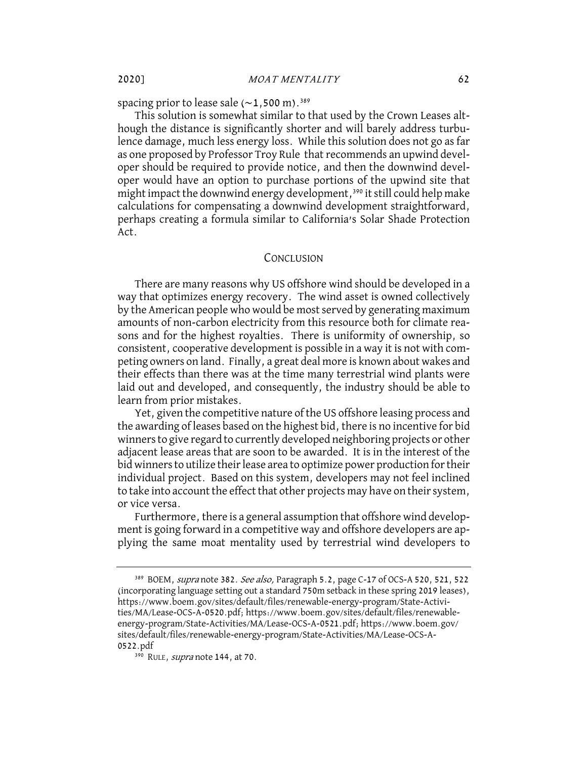spacing prior to lease sale  $({\sim}1,500 \text{ m})$ .<sup>389</sup>

This solution is somewhat similar to that used by the Crown Leases although the distance is significantly shorter and will barely address turbulence damage, much less energy loss. While this solution does not go as far as one proposed by Professor Troy Rule that recommends an upwind developer should be required to provide notice, and then the downwind developer would have an option to purchase portions of the upwind site that might impact the downwind energy development,<sup>390</sup> it still could help make calculations for compensating a downwind development straightforward, perhaps creating a formula similar to California's Solar Shade Protection Act.

#### **CONCLUSION**

There are many reasons why US offshore wind should be developed in a way that optimizes energy recovery. The wind asset is owned collectively by the American people who would be most served by generating maximum amounts of non-carbon electricity from this resource both for climate reasons and for the highest royalties. There is uniformity of ownership, so consistent, cooperative development is possible in a way it is not with competing owners on land. Finally, a great deal more is known about wakes and their effects than there was at the time many terrestrial wind plants were laid out and developed, and consequently, the industry should be able to learn from prior mistakes.

Yet, given the competitive nature of the US offshore leasing process and the awarding of leases based on the highest bid, there is no incentive for bid winners to give regard to currently developed neighboring projects or other adjacent lease areas that are soon to be awarded. It is in the interest of the bid winners to utilize their lease area to optimize power production for their individual project. Based on this system, developers may not feel inclined to take into account the effect that other projects may have on their system, or vice versa.

Furthermore, there is a general assumption that offshore wind development is going forward in a competitive way and offshore developers are applying the same moat mentality used by terrestrial wind developers to

<sup>389</sup> BOEM, supra note 382. See also, Paragraph 5.2, page C-17 of OCS-A 520, 521, 522 (incorporating language setting out a standard 750m setback in these spring 2019 leases), https://www.boem.gov/sites/default/files/renewable-energy-program/State-Activities/MA/Lease-OCS-A-0520.pdf; https://www.boem.gov/sites/default/files/renewableenergy-program/State-Activities/MA/Lease-OCS-A-0521.pdf; https://www.boem.gov/ sites/default/files/renewable-energy-program/State-Activities/MA/Lease-OCS-A-0522.pdf

<sup>390</sup> RULE, *supra* note 144, at 70.